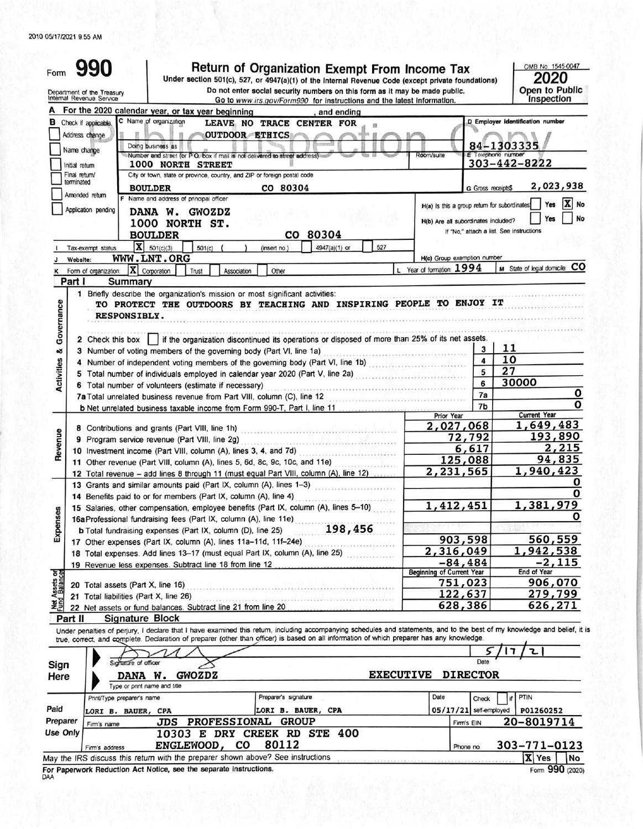## 2010 05/17/2021 9:55 AM

| Form                |                                                        | Return of Organization Exempt From Income Tax<br>Under section 501(c), 527, or 4947(a)(1) of the Internal Revenue Code (except private foundations)                                                                |                                                                                     |                    | OMB No. 1545-0047<br>2020                                            |
|---------------------|--------------------------------------------------------|--------------------------------------------------------------------------------------------------------------------------------------------------------------------------------------------------------------------|-------------------------------------------------------------------------------------|--------------------|----------------------------------------------------------------------|
|                     | Department of the Treasury<br>Internal Revenue Service | Do not enter social security numbers on this form as it may be made public.<br>Go to www.irs.gov/Form990 for instructions and the latest information.                                                              |                                                                                     |                    | Open to Public<br>Inspection                                         |
|                     |                                                        | For the 2020 calendar year, or tax year beginning<br>and ending<br>C Name of organization                                                                                                                          |                                                                                     |                    |                                                                      |
| в                   | Check if applicable.<br>Address change<br>Name change  | <b>LEAVE</b><br>NO<br><b>TRACE</b><br><b>CENTER FOR</b><br><b>OUTDOOR</b><br><b>ETHICS</b><br>Doing business as                                                                                                    |                                                                                     |                    | D Employer identification number<br>84-1303335                       |
|                     | Initial return                                         | Number and street (or P.O. box if mail is not delivered to street address)<br><b>1000 NORTH</b><br><b>STREET</b>                                                                                                   | Room/suite                                                                          | E Telephone number | $303 - 442 - 8222$                                                   |
|                     | Final return/<br>terminated                            | City or town, state or province, country, and ZIP or foreign postal code<br>CO 80304<br><b>BOULDER</b>                                                                                                             |                                                                                     | G Gross receipts\$ | 2,023,938                                                            |
|                     | Amended return<br>Application pending                  | F Name and address of principal officer<br><b>GWOZDZ</b><br><b>DANA</b><br>w.<br>1000<br>NORTH ST.                                                                                                                 | H(a) is this a group return for subordinates<br>H(b) Are all subordinates included? |                    | X No<br>Yes<br>No<br>Yes<br>If "No," attach a list. See instructions |
|                     | Tax-exempt status                                      | 80304<br><b>BOULDER</b><br>CO<br>$ \mathbf{X} $ 501(c)(3)<br>527<br>4947(a)(1) or<br>501(c)<br>(insert no.)                                                                                                        |                                                                                     |                    |                                                                      |
|                     | Website:                                               | WWW.LNT.ORG                                                                                                                                                                                                        | H(c) Group exemption number                                                         |                    |                                                                      |
|                     | Part I                                                 | Form of organization: $\ \mathbf{X}\ $ Corporation<br>Other<br>Trust<br>Association<br>Summary                                                                                                                     | L Year of formation: 1994                                                           |                    | M State of legal domicile: CO                                        |
| overnance<br>O<br>ఱ |                                                        | <b>RESPONSIBLY.</b><br>2 Check this box     if the organization discontinued its operations or disposed of more than 25% of its net assets.<br>3 Number of voting members of the governing body (Part VI, line 1a) |                                                                                     | 3<br>4             | 11<br>10                                                             |
|                     |                                                        | 4 Number of independent voting members of the governing body (Part VI, line 1b)<br>5 Total number of individuals employed in calendar year 2020 (Part V, line 2a)                                                  |                                                                                     | 5                  | 27                                                                   |
| Activities          |                                                        | 6 Total number of volunteers (estimate if necessary)                                                                                                                                                               |                                                                                     | 6                  | 30000                                                                |
|                     |                                                        | 7a Total unrelated business revenue from Part VIII, column (C), line 12                                                                                                                                            |                                                                                     | 7a                 |                                                                      |
|                     |                                                        | <b>b</b> Net unrelated business taxable income from Form 990-T, Part I, line 11                                                                                                                                    | Prior Year                                                                          | 7b                 | <b>Current Year</b>                                                  |
|                     |                                                        | 8 Contributions and grants (Part VIII, line 1h)                                                                                                                                                                    | 2,027,068                                                                           |                    | 1,649,483                                                            |
|                     |                                                        | 9 Program service revenue (Part VIII, line 2g)                                                                                                                                                                     |                                                                                     | 72,792             | 193,890<br>2,215                                                     |
|                     |                                                        | 10 Investment income (Part VIII, column (A), lines 3, 4, and 7d)<br>11 Other revenue (Part VIII, column (A), lines 5, 6d, 8c, 9c, 10c, and 11e)                                                                    | 6,617<br>125,088                                                                    |                    | 94,835                                                               |
|                     |                                                        | 12 Total revenue - add lines 8 through 11 (must equal Part VIII, column (A), line 12)                                                                                                                              | 2,231,565                                                                           |                    | 1,940,423                                                            |
|                     |                                                        | 13 Grants and similar amounts paid (Part IX, column (A), lines 1-3)                                                                                                                                                |                                                                                     |                    |                                                                      |
|                     |                                                        | 14 Benefits paid to or for members (Part IX, column (A), line 4)                                                                                                                                                   |                                                                                     |                    |                                                                      |
|                     |                                                        | 15 Salaries, other compensation, employee benefits (Part IX, column (A), lines 5-10)<br>16a Professional fundraising fees (Part IX, column (A), line 11e)                                                          | 1,412,451                                                                           |                    | 1,381,979                                                            |
|                     |                                                        | 198,456<br><b>b</b> Total fundraising expenses (Part IX, column (D), line 25)                                                                                                                                      |                                                                                     |                    |                                                                      |
|                     |                                                        | 17 Other expenses (Part IX, column (A), lines 11a-11d, 11f-24e)                                                                                                                                                    | 903,598                                                                             |                    | 560,559                                                              |
|                     |                                                        | 18 Total expenses. Add lines 13-17 (must equal Part IX, column (A), line 25)                                                                                                                                       | 2,316,049                                                                           |                    | 1,942,538                                                            |
| ర్టీ                |                                                        | 19 Revenue less expenses. Subtract line 18 from line 12                                                                                                                                                            | $-84,484$<br>Beginning of Current Year                                              |                    | $-2,115$<br>End of Year                                              |
|                     |                                                        | 20 Total assets (Part X, line 16)                                                                                                                                                                                  | 751,023                                                                             |                    | 906,070                                                              |
|                     |                                                        | 21 Total liabilities (Part X, line 26)                                                                                                                                                                             | 122,637                                                                             |                    | 279,799                                                              |
|                     |                                                        | <sup>2</sup> 22 Net assets or fund balances. Subtract line 21 from line 20                                                                                                                                         | 628,386                                                                             |                    | 626,271                                                              |
|                     | Part II                                                | <b>Signature Block</b><br>Under penalties of perjury, I declare that I have examined this return, including accompanying schedules and statements, and to the best of my knowledge and belief, it is               |                                                                                     |                    |                                                                      |
|                     |                                                        | true, correct, and complete. Declaration of preparer (other than officer) is based on all information of which preparer has any knowledge.                                                                         |                                                                                     |                    |                                                                      |
|                     |                                                        | Signature of officer                                                                                                                                                                                               |                                                                                     | Date               | ι                                                                    |
| Sign<br>Here        |                                                        | <b>EXECUTIVE</b><br><b>GWOZDZ</b><br>DANA W.<br>Type or print name and title                                                                                                                                       |                                                                                     | <b>DIRECTOR</b>    |                                                                      |
|                     |                                                        | Preparer's signature<br>Print/Type preparer's name                                                                                                                                                                 | Date                                                                                | Check              | PTIN                                                                 |
| Paid                |                                                        | LORI B. BAUER, CPA<br>LORI B. BAUER, CPA                                                                                                                                                                           | $05/17/21$ self-employed                                                            |                    | P01260252                                                            |
| Preparer            | Firm's name                                            | <b>PROFESSIONAL</b><br><b>GROUP</b><br>JDS                                                                                                                                                                         |                                                                                     | Firm's EIN         | 20-8019714                                                           |
| Use Only            | Firm's address                                         | 10303 E DRY CREEK RD STE 400<br>80112<br>ENGLEWOOD, CO                                                                                                                                                             |                                                                                     | Phone no.          | 303-771-0123                                                         |

## May the IRS discuss this return with the preparer shown above? See instructions

# For Paperwork Reduction Act Notice, see the separate instructions.

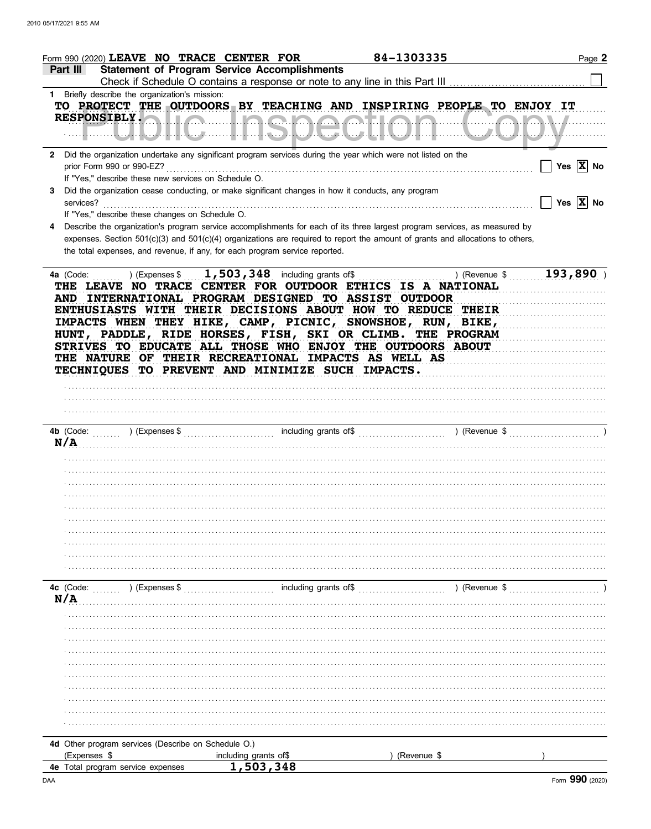| Form 990 (2020) LEAVE NO TRACE CENTER FOR                                                                                                                                                                                                                                                                                                                                                                                                                                                                                                   |                                                                              | 84-1303335    | Page 2                |
|---------------------------------------------------------------------------------------------------------------------------------------------------------------------------------------------------------------------------------------------------------------------------------------------------------------------------------------------------------------------------------------------------------------------------------------------------------------------------------------------------------------------------------------------|------------------------------------------------------------------------------|---------------|-----------------------|
| <b>Statement of Program Service Accomplishments</b><br>Part III                                                                                                                                                                                                                                                                                                                                                                                                                                                                             | Check if Schedule O contains a response or note to any line in this Part III |               |                       |
| 1 Briefly describe the organization's mission:                                                                                                                                                                                                                                                                                                                                                                                                                                                                                              |                                                                              |               |                       |
| TO PROTECT THE OUTDOORS BY TEACHING AND INSPIRING PEOPLE TO ENJOY IT                                                                                                                                                                                                                                                                                                                                                                                                                                                                        |                                                                              |               |                       |
|                                                                                                                                                                                                                                                                                                                                                                                                                                                                                                                                             |                                                                              |               |                       |
| 2 Did the organization undertake any significant program services during the year which were not listed on the<br>prior Form 990 or 990-EZ?                                                                                                                                                                                                                                                                                                                                                                                                 |                                                                              |               | Yes $\overline{X}$ No |
| If "Yes," describe these new services on Schedule O.<br>Did the organization cease conducting, or make significant changes in how it conducts, any program<br>3.<br>services?                                                                                                                                                                                                                                                                                                                                                               |                                                                              |               | Yes $\overline{X}$ No |
| If "Yes," describe these changes on Schedule O.                                                                                                                                                                                                                                                                                                                                                                                                                                                                                             |                                                                              |               |                       |
| Describe the organization's program service accomplishments for each of its three largest program services, as measured by<br>4<br>expenses. Section 501(c)(3) and 501(c)(4) organizations are required to report the amount of grants and allocations to others,<br>the total expenses, and revenue, if any, for each program service reported.                                                                                                                                                                                            |                                                                              |               |                       |
| $(1, 503, 348)$ including grants of \$<br>4a (Code:<br>THE LEAVE NO TRACE CENTER FOR OUTDOOR ETHICS IS A NATIONAL<br>AND INTERNATIONAL PROGRAM DESIGNED TO ASSIST OUTDOOR<br>ENTHUSIASTS WITH THEIR DECISIONS ABOUT HOW TO REDUCE THEIR<br>IMPACTS WHEN THEY HIKE, CAMP, PICNIC, SNOWSHOE, RUN, BIKE,<br>HUNT, PADDLE, RIDE HORSES, FISH, SKI OR CLIMB. THE PROGRAM<br>STRIVES TO EDUCATE ALL THOSE WHO ENJOY THE OUTDOORS ABOUT<br>THE NATURE OF THEIR RECREATIONAL IMPACTS AS WELL AS<br>TECHNIQUES TO PREVENT AND MINIMIZE SUCH IMPACTS. |                                                                              | ) (Revenue \$ | 193,890               |
|                                                                                                                                                                                                                                                                                                                                                                                                                                                                                                                                             |                                                                              |               |                       |
| N/A                                                                                                                                                                                                                                                                                                                                                                                                                                                                                                                                         |                                                                              |               |                       |
|                                                                                                                                                                                                                                                                                                                                                                                                                                                                                                                                             |                                                                              |               |                       |
|                                                                                                                                                                                                                                                                                                                                                                                                                                                                                                                                             |                                                                              |               |                       |
|                                                                                                                                                                                                                                                                                                                                                                                                                                                                                                                                             |                                                                              |               |                       |
|                                                                                                                                                                                                                                                                                                                                                                                                                                                                                                                                             |                                                                              |               |                       |
|                                                                                                                                                                                                                                                                                                                                                                                                                                                                                                                                             |                                                                              |               |                       |
|                                                                                                                                                                                                                                                                                                                                                                                                                                                                                                                                             |                                                                              |               |                       |
|                                                                                                                                                                                                                                                                                                                                                                                                                                                                                                                                             |                                                                              |               |                       |
|                                                                                                                                                                                                                                                                                                                                                                                                                                                                                                                                             |                                                                              |               |                       |
|                                                                                                                                                                                                                                                                                                                                                                                                                                                                                                                                             |                                                                              |               |                       |
|                                                                                                                                                                                                                                                                                                                                                                                                                                                                                                                                             |                                                                              |               |                       |
| 4c (Code: ) (Expenses \$                                                                                                                                                                                                                                                                                                                                                                                                                                                                                                                    | including grants of \$                                                       | ) (Revenue \$ |                       |
| N/A                                                                                                                                                                                                                                                                                                                                                                                                                                                                                                                                         |                                                                              |               |                       |
|                                                                                                                                                                                                                                                                                                                                                                                                                                                                                                                                             |                                                                              |               |                       |
|                                                                                                                                                                                                                                                                                                                                                                                                                                                                                                                                             |                                                                              |               |                       |
|                                                                                                                                                                                                                                                                                                                                                                                                                                                                                                                                             |                                                                              |               |                       |
|                                                                                                                                                                                                                                                                                                                                                                                                                                                                                                                                             |                                                                              |               |                       |
|                                                                                                                                                                                                                                                                                                                                                                                                                                                                                                                                             |                                                                              |               |                       |
|                                                                                                                                                                                                                                                                                                                                                                                                                                                                                                                                             |                                                                              |               |                       |
|                                                                                                                                                                                                                                                                                                                                                                                                                                                                                                                                             |                                                                              |               |                       |
|                                                                                                                                                                                                                                                                                                                                                                                                                                                                                                                                             |                                                                              |               |                       |
|                                                                                                                                                                                                                                                                                                                                                                                                                                                                                                                                             |                                                                              |               |                       |
|                                                                                                                                                                                                                                                                                                                                                                                                                                                                                                                                             |                                                                              |               |                       |
|                                                                                                                                                                                                                                                                                                                                                                                                                                                                                                                                             |                                                                              |               |                       |
|                                                                                                                                                                                                                                                                                                                                                                                                                                                                                                                                             |                                                                              |               |                       |
| 4d Other program services (Describe on Schedule O.)                                                                                                                                                                                                                                                                                                                                                                                                                                                                                         |                                                                              |               |                       |
| (Expenses \$                                                                                                                                                                                                                                                                                                                                                                                                                                                                                                                                | including grants of\$                                                        | (Revenue \$   |                       |
| 4e Total program service expenses                                                                                                                                                                                                                                                                                                                                                                                                                                                                                                           | 1,503,348                                                                    |               |                       |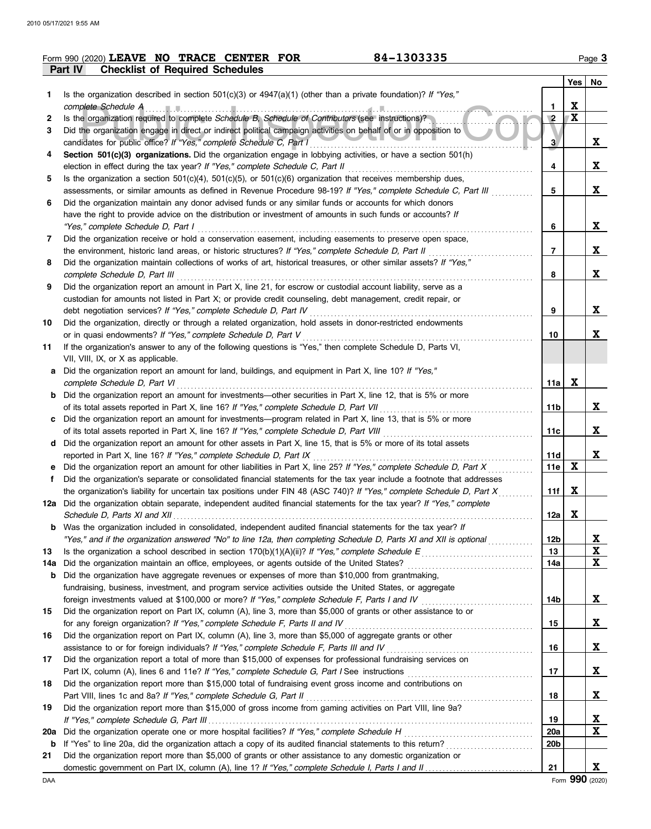|     | 84-1303335<br>Form 990 (2020) LEAVE NO TRACE CENTER FOR                                                                                                                                         |                 |              | Page 3      |
|-----|-------------------------------------------------------------------------------------------------------------------------------------------------------------------------------------------------|-----------------|--------------|-------------|
|     | <b>Checklist of Required Schedules</b><br><b>Part IV</b>                                                                                                                                        |                 |              |             |
|     |                                                                                                                                                                                                 |                 | Yes   No     |             |
| 1.  | Is the organization described in section $501(c)(3)$ or $4947(a)(1)$ (other than a private foundation)? If "Yes,"                                                                               |                 |              |             |
|     | complete Schedule A example and the complete Schedule A example and the complete Schedule A example and the complete Schedule A                                                                 | $\mathbf{1}$    | X            |             |
| 2   | Is the organization required to complete Schedule B, Schedule of Contributors (see instructions)?                                                                                               | $\sqrt{2}$      | $\mathbf{X}$ |             |
| 3   | Did the organization engage in direct or indirect political campaign activities on behalf of or in opposition to                                                                                |                 |              |             |
|     | candidates for public office? If "Yes," complete Schedule C, Part I                                                                                                                             | 3               |              | X           |
| 4   | Section 501(c)(3) organizations. Did the organization engage in lobbying activities, or have a section 501(h)<br>election in effect during the tax year? If "Yes," complete Schedule C, Part II | 4               |              | $\mathbf x$ |
| 5   | Is the organization a section $501(c)(4)$ , $501(c)(5)$ , or $501(c)(6)$ organization that receives membership dues,                                                                            |                 |              |             |
|     | assessments, or similar amounts as defined in Revenue Procedure 98-19? If "Yes," complete Schedule C, Part III                                                                                  | 5               |              | $\mathbf x$ |
| 6   | Did the organization maintain any donor advised funds or any similar funds or accounts for which donors                                                                                         |                 |              |             |
|     | have the right to provide advice on the distribution or investment of amounts in such funds or accounts? If                                                                                     |                 |              |             |
|     | "Yes," complete Schedule D, Part I                                                                                                                                                              | 6               |              | X           |
| 7   | Did the organization receive or hold a conservation easement, including easements to preserve open space,                                                                                       |                 |              |             |
|     | the environment, historic land areas, or historic structures? If "Yes," complete Schedule D, Part II                                                                                            | 7               |              | X           |
| 8   | Did the organization maintain collections of works of art, historical treasures, or other similar assets? If "Yes,"                                                                             |                 |              |             |
|     | complete Schedule D, Part III                                                                                                                                                                   | 8               |              | X           |
| 9   | Did the organization report an amount in Part X, line 21, for escrow or custodial account liability, serve as a                                                                                 |                 |              |             |
|     | custodian for amounts not listed in Part X; or provide credit counseling, debt management, credit repair, or                                                                                    |                 |              |             |
|     | debt negotiation services? If "Yes," complete Schedule D, Part IV                                                                                                                               | 9               |              | X           |
| 10  | Did the organization, directly or through a related organization, hold assets in donor-restricted endowments                                                                                    |                 |              |             |
|     | or in quasi endowments? If "Yes," complete Schedule D, Part V                                                                                                                                   | 10              |              | X           |
| 11  | If the organization's answer to any of the following questions is "Yes," then complete Schedule D, Parts VI,                                                                                    |                 |              |             |
|     | VII, VIII, IX, or X as applicable.                                                                                                                                                              |                 |              |             |
| а   | Did the organization report an amount for land, buildings, and equipment in Part X, line 10? If "Yes,"                                                                                          |                 |              |             |
|     | complete Schedule D, Part VI                                                                                                                                                                    | 11a             | X            |             |
| b   | Did the organization report an amount for investments—other securities in Part X, line 12, that is 5% or more                                                                                   |                 |              |             |
|     | of its total assets reported in Part X, line 16? If "Yes," complete Schedule D, Part VII                                                                                                        | 11b             |              | X           |
| c   | Did the organization report an amount for investments—program related in Part X, line 13, that is 5% or more                                                                                    |                 |              | X           |
|     |                                                                                                                                                                                                 | 11c             |              |             |
| d   | Did the organization report an amount for other assets in Part X, line 15, that is 5% or more of its total assets<br>reported in Part X, line 16? If "Yes," complete Schedule D, Part IX        | 11d             |              | X           |
| е   | Did the organization report an amount for other liabilities in Part X, line 25? If "Yes," complete Schedule D, Part X                                                                           | 11e             | $\mathbf x$  |             |
| f   | Did the organization's separate or consolidated financial statements for the tax year include a footnote that addresses                                                                         |                 |              |             |
|     | the organization's liability for uncertain tax positions under FIN 48 (ASC 740)? If "Yes," complete Schedule D, Part X                                                                          | 11f             | X            |             |
|     | 12a Did the organization obtain separate, independent audited financial statements for the tax year? If "Yes," complete                                                                         |                 |              |             |
|     | Schedule D, Parts XI and XII                                                                                                                                                                    | 12a             | X            |             |
| b   | Was the organization included in consolidated, independent audited financial statements for the tax year? If                                                                                    |                 |              |             |
|     | "Yes," and if the organization answered "No" to line 12a, then completing Schedule D, Parts XI and XII is optional                                                                              | 12b             |              | X           |
| 13  |                                                                                                                                                                                                 | 13              |              | X           |
| 14a | Did the organization maintain an office, employees, or agents outside of the United States?                                                                                                     | 14a             |              | $\mathbf x$ |
| b   | Did the organization have aggregate revenues or expenses of more than \$10,000 from grantmaking,                                                                                                |                 |              |             |
|     | fundraising, business, investment, and program service activities outside the United States, or aggregate                                                                                       |                 |              |             |
|     | foreign investments valued at \$100,000 or more? If "Yes," complete Schedule F, Parts I and IV [[[[[[[[[[[[[[[[                                                                                 | 14b             |              | X           |
| 15  | Did the organization report on Part IX, column (A), line 3, more than \$5,000 of grants or other assistance to or                                                                               |                 |              |             |
|     | for any foreign organization? If "Yes," complete Schedule F, Parts II and IV                                                                                                                    | 15              |              | X           |
| 16  | Did the organization report on Part IX, column (A), line 3, more than \$5,000 of aggregate grants or other                                                                                      |                 |              |             |
|     | assistance to or for foreign individuals? If "Yes," complete Schedule F, Parts III and IV                                                                                                       | 16              |              | X           |
| 17  | Did the organization report a total of more than \$15,000 of expenses for professional fundraising services on                                                                                  |                 |              |             |
|     |                                                                                                                                                                                                 | 17              |              | X           |
| 18  | Did the organization report more than \$15,000 total of fundraising event gross income and contributions on                                                                                     |                 |              |             |
|     | Part VIII, lines 1c and 8a? If "Yes," complete Schedule G, Part II                                                                                                                              | 18              |              | X           |
| 19  | Did the organization report more than \$15,000 of gross income from gaming activities on Part VIII, line 9a?                                                                                    |                 |              |             |
|     |                                                                                                                                                                                                 | 19              |              | X           |
| 20a | Did the organization operate one or more hospital facilities? If "Yes," complete Schedule H                                                                                                     | 20a             |              | X           |
| b   | If "Yes" to line 20a, did the organization attach a copy of its audited financial statements to this return?                                                                                    | 20 <sub>b</sub> |              |             |
| 21  | Did the organization report more than \$5,000 of grants or other assistance to any domestic organization or                                                                                     | 21              |              | X           |
|     |                                                                                                                                                                                                 |                 |              |             |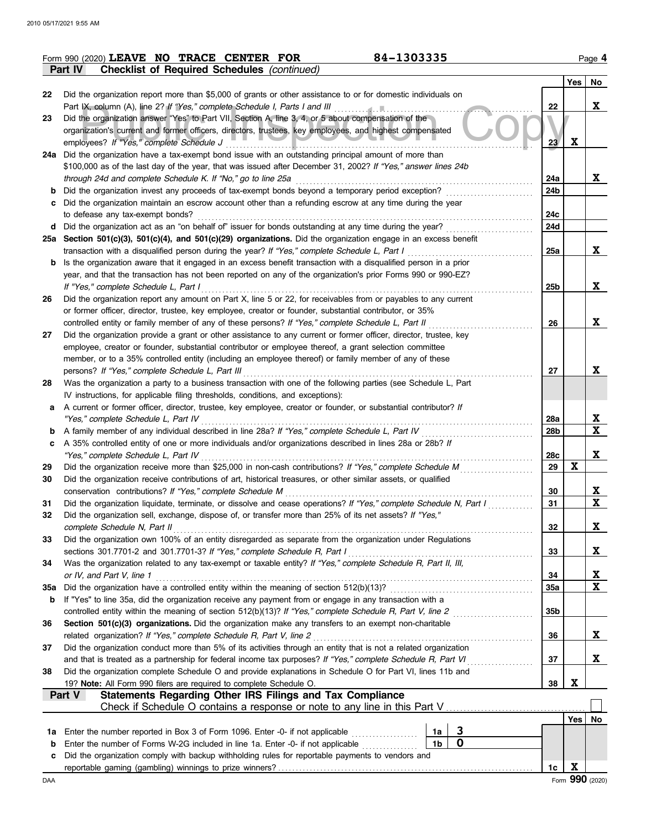|     | 84-1303335<br>Form 990 (2020) LEAVE NO TRACE CENTER FOR                                                                                                                                                                    |                 |             | Page 4                   |
|-----|----------------------------------------------------------------------------------------------------------------------------------------------------------------------------------------------------------------------------|-----------------|-------------|--------------------------|
|     | Part IV<br><b>Checklist of Required Schedules (continued)</b>                                                                                                                                                              |                 |             |                          |
|     |                                                                                                                                                                                                                            |                 | Yes         | No                       |
| 22  | Did the organization report more than \$5,000 of grants or other assistance to or for domestic individuals on                                                                                                              |                 |             |                          |
|     | Part IX, column (A), line 2? If "Yes," complete Schedule I, Parts I and III                                                                                                                                                | 22              |             | $\mathbf x$              |
| 23  | Did the organization answer "Yes" to Part VII, Section A, line 3, 4, or 5 about compensation of the                                                                                                                        |                 |             |                          |
|     | organization's current and former officers, directors, trustees, key employees, and highest compensated                                                                                                                    |                 |             |                          |
|     | employees? If "Yes," complete Schedule J                                                                                                                                                                                   | 23              | $\mathbf x$ |                          |
|     | 24a Did the organization have a tax-exempt bond issue with an outstanding principal amount of more than                                                                                                                    |                 |             |                          |
|     | \$100,000 as of the last day of the year, that was issued after December 31, 2002? If "Yes," answer lines 24b                                                                                                              |                 |             |                          |
|     | through 24d and complete Schedule K. If "No," go to line 25a                                                                                                                                                               | 24a             |             | X                        |
| b   | Did the organization invest any proceeds of tax-exempt bonds beyond a temporary period exception?                                                                                                                          | 24 <sub>b</sub> |             |                          |
| c   | Did the organization maintain an escrow account other than a refunding escrow at any time during the year                                                                                                                  |                 |             |                          |
|     | to defease any tax-exempt bonds?                                                                                                                                                                                           | 24c             |             |                          |
|     | d Did the organization act as an "on behalf of" issuer for bonds outstanding at any time during the year?                                                                                                                  | 24d             |             |                          |
|     | 25a Section 501(c)(3), 501(c)(4), and 501(c)(29) organizations. Did the organization engage in an excess benefit                                                                                                           |                 |             |                          |
|     | transaction with a disqualified person during the year? If "Yes," complete Schedule L, Part I                                                                                                                              | 25a             |             | X                        |
| b   | Is the organization aware that it engaged in an excess benefit transaction with a disqualified person in a prior                                                                                                           |                 |             |                          |
|     | year, and that the transaction has not been reported on any of the organization's prior Forms 990 or 990-EZ?                                                                                                               |                 |             |                          |
|     | If "Yes," complete Schedule L, Part I                                                                                                                                                                                      | 25 <sub>b</sub> |             | X                        |
| 26  | Did the organization report any amount on Part X, line 5 or 22, for receivables from or payables to any current                                                                                                            |                 |             |                          |
|     | or former officer, director, trustee, key employee, creator or founder, substantial contributor, or 35%                                                                                                                    |                 |             |                          |
|     | controlled entity or family member of any of these persons? If "Yes," complete Schedule L, Part II                                                                                                                         | 26              |             | X                        |
| 27  | Did the organization provide a grant or other assistance to any current or former officer, director, trustee, key                                                                                                          |                 |             |                          |
|     | employee, creator or founder, substantial contributor or employee thereof, a grant selection committee                                                                                                                     |                 |             |                          |
|     | member, or to a 35% controlled entity (including an employee thereof) or family member of any of these                                                                                                                     |                 |             |                          |
|     | persons? If "Yes," complete Schedule L, Part III                                                                                                                                                                           | 27              |             | X                        |
| 28  | Was the organization a party to a business transaction with one of the following parties (see Schedule L, Part                                                                                                             |                 |             |                          |
|     | IV instructions, for applicable filing thresholds, conditions, and exceptions):                                                                                                                                            |                 |             |                          |
| а   | A current or former officer, director, trustee, key employee, creator or founder, or substantial contributor? If                                                                                                           |                 |             |                          |
|     | "Yes," complete Schedule L, Part IV                                                                                                                                                                                        | 28a             |             | X                        |
| b   | A family member of any individual described in line 28a? If "Yes," complete Schedule L, Part IV                                                                                                                            | 28b             |             | $\mathbf{x}$             |
| c   | A 35% controlled entity of one or more individuals and/or organizations described in lines 28a or 28b? If                                                                                                                  |                 |             |                          |
|     | "Yes," complete Schedule L, Part IV                                                                                                                                                                                        | 28c             |             | X                        |
| 29  | Did the organization receive more than \$25,000 in non-cash contributions? If "Yes," complete Schedule M                                                                                                                   | 29              | $\mathbf x$ |                          |
| 30  | Did the organization receive contributions of art, historical treasures, or other similar assets, or qualified                                                                                                             |                 |             |                          |
|     | conservation contributions? If "Yes," complete Schedule M                                                                                                                                                                  | 30              |             | X                        |
| 31  | Did the organization liquidate, terminate, or dissolve and cease operations? If "Yes," complete Schedule N, Part I                                                                                                         | 31              |             | X                        |
| 32  | Did the organization sell, exchange, dispose of, or transfer more than 25% of its net assets? If "Yes,"                                                                                                                    |                 |             |                          |
|     | complete Schedule N, Part II                                                                                                                                                                                               | 32              |             | X                        |
| 33  | Did the organization own 100% of an entity disregarded as separate from the organization under Regulations                                                                                                                 |                 |             |                          |
|     | sections 301.7701-2 and 301.7701-3? If "Yes," complete Schedule R, Part I                                                                                                                                                  | 33              |             | X                        |
| 34  | Was the organization related to any tax-exempt or taxable entity? If "Yes," complete Schedule R, Part II, III,                                                                                                             |                 |             |                          |
|     | or IV, and Part V, line 1                                                                                                                                                                                                  | 34              |             | <u>x</u><br>$\mathbf{x}$ |
| 35a | Did the organization have a controlled entity within the meaning of section 512(b)(13)?                                                                                                                                    | 35a             |             |                          |
| b   | If "Yes" to line 35a, did the organization receive any payment from or engage in any transaction with a                                                                                                                    |                 |             |                          |
|     | controlled entity within the meaning of section 512(b)(13)? If "Yes," complete Schedule R, Part V, line 2                                                                                                                  | 35 <sub>b</sub> |             |                          |
| 36  | Section 501(c)(3) organizations. Did the organization make any transfers to an exempt non-charitable                                                                                                                       |                 |             |                          |
|     | related organization? If "Yes," complete Schedule R, Part V, line 2<br>Did the organization conduct more than 5% of its activities through an entity that is not a related organization                                    | 36              |             | X                        |
| 37  |                                                                                                                                                                                                                            |                 |             | X                        |
| 38  | and that is treated as a partnership for federal income tax purposes? If "Yes," complete Schedule R, Part VI<br>Did the organization complete Schedule O and provide explanations in Schedule O for Part VI, lines 11b and | 37              |             |                          |
|     |                                                                                                                                                                                                                            | 38              | X           |                          |
|     | 19? Note: All Form 990 filers are required to complete Schedule O.<br><b>Statements Regarding Other IRS Filings and Tax Compliance</b><br>Part V                                                                           |                 |             |                          |
|     |                                                                                                                                                                                                                            |                 |             |                          |
|     |                                                                                                                                                                                                                            |                 | Yes         | No.                      |
| 1a  | 3<br>Enter the number reported in Box 3 of Form 1096. Enter -0- if not applicable<br>1a                                                                                                                                    |                 |             |                          |
| b   | $\mathbf 0$<br>1 <sub>b</sub><br>Enter the number of Forms W-2G included in line 1a. Enter -0- if not applicable                                                                                                           |                 |             |                          |
| c   | Did the organization comply with backup withholding rules for reportable payments to vendors and                                                                                                                           |                 |             |                          |
|     |                                                                                                                                                                                                                            | 1c              | X           |                          |
| DAA |                                                                                                                                                                                                                            |                 |             | Form 990 (2020)          |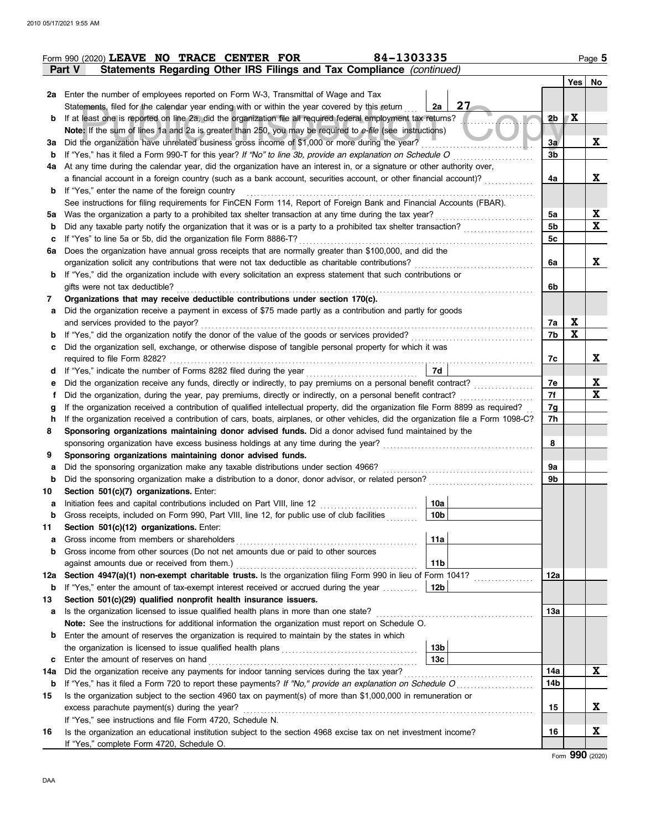|        | Form 990 (2020) LEAVE NO TRACE CENTER FOR                                                                                                          | 84-1303335      |                |             | Page 5          |  |  |  |  |
|--------|----------------------------------------------------------------------------------------------------------------------------------------------------|-----------------|----------------|-------------|-----------------|--|--|--|--|
|        | Statements Regarding Other IRS Filings and Tax Compliance (continued)<br>Part V                                                                    |                 |                |             |                 |  |  |  |  |
|        |                                                                                                                                                    |                 |                |             | Yes   No        |  |  |  |  |
|        | 2a Enter the number of employees reported on Form W-3, Transmittal of Wage and Tax                                                                 |                 |                |             |                 |  |  |  |  |
|        | Statements, filed for the calendar year ending with or within the year covered by this return                                                      | 27<br>2a        |                |             |                 |  |  |  |  |
| b      | If at least one is reported on line 2a, did the organization file all required federal employment tax returns?                                     |                 | 2 <sub>b</sub> | X           |                 |  |  |  |  |
|        | Note: If the sum of lines 1a and 2a is greater than 250, you may be required to e-file (see instructions)                                          |                 |                |             |                 |  |  |  |  |
| За     | Did the organization have unrelated business gross income of \$1,000 or more during the year?                                                      |                 | 3a             |             | X               |  |  |  |  |
| b      | If "Yes," has it filed a Form 990-T for this year? If "No" to line 3b, provide an explanation on Schedule O                                        |                 | 3 <sub>b</sub> |             |                 |  |  |  |  |
| 4a     | At any time during the calendar year, did the organization have an interest in, or a signature or other authority over,                            |                 |                |             |                 |  |  |  |  |
|        | a financial account in a foreign country (such as a bank account, securities account, or other financial account)?                                 |                 | 4a             |             | X               |  |  |  |  |
| b      | If "Yes," enter the name of the foreign country                                                                                                    |                 |                |             |                 |  |  |  |  |
|        | See instructions for filing requirements for FinCEN Form 114, Report of Foreign Bank and Financial Accounts (FBAR).                                |                 |                |             |                 |  |  |  |  |
| 5а     | Was the organization a party to a prohibited tax shelter transaction at any time during the tax year?                                              |                 | 5a             |             | $\mathbf x$     |  |  |  |  |
| b      | Did any taxable party notify the organization that it was or is a party to a prohibited tax shelter transaction?                                   |                 | 5b             |             | X               |  |  |  |  |
| c      | If "Yes" to line 5a or 5b, did the organization file Form 8886-T?                                                                                  |                 | 5c             |             |                 |  |  |  |  |
| 6a     | Does the organization have annual gross receipts that are normally greater than \$100,000, and did the                                             |                 |                |             |                 |  |  |  |  |
|        | organization solicit any contributions that were not tax deductible as charitable contributions?                                                   |                 | 6a             |             | X               |  |  |  |  |
| b      | If "Yes," did the organization include with every solicitation an express statement that such contributions or                                     |                 |                |             |                 |  |  |  |  |
|        | gifts were not tax deductible?                                                                                                                     |                 | 6b             |             |                 |  |  |  |  |
| 7      | Organizations that may receive deductible contributions under section 170(c).                                                                      |                 |                |             |                 |  |  |  |  |
| а      | Did the organization receive a payment in excess of \$75 made partly as a contribution and partly for goods<br>and services provided to the payor? |                 |                | X           |                 |  |  |  |  |
|        | If "Yes," did the organization notify the donor of the value of the goods or services provided?                                                    |                 | 7a<br>7b       | $\mathbf x$ |                 |  |  |  |  |
| b<br>c | Did the organization sell, exchange, or otherwise dispose of tangible personal property for which it was                                           |                 |                |             |                 |  |  |  |  |
|        | required to file Form 8282?                                                                                                                        |                 | 7c             |             | X               |  |  |  |  |
| d      | If "Yes," indicate the number of Forms 8282 filed during the year                                                                                  | 7d              |                |             |                 |  |  |  |  |
| е      | .<br>Did the organization receive any funds, directly or indirectly, to pay premiums on a personal benefit contract?                               |                 | 7e             |             | X               |  |  |  |  |
| Ť      | Did the organization, during the year, pay premiums, directly or indirectly, on a personal benefit contract?                                       |                 | 7f             |             | $\mathbf x$     |  |  |  |  |
| g      | If the organization received a contribution of qualified intellectual property, did the organization file Form 8899 as required?                   |                 | 7g             |             |                 |  |  |  |  |
| h      | If the organization received a contribution of cars, boats, airplanes, or other vehicles, did the organization file a Form 1098-C?                 |                 | 7h             |             |                 |  |  |  |  |
| 8      | Sponsoring organizations maintaining donor advised funds. Did a donor advised fund maintained by the                                               |                 |                |             |                 |  |  |  |  |
|        | sponsoring organization have excess business holdings at any time during the year?                                                                 |                 | 8              |             |                 |  |  |  |  |
| 9      | Sponsoring organizations maintaining donor advised funds.                                                                                          |                 |                |             |                 |  |  |  |  |
| а      | Did the sponsoring organization make any taxable distributions under section 4966?                                                                 |                 | 9a             |             |                 |  |  |  |  |
| b      | Did the sponsoring organization make a distribution to a donor, donor advisor, or related person?                                                  |                 | 9b             |             |                 |  |  |  |  |
| 10     | Section 501(c)(7) organizations. Enter:                                                                                                            |                 |                |             |                 |  |  |  |  |
|        | Initiation fees and capital contributions included on Part VIII, line 12 [11] [11] [12] [11] [11] [12] [11] [1                                     | 10a             |                |             |                 |  |  |  |  |
| b      | Gross receipts, included on Form 990, Part VIII, line 12, for public use of club facilities                                                        | 10 <sub>b</sub> |                |             |                 |  |  |  |  |
| 11     | Section 501(c)(12) organizations. Enter:                                                                                                           |                 |                |             |                 |  |  |  |  |
| а      | Gross income from members or shareholders                                                                                                          | 11a             |                |             |                 |  |  |  |  |
| b      | Gross income from other sources (Do not net amounts due or paid to other sources                                                                   |                 |                |             |                 |  |  |  |  |
|        | against amounts due or received from them.)                                                                                                        | 11 <sub>b</sub> |                |             |                 |  |  |  |  |
| 12a    | Section 4947(a)(1) non-exempt charitable trusts. Is the organization filing Form 990 in lieu of Form 1041?                                         |                 | 12a            |             |                 |  |  |  |  |
| b      | If "Yes," enter the amount of tax-exempt interest received or accrued during the year                                                              | 12 <sub>b</sub> |                |             |                 |  |  |  |  |
| 13     | Section 501(c)(29) qualified nonprofit health insurance issuers.                                                                                   |                 |                |             |                 |  |  |  |  |
| а      | Is the organization licensed to issue qualified health plans in more than one state?                                                               |                 | 13а            |             |                 |  |  |  |  |
|        | Note: See the instructions for additional information the organization must report on Schedule O.                                                  |                 |                |             |                 |  |  |  |  |
| b      | Enter the amount of reserves the organization is required to maintain by the states in which                                                       |                 |                |             |                 |  |  |  |  |
|        |                                                                                                                                                    | 13 <sub>b</sub> |                |             |                 |  |  |  |  |
| c      | Enter the amount of reserves on hand                                                                                                               | 13 <sub>c</sub> |                |             |                 |  |  |  |  |
| 14a    | Did the organization receive any payments for indoor tanning services during the tax year?                                                         |                 | 14a            |             | X               |  |  |  |  |
| b      | If "Yes," has it filed a Form 720 to report these payments? If "No," provide an explanation on Schedule O                                          |                 | 14b            |             |                 |  |  |  |  |
| 15     | Is the organization subject to the section 4960 tax on payment(s) of more than \$1,000,000 in remuneration or                                      |                 |                |             |                 |  |  |  |  |
|        | excess parachute payment(s) during the year?                                                                                                       |                 | 15             |             | X               |  |  |  |  |
|        | If "Yes," see instructions and file Form 4720, Schedule N.                                                                                         |                 |                |             | X               |  |  |  |  |
| 16     | Is the organization an educational institution subject to the section 4968 excise tax on net investment income?                                    |                 | 16             |             |                 |  |  |  |  |
|        | If "Yes," complete Form 4720, Schedule O.                                                                                                          |                 |                |             | Form 990 (2020) |  |  |  |  |
|        |                                                                                                                                                    |                 |                |             |                 |  |  |  |  |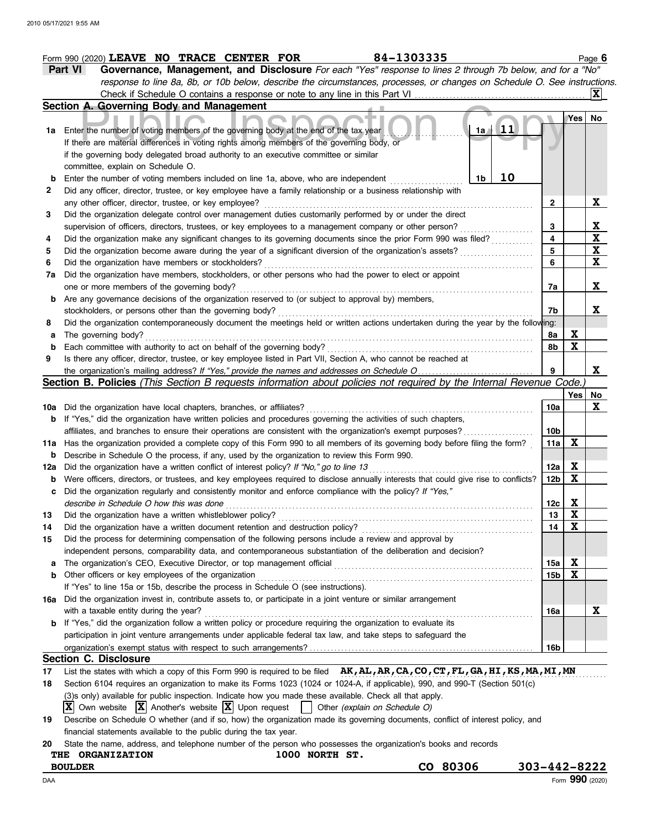|        | 84-1303335<br>Form 990 (2020) LEAVE NO TRACE CENTER FOR                                                                                                                                                                     |                 |     | Page 6                        |
|--------|-----------------------------------------------------------------------------------------------------------------------------------------------------------------------------------------------------------------------------|-----------------|-----|-------------------------------|
|        | Governance, Management, and Disclosure For each "Yes" response to lines 2 through 7b below, and for a "No"<br>Part VI                                                                                                       |                 |     |                               |
|        | response to line 8a, 8b, or 10b below, describe the circumstances, processes, or changes on Schedule O. See instructions.                                                                                                   |                 |     |                               |
|        | Check if Schedule O contains a response or note to any line in this Part VI                                                                                                                                                 |                 |     | X                             |
|        | Section A. Governing Body and Management                                                                                                                                                                                    |                 |     |                               |
|        |                                                                                                                                                                                                                             |                 | Yes | No                            |
|        | 11<br>1a Enter the number of voting members of the governing body at the end of the tax year<br>1a                                                                                                                          |                 |     |                               |
|        | If there are material differences in voting rights among members of the governing body, or                                                                                                                                  |                 |     |                               |
|        | if the governing body delegated broad authority to an executive committee or similar                                                                                                                                        |                 |     |                               |
|        | committee, explain on Schedule O.                                                                                                                                                                                           |                 |     |                               |
| b      | 10<br>Enter the number of voting members included on line 1a, above, who are independent<br>1b                                                                                                                              |                 |     |                               |
| 2      | Did any officer, director, trustee, or key employee have a family relationship or a business relationship with                                                                                                              |                 |     |                               |
|        | any other officer, director, trustee, or key employee?                                                                                                                                                                      | 2               |     | X                             |
| 3      | Did the organization delegate control over management duties customarily performed by or under the direct                                                                                                                   | 3               |     |                               |
| 4      | supervision of officers, directors, trustees, or key employees to a management company or other person?<br>Did the organization make any significant changes to its governing documents since the prior Form 990 was filed? | 4               |     | $rac{\mathbf{X}}{\mathbf{X}}$ |
| 5      | Did the organization become aware during the year of a significant diversion of the organization's assets?                                                                                                                  | 5               |     | $\overline{\mathbf{X}}$       |
| 6      | Did the organization have members or stockholders?                                                                                                                                                                          | 6               |     | $\overline{\mathbf{x}}$       |
| 7a     | Did the organization have members, stockholders, or other persons who had the power to elect or appoint                                                                                                                     |                 |     |                               |
|        | one or more members of the governing body?                                                                                                                                                                                  | 7a              |     | X                             |
| b      | Are any governance decisions of the organization reserved to (or subject to approval by) members,                                                                                                                           |                 |     |                               |
|        | stockholders, or persons other than the governing body?                                                                                                                                                                     | 7b              |     | X                             |
| 8      | Did the organization contemporaneously document the meetings held or written actions undertaken during the year by the following:                                                                                           |                 |     |                               |
| а      | The governing body?                                                                                                                                                                                                         | 8а              | X   |                               |
| b      | Each committee with authority to act on behalf of the governing body?                                                                                                                                                       | 8b              | X   |                               |
| 9      | Is there any officer, director, trustee, or key employee listed in Part VII, Section A, who cannot be reached at                                                                                                            |                 |     |                               |
|        |                                                                                                                                                                                                                             | 9               |     | X                             |
|        | Section B. Policies (This Section B requests information about policies not required by the Internal Revenue Code.                                                                                                          |                 |     |                               |
|        |                                                                                                                                                                                                                             |                 | Yes | No                            |
| 10a    | Did the organization have local chapters, branches, or affiliates?                                                                                                                                                          | 10a             |     | X                             |
|        | <b>b</b> If "Yes," did the organization have written policies and procedures governing the activities of such chapters,                                                                                                     |                 |     |                               |
|        | affiliates, and branches to ensure their operations are consistent with the organization's exempt purposes?                                                                                                                 | 10 <sub>b</sub> |     |                               |
| 11a    | Has the organization provided a complete copy of this Form 990 to all members of its governing body before filing the form?                                                                                                 | 11a             | X   |                               |
| b      | Describe in Schedule O the process, if any, used by the organization to review this Form 990.                                                                                                                               |                 |     |                               |
| 12a    | Did the organization have a written conflict of interest policy? If "No," go to line 13                                                                                                                                     | 12a             | X   |                               |
| b      | Were officers, directors, or trustees, and key employees required to disclose annually interests that could give rise to conflicts?                                                                                         | 12 <sub>b</sub> | X   |                               |
| c      | Did the organization regularly and consistently monitor and enforce compliance with the policy? If "Yes,"                                                                                                                   |                 |     |                               |
|        | describe in Schedule O how this was done                                                                                                                                                                                    | 12c             | X   |                               |
| 13     | Did the organization have a written whistleblower policy?                                                                                                                                                                   | 13              | X   |                               |
| 14     | Did the organization have a written document retention and destruction policy?                                                                                                                                              | 14              | X   |                               |
| 15     | Did the process for determining compensation of the following persons include a review and approval by                                                                                                                      |                 |     |                               |
|        | independent persons, comparability data, and contemporaneous substantiation of the deliberation and decision?<br>The organization's CEO, Executive Director, or top management official                                     |                 | X   |                               |
| a<br>b | Other officers or key employees of the organization                                                                                                                                                                         | 15a<br>15b      | X   |                               |
|        | If "Yes" to line 15a or 15b, describe the process in Schedule O (see instructions).                                                                                                                                         |                 |     |                               |
| 16a    | Did the organization invest in, contribute assets to, or participate in a joint venture or similar arrangement                                                                                                              |                 |     |                               |
|        | with a taxable entity during the year?                                                                                                                                                                                      | 16a             |     | X                             |
| b      | If "Yes," did the organization follow a written policy or procedure requiring the organization to evaluate its                                                                                                              |                 |     |                               |
|        | participation in joint venture arrangements under applicable federal tax law, and take steps to safeguard the                                                                                                               |                 |     |                               |
|        |                                                                                                                                                                                                                             | 16b             |     |                               |
|        | <b>Section C. Disclosure</b>                                                                                                                                                                                                |                 |     |                               |
| 17     | List the states with which a copy of this Form 990 is required to be filed AK, AL, AR, CA, CO, CT, FL, GA, HI, KS, MA, MI, MN                                                                                               |                 |     |                               |
| 18     | Section 6104 requires an organization to make its Forms 1023 (1024 or 1024-A, if applicable), 990, and 990-T (Section 501(c)                                                                                                |                 |     |                               |
|        | (3)s only) available for public inspection. Indicate how you made these available. Check all that apply.                                                                                                                    |                 |     |                               |
|        | Own website $ \mathbf{X} $ Another's website $ \mathbf{X} $ Upon request<br>Other (explain on Schedule O)                                                                                                                   |                 |     |                               |
| 19     | Describe on Schedule O whether (and if so, how) the organization made its governing documents, conflict of interest policy, and                                                                                             |                 |     |                               |
|        | financial statements available to the public during the tax year.                                                                                                                                                           |                 |     |                               |

| 20 State the name, address, and telephone number of the person who possesses the organization's books and records |  |  |  |  |
|-------------------------------------------------------------------------------------------------------------------|--|--|--|--|
|                                                                                                                   |  |  |  |  |

| 1000 NORTH ST.<br>THE ORGANIZATION |
|------------------------------------|
|------------------------------------|

**BOULDER CO 80306 303-442-8222**

DAA Form **990** (2020)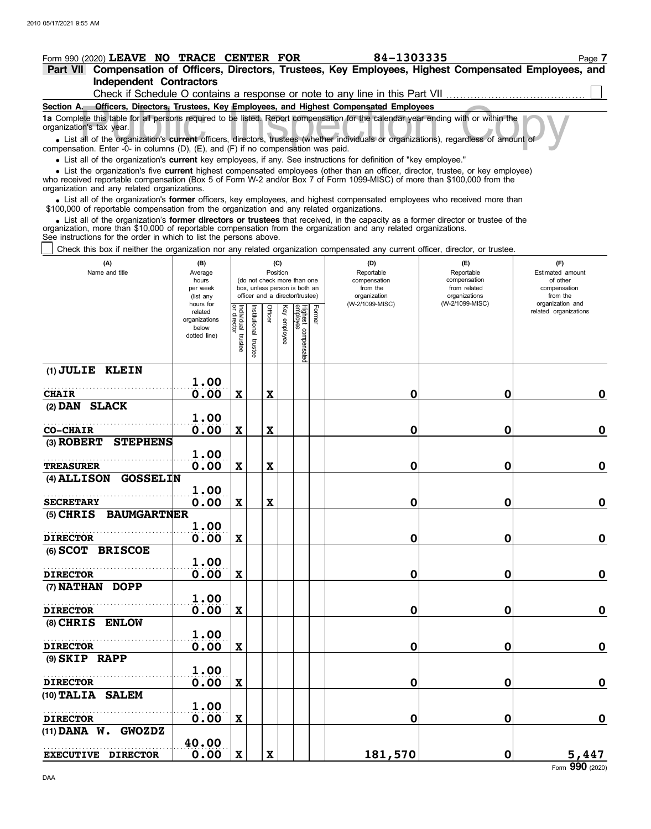|                          | Form 990 (2020) LEAVE NO TRACE CENTER FOR                                                |                                |  | 84-1303335                                                                                                                             | Page 7 |
|--------------------------|------------------------------------------------------------------------------------------|--------------------------------|--|----------------------------------------------------------------------------------------------------------------------------------------|--------|
|                          |                                                                                          |                                |  | Part VII Compensation of Officers, Directors, Trustees, Key Employees, Highest Compensated Employees, and                              |        |
|                          |                                                                                          | <b>Independent Contractors</b> |  |                                                                                                                                        |        |
|                          |                                                                                          |                                |  | Check if Schedule O contains a response or note to any line in this Part VII                                                           |        |
|                          |                                                                                          |                                |  | Section A. Officers, Directors, Trustees, Key Employees, and Highest Compensated Employees                                             |        |
| organization's tax year. |                                                                                          |                                |  | 1a Complete this table for all persons required to be listed. Report compensation for the calendar year ending with or within the      |        |
|                          | companeation Enter $\Omega$ in columns $(D)$ $(E)$ and $(E)$ if no companeation was paid |                                |  | • List all of the organization's current officers, directors, trustees (whether individuals or organizations), regardless of amount of |        |

compensation. Enter -0- in columns (D), (E), and (F) if no compensation was paid. organization's tax year.

List all of the organization's **current** key employees, if any. See instructions for definition of "key employee."

who received reportable compensation (Box 5 of Form W-2 and/or Box 7 of Form 1099-MISC) of more than \$100,000 from the organization and any related organizations. • List all of the organization's **current** key employees, if any. See instructions for definition of "key employee."<br>• List the organization's five **current** highest compensated employees (other than an officer, director,

• List all of the organization's **former** officers, key employees, and highest compensated employees who received more than<br>00,000 of reportable compensation from the organization and any related organizations \$100,000 of reportable compensation from the organization and any related organizations.

• List all of the organization's **former directors or trustees** that received, in the capacity as a former director or trustee of the anization more than \$10,000 of reportable compensation from the organization and any rel organization, more than \$10,000 of reportable compensation from the organization and any related organizations. See instructions for the order in which to list the persons above.

Check this box if neither the organization nor any related organization compensated any current officer, director, or trustee.

| (A)<br>Name and title              | (B)<br>Average<br>hours<br>per week<br>(list any<br>hours for | (C)<br>Position<br>(do not check more than one<br>box, unless person is both an<br>officer and a director/trustee) |                         |             |                 |                                           | (D)<br>Reportable<br>compensation<br>from the<br>organization<br>(W-2/1099-MISC) | (E)<br>Reportable<br>compensation<br>from related<br>organizations<br>(W-2/1099-MISC) | (F)<br>Estimated amount<br>of other<br>compensation<br>from the<br>organization and |
|------------------------------------|---------------------------------------------------------------|--------------------------------------------------------------------------------------------------------------------|-------------------------|-------------|-----------------|-------------------------------------------|----------------------------------------------------------------------------------|---------------------------------------------------------------------------------------|-------------------------------------------------------------------------------------|
|                                    | related<br>organizations<br>below<br>dotted line)             | Individual trustee<br>or director                                                                                  | nstitutional<br>trustee | Officer     | Ķey<br>employee | Highest compensated<br>employee<br>Former |                                                                                  |                                                                                       | related organizations                                                               |
| (1) JULIE KLEIN                    | 1.00                                                          |                                                                                                                    |                         |             |                 |                                           |                                                                                  |                                                                                       |                                                                                     |
| <b>CHAIR</b>                       | 0.00                                                          | $\boldsymbol{\mathrm{X}}$                                                                                          |                         | $\mathbf X$ |                 |                                           | $\mathbf 0$                                                                      | $\mathbf 0$                                                                           | $\mathbf 0$                                                                         |
| (2) DAN SLACK                      |                                                               |                                                                                                                    |                         |             |                 |                                           |                                                                                  |                                                                                       |                                                                                     |
|                                    | 1.00                                                          |                                                                                                                    |                         |             |                 |                                           |                                                                                  |                                                                                       |                                                                                     |
| <b>CO-CHAIR</b>                    | 0.00                                                          | $\boldsymbol{\mathrm{X}}$                                                                                          |                         | $\mathbf x$ |                 |                                           | 0                                                                                | 0                                                                                     | $\mathbf 0$                                                                         |
| (3) ROBERT<br><b>STEPHENS</b>      |                                                               |                                                                                                                    |                         |             |                 |                                           |                                                                                  |                                                                                       |                                                                                     |
|                                    | 1.00                                                          |                                                                                                                    |                         |             |                 |                                           |                                                                                  |                                                                                       |                                                                                     |
| <b>TREASURER</b>                   | 0.00                                                          | $\mathbf x$                                                                                                        |                         | $\mathbf x$ |                 |                                           | 0                                                                                | 0                                                                                     | $\mathbf 0$                                                                         |
| <b>GOSSELIN</b><br>$(4)$ ALLISON   |                                                               |                                                                                                                    |                         |             |                 |                                           |                                                                                  |                                                                                       |                                                                                     |
|                                    | 1.00                                                          |                                                                                                                    |                         |             |                 |                                           |                                                                                  |                                                                                       |                                                                                     |
| <b>SECRETARY</b>                   | 0.00                                                          | $\mathbf x$                                                                                                        |                         | $\mathbf x$ |                 |                                           | 0                                                                                | 0                                                                                     | $\mathbf 0$                                                                         |
| <b>BAUMGARTNER</b><br>$(5)$ CHRIS  |                                                               |                                                                                                                    |                         |             |                 |                                           |                                                                                  |                                                                                       |                                                                                     |
|                                    | 1.00                                                          |                                                                                                                    |                         |             |                 |                                           |                                                                                  |                                                                                       |                                                                                     |
| <b>DIRECTOR</b>                    | 0.00                                                          | $\mathbf x$                                                                                                        |                         |             |                 |                                           | 0                                                                                | 0                                                                                     | $\mathbf 0$                                                                         |
| (6) SCOT BRISCOE                   |                                                               |                                                                                                                    |                         |             |                 |                                           |                                                                                  |                                                                                       |                                                                                     |
|                                    | 1.00                                                          |                                                                                                                    |                         |             |                 |                                           |                                                                                  |                                                                                       |                                                                                     |
| <b>DIRECTOR</b>                    | 0.00                                                          | $\boldsymbol{\mathrm{X}}$                                                                                          |                         |             |                 |                                           | 0                                                                                | 0                                                                                     | $\mathbf 0$                                                                         |
| (7) NATHAN<br><b>DOPP</b>          |                                                               |                                                                                                                    |                         |             |                 |                                           |                                                                                  |                                                                                       |                                                                                     |
|                                    | 1.00                                                          |                                                                                                                    |                         |             |                 |                                           |                                                                                  |                                                                                       |                                                                                     |
| <b>DIRECTOR</b>                    | 0.00                                                          | $\mathbf x$                                                                                                        |                         |             |                 |                                           | 0                                                                                | 0                                                                                     | $\mathbf 0$                                                                         |
| (8) CHRIS ENLOW                    |                                                               |                                                                                                                    |                         |             |                 |                                           |                                                                                  |                                                                                       |                                                                                     |
|                                    | 1.00                                                          |                                                                                                                    |                         |             |                 |                                           |                                                                                  |                                                                                       |                                                                                     |
| <b>DIRECTOR</b>                    | 0.00                                                          | $\mathbf x$                                                                                                        |                         |             |                 |                                           | 0                                                                                | 0                                                                                     | $\mathbf 0$                                                                         |
| $(9)$ SKIP RAPP                    |                                                               |                                                                                                                    |                         |             |                 |                                           |                                                                                  |                                                                                       |                                                                                     |
| <b>DIRECTOR</b>                    | 1.00<br>0.00                                                  | $\mathbf x$                                                                                                        |                         |             |                 |                                           | 0                                                                                | 0                                                                                     | $\mathbf 0$                                                                         |
| <b>SALEM</b><br>$(10)$ TALIA       |                                                               |                                                                                                                    |                         |             |                 |                                           |                                                                                  |                                                                                       |                                                                                     |
|                                    | 1.00                                                          |                                                                                                                    |                         |             |                 |                                           |                                                                                  |                                                                                       |                                                                                     |
| <b>DIRECTOR</b>                    | 0.00                                                          | $\mathbf x$                                                                                                        |                         |             |                 |                                           | 0                                                                                | 0                                                                                     | $\mathbf 0$                                                                         |
| $(11)$ DANA $W$ .<br><b>GWOZDZ</b> |                                                               |                                                                                                                    |                         |             |                 |                                           |                                                                                  |                                                                                       |                                                                                     |
|                                    | 40.00                                                         |                                                                                                                    |                         |             |                 |                                           |                                                                                  |                                                                                       |                                                                                     |
| <b>EXECUTIVE DIRECTOR</b>          | 0.00                                                          | $\mathbf x$                                                                                                        |                         | $\mathbf x$ |                 |                                           | 181,570                                                                          | $\mathbf 0$                                                                           | 5,447                                                                               |
|                                    |                                                               |                                                                                                                    |                         |             |                 |                                           |                                                                                  |                                                                                       |                                                                                     |

Form **990** (2020)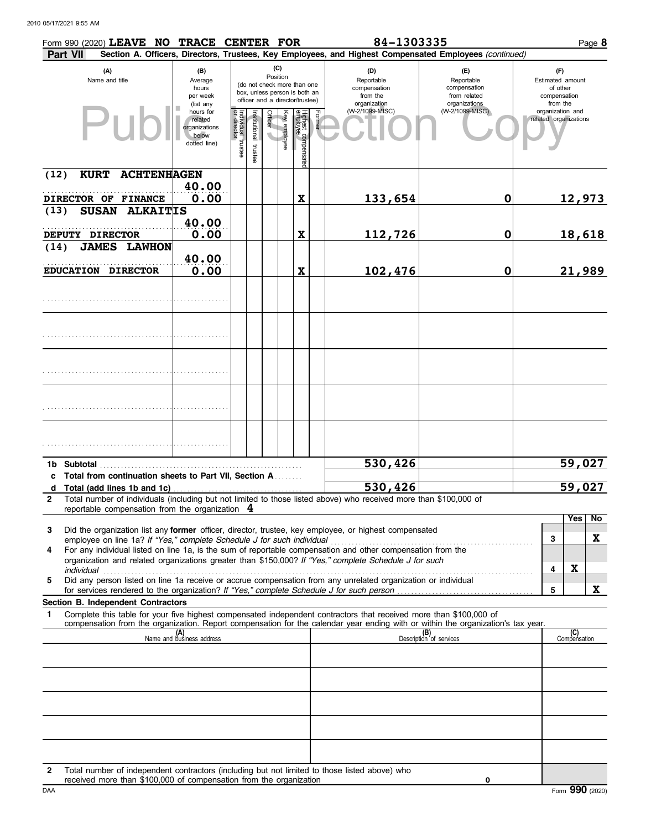|                 | Form 990 (2020) LEAVE NO TRACE CENTER FOR                |                                                                |                                   |                          |                                                                                                                    |                                                |        | 84-1303335                                                                                                                                                                                                                                             |                                                                    |                                                                 |                     | Page 8 |
|-----------------|----------------------------------------------------------|----------------------------------------------------------------|-----------------------------------|--------------------------|--------------------------------------------------------------------------------------------------------------------|------------------------------------------------|--------|--------------------------------------------------------------------------------------------------------------------------------------------------------------------------------------------------------------------------------------------------------|--------------------------------------------------------------------|-----------------------------------------------------------------|---------------------|--------|
| <b>Part VII</b> |                                                          |                                                                |                                   |                          |                                                                                                                    |                                                |        | Section A. Officers, Directors, Trustees, Key Employees, and Highest Compensated Employees (continued)                                                                                                                                                 |                                                                    |                                                                 |                     |        |
|                 | (A)<br>Name and title                                    | (B)<br>Average<br>hours<br>per week<br>(list any               |                                   |                          | (C)<br>Position<br>(do not check more than one<br>box, unless person is both an<br>officer and a director/trustee) |                                                |        | (D)<br>Reportable<br>compensation<br>from the<br>organization                                                                                                                                                                                          | (E)<br>Reportable<br>compensation<br>from related<br>organizations | (F)<br>Estimated amount<br>of other<br>compensation<br>from the |                     |        |
|                 | $P$ lk                                                   | hours for<br>related<br>organizations<br>below<br>dotted line) | Individual trustee<br>or director | Institutional<br>trustee | <b>Officer</b>                                                                                                     | Key employee<br>Highest compensate<br>employee | Former | (W-2/1099-MISC)                                                                                                                                                                                                                                        | (W-2/1099-MISC)                                                    | organization and<br>related organizations                       |                     |        |
| (12)            | <b>KURT</b><br><b>ACHTENHAGEN</b>                        |                                                                |                                   |                          |                                                                                                                    |                                                |        |                                                                                                                                                                                                                                                        |                                                                    |                                                                 |                     |        |
|                 | DIRECTOR OF FINANCE                                      | 40.00<br>0.00                                                  |                                   |                          |                                                                                                                    | X                                              |        | 133,654                                                                                                                                                                                                                                                | $\mathbf 0$                                                        |                                                                 | 12,973              |        |
| (13)            | SUSAN ALKAITIS                                           |                                                                |                                   |                          |                                                                                                                    |                                                |        |                                                                                                                                                                                                                                                        |                                                                    |                                                                 |                     |        |
|                 | DEPUTY DIRECTOR                                          | 40.00<br>0.00                                                  |                                   |                          |                                                                                                                    | X                                              |        | 112,726                                                                                                                                                                                                                                                | $\mathbf 0$                                                        |                                                                 | 18,618              |        |
| (14)            | <b>JAMES LAWHON</b>                                      |                                                                |                                   |                          |                                                                                                                    |                                                |        |                                                                                                                                                                                                                                                        |                                                                    |                                                                 |                     |        |
|                 | EDUCATION DIRECTOR                                       | 40.00<br>0.00                                                  |                                   |                          |                                                                                                                    | $\mathbf x$                                    |        | 102,476                                                                                                                                                                                                                                                | $\mathbf 0$                                                        |                                                                 | 21,989              |        |
|                 |                                                          |                                                                |                                   |                          |                                                                                                                    |                                                |        |                                                                                                                                                                                                                                                        |                                                                    |                                                                 |                     |        |
|                 |                                                          |                                                                |                                   |                          |                                                                                                                    |                                                |        |                                                                                                                                                                                                                                                        |                                                                    |                                                                 |                     |        |
|                 |                                                          |                                                                |                                   |                          |                                                                                                                    |                                                |        |                                                                                                                                                                                                                                                        |                                                                    |                                                                 |                     |        |
|                 |                                                          |                                                                |                                   |                          |                                                                                                                    |                                                |        |                                                                                                                                                                                                                                                        |                                                                    |                                                                 |                     |        |
|                 |                                                          |                                                                |                                   |                          |                                                                                                                    |                                                |        |                                                                                                                                                                                                                                                        |                                                                    |                                                                 |                     |        |
| 1b Subtotal     |                                                          |                                                                |                                   |                          |                                                                                                                    |                                                |        | 530,426                                                                                                                                                                                                                                                |                                                                    |                                                                 | 59,027              |        |
|                 | c Total from continuation sheets to Part VII, Section A. |                                                                |                                   |                          |                                                                                                                    |                                                |        | 530,426                                                                                                                                                                                                                                                |                                                                    |                                                                 | 59,027              |        |
| $\overline{2}$  | reportable compensation from the organization $4$        |                                                                |                                   |                          |                                                                                                                    |                                                |        | Total number of individuals (including but not limited to those listed above) who received more than \$100,000 of                                                                                                                                      |                                                                    |                                                                 |                     |        |
|                 |                                                          |                                                                |                                   |                          |                                                                                                                    |                                                |        |                                                                                                                                                                                                                                                        |                                                                    |                                                                 | Yes                 | No     |
| 3               |                                                          |                                                                |                                   |                          |                                                                                                                    |                                                |        | Did the organization list any former officer, director, trustee, key employee, or highest compensated                                                                                                                                                  |                                                                    | 3                                                               |                     | X      |
| 4               |                                                          |                                                                |                                   |                          |                                                                                                                    |                                                |        | For any individual listed on line 1a, is the sum of reportable compensation and other compensation from the                                                                                                                                            |                                                                    |                                                                 |                     |        |
|                 |                                                          |                                                                |                                   |                          |                                                                                                                    |                                                |        | organization and related organizations greater than \$150,000? If "Yes," complete Schedule J for such                                                                                                                                                  |                                                                    | 4                                                               | $\mathbf X$         |        |
| 5               |                                                          |                                                                |                                   |                          |                                                                                                                    |                                                |        | Did any person listed on line 1a receive or accrue compensation from any unrelated organization or individual                                                                                                                                          |                                                                    |                                                                 |                     |        |
|                 | Section B. Independent Contractors                       |                                                                |                                   |                          |                                                                                                                    |                                                |        |                                                                                                                                                                                                                                                        |                                                                    | 5                                                               |                     | X      |
| 1               |                                                          |                                                                |                                   |                          |                                                                                                                    |                                                |        | Complete this table for your five highest compensated independent contractors that received more than \$100,000 of<br>compensation from the organization. Report compensation for the calendar year ending with or within the organization's tax year. |                                                                    |                                                                 |                     |        |
|                 |                                                          | (A)<br>Name and business address                               |                                   |                          |                                                                                                                    |                                                |        |                                                                                                                                                                                                                                                        | (B)<br>Description of services                                     |                                                                 | (C)<br>Compensation |        |
|                 |                                                          |                                                                |                                   |                          |                                                                                                                    |                                                |        |                                                                                                                                                                                                                                                        |                                                                    |                                                                 |                     |        |
|                 |                                                          |                                                                |                                   |                          |                                                                                                                    |                                                |        |                                                                                                                                                                                                                                                        |                                                                    |                                                                 |                     |        |
|                 |                                                          |                                                                |                                   |                          |                                                                                                                    |                                                |        |                                                                                                                                                                                                                                                        |                                                                    |                                                                 |                     |        |
|                 |                                                          |                                                                |                                   |                          |                                                                                                                    |                                                |        |                                                                                                                                                                                                                                                        |                                                                    |                                                                 |                     |        |
|                 |                                                          |                                                                |                                   |                          |                                                                                                                    |                                                |        |                                                                                                                                                                                                                                                        |                                                                    |                                                                 |                     |        |

| Total number of independent contractors (including but not limited to those listed above) who |
|-----------------------------------------------------------------------------------------------|
| received more than \$100,000 of compensation from the organization                            |

**0**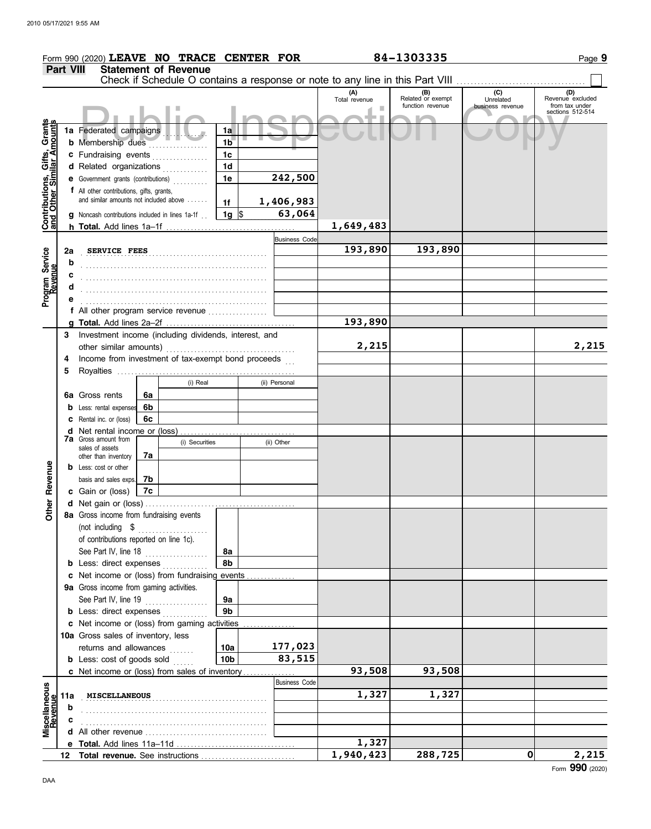|                                                           |                  | Form 990 (2020) LEAVE NO TRACE CENTER FOR                                  |          |                             |                 |  |                      |                            | 84-1303335                                                                    |                                      | Page 9                                                        |
|-----------------------------------------------------------|------------------|----------------------------------------------------------------------------|----------|-----------------------------|-----------------|--|----------------------|----------------------------|-------------------------------------------------------------------------------|--------------------------------------|---------------------------------------------------------------|
|                                                           | <b>Part VIII</b> |                                                                            |          | <b>Statement of Revenue</b> |                 |  |                      |                            |                                                                               |                                      |                                                               |
|                                                           |                  |                                                                            |          |                             |                 |  |                      |                            | Check if Schedule O contains a response or note to any line in this Part VIII |                                      |                                                               |
|                                                           |                  |                                                                            |          |                             |                 |  |                      | (A)<br>Total revenue<br>m. | (B)<br>Related or exempt<br>function revenue                                  | (C)<br>Unrelated<br>business revenue | (D)<br>Revenue excluded<br>from tax under<br>sections 512-514 |
|                                                           |                  |                                                                            |          |                             |                 |  |                      |                            |                                                                               |                                      |                                                               |
| Contributions, Gifts, Grants<br>and Other Similar Amounts |                  | 1a Federated campaigns<br>1a<br><b>b</b> Membership dues<br>1 <sub>b</sub> |          |                             |                 |  |                      |                            |                                                                               |                                      |                                                               |
|                                                           |                  | c Fundraising events                                                       |          |                             | 1 <sub>c</sub>  |  |                      |                            |                                                                               |                                      |                                                               |
|                                                           |                  | d Related organizations                                                    |          |                             | 1 <sub>d</sub>  |  |                      |                            |                                                                               |                                      |                                                               |
|                                                           |                  | e Government grants (contributions)                                        |          |                             | 1e              |  | 242,500              |                            |                                                                               |                                      |                                                               |
|                                                           |                  | f All other contributions, gifts, grants,                                  |          |                             |                 |  |                      |                            |                                                                               |                                      |                                                               |
|                                                           |                  | and similar amounts not included above                                     |          |                             | 1f              |  | 1,406,983            |                            |                                                                               |                                      |                                                               |
|                                                           |                  | <b>g</b> Noncash contributions included in lines 1a-1f.                    |          |                             | $1g \sqrt{3}$   |  | 63,064               |                            |                                                                               |                                      |                                                               |
|                                                           |                  |                                                                            |          |                             |                 |  |                      | 1,649,483                  |                                                                               |                                      |                                                               |
|                                                           |                  |                                                                            |          |                             |                 |  | <b>Business Code</b> | 193,890                    | 193,890                                                                       |                                      |                                                               |
| Program Service                                           | 2a<br>b          |                                                                            |          | SERVICE FEES                |                 |  |                      |                            |                                                                               |                                      |                                                               |
|                                                           | с                |                                                                            |          |                             |                 |  |                      |                            |                                                                               |                                      |                                                               |
|                                                           | d                |                                                                            |          |                             |                 |  |                      |                            |                                                                               |                                      |                                                               |
|                                                           |                  |                                                                            |          |                             |                 |  |                      |                            |                                                                               |                                      |                                                               |
|                                                           |                  | f All other program service revenue                                        |          |                             |                 |  |                      |                            |                                                                               |                                      |                                                               |
|                                                           |                  |                                                                            |          |                             |                 |  |                      | 193,890                    |                                                                               |                                      |                                                               |
|                                                           | 3                | Investment income (including dividends, interest, and                      |          |                             |                 |  |                      |                            |                                                                               |                                      |                                                               |
|                                                           |                  |                                                                            |          |                             |                 |  |                      | 2,215                      |                                                                               |                                      | 2,215                                                         |
|                                                           | 4                | Income from investment of tax-exempt bond proceeds                         |          |                             |                 |  |                      |                            |                                                                               |                                      |                                                               |
|                                                           | 5                |                                                                            |          |                             |                 |  |                      |                            |                                                                               |                                      |                                                               |
|                                                           |                  |                                                                            |          | (i) Real                    |                 |  | (ii) Personal        |                            |                                                                               |                                      |                                                               |
|                                                           |                  | 6a Gross rents                                                             | 6a       |                             |                 |  |                      |                            |                                                                               |                                      |                                                               |
|                                                           |                  | <b>b</b> Less: rental expenses                                             | 6b<br>6c |                             |                 |  |                      |                            |                                                                               |                                      |                                                               |
|                                                           |                  | <b>c</b> Rental inc. or (loss)<br><b>d</b> Net rental income or (loss)     |          |                             |                 |  |                      |                            |                                                                               |                                      |                                                               |
|                                                           |                  | <b>7a</b> Gross amount from                                                |          | (i) Securities              |                 |  | (ii) Other           |                            |                                                                               |                                      |                                                               |
|                                                           |                  | sales of assets<br>other than inventory                                    | 7a       |                             |                 |  |                      |                            |                                                                               |                                      |                                                               |
|                                                           |                  | <b>b</b> Less: cost or other                                               |          |                             |                 |  |                      |                            |                                                                               |                                      |                                                               |
| Revenue                                                   |                  | basis and sales exps.                                                      | 7b       |                             |                 |  |                      |                            |                                                                               |                                      |                                                               |
|                                                           |                  | c Gain or (loss)                                                           | 7c       |                             |                 |  |                      |                            |                                                                               |                                      |                                                               |
| Other                                                     |                  |                                                                            |          |                             |                 |  |                      |                            |                                                                               |                                      |                                                               |
|                                                           |                  | 8a Gross income from fundraising events                                    |          |                             |                 |  |                      |                            |                                                                               |                                      |                                                               |
|                                                           |                  | (not including \$                                                          |          | .                           |                 |  |                      |                            |                                                                               |                                      |                                                               |
|                                                           |                  | of contributions reported on line 1c).                                     |          |                             | 8a              |  |                      |                            |                                                                               |                                      |                                                               |
|                                                           |                  | See Part IV, line 18<br><b>b</b> Less: direct expenses                     |          |                             | 8b              |  |                      |                            |                                                                               |                                      |                                                               |
|                                                           |                  | c Net income or (loss) from fundraising events                             |          |                             |                 |  |                      |                            |                                                                               |                                      |                                                               |
|                                                           |                  | 9a Gross income from gaming activities.                                    |          |                             |                 |  |                      |                            |                                                                               |                                      |                                                               |
|                                                           |                  | See Part IV, line 19                                                       |          |                             | 9а              |  |                      |                            |                                                                               |                                      |                                                               |
|                                                           |                  | <b>b</b> Less: direct expenses                                             |          |                             | 9 <sub>b</sub>  |  |                      |                            |                                                                               |                                      |                                                               |
|                                                           |                  | c Net income or (loss) from gaming activities                              |          |                             |                 |  |                      |                            |                                                                               |                                      |                                                               |
|                                                           |                  | 10a Gross sales of inventory, less                                         |          |                             |                 |  |                      |                            |                                                                               |                                      |                                                               |
|                                                           |                  | returns and allowances                                                     |          |                             | 10a             |  | 177,023              |                            |                                                                               |                                      |                                                               |
|                                                           |                  | <b>b</b> Less: cost of goods sold                                          |          |                             | 10 <sub>b</sub> |  | 83,515               |                            |                                                                               |                                      |                                                               |
|                                                           |                  | c Net income or (loss) from sales of inventory                             |          |                             |                 |  | <b>Business Code</b> | 93,508                     | 93,508                                                                        |                                      |                                                               |
|                                                           |                  |                                                                            |          |                             |                 |  |                      | 1,327                      | 1,327                                                                         |                                      |                                                               |
| Miscellaneous<br>Revenue                                  | 11a<br>b         | <b>MISCELLANEOUS</b>                                                       |          |                             |                 |  |                      |                            |                                                                               |                                      |                                                               |
|                                                           |                  |                                                                            |          |                             |                 |  |                      |                            |                                                                               |                                      |                                                               |
|                                                           |                  |                                                                            |          |                             |                 |  |                      |                            |                                                                               |                                      |                                                               |
|                                                           |                  |                                                                            |          |                             |                 |  |                      | 1,327                      |                                                                               |                                      |                                                               |
|                                                           | 12               | Total revenue. See instructions                                            |          |                             |                 |  |                      | 1,940,423                  | 288,725                                                                       | 0                                    | 2,215                                                         |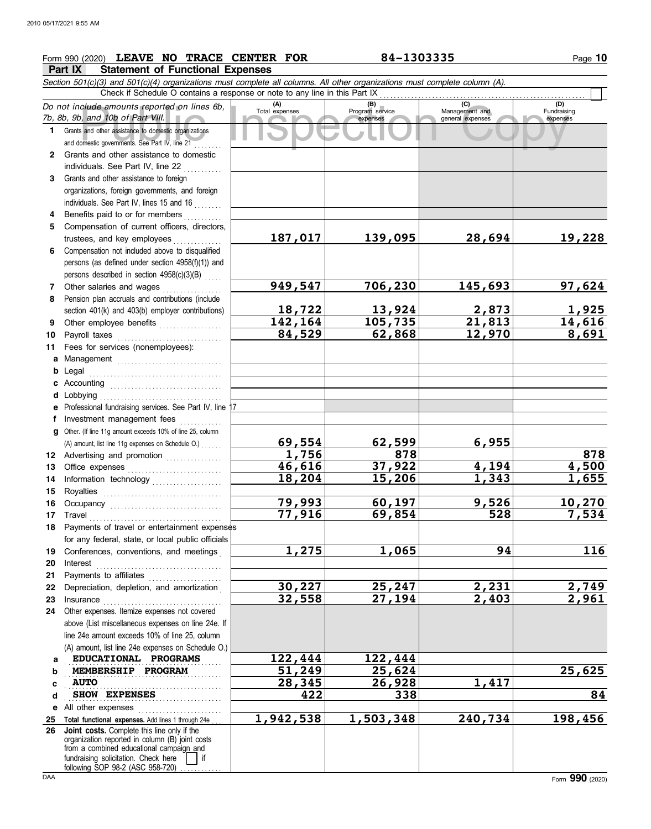## **Form 990 (2020) LEAVE NO TRACE CENTER FOR 84-1303335** Page 10

**Part IX Statement of Functional Expenses**

|          | PAIL IA<br>Statement of Functional Experises                                                                                                                                                              |                       |                                    |                                           |                                |  |  |  |  |
|----------|-----------------------------------------------------------------------------------------------------------------------------------------------------------------------------------------------------------|-----------------------|------------------------------------|-------------------------------------------|--------------------------------|--|--|--|--|
|          | Section 501(c)(3) and 501(c)(4) organizations must complete all columns. All other organizations must complete column (A).<br>Check if Schedule O contains a response or note to any line in this Part IX |                       |                                    |                                           |                                |  |  |  |  |
|          | Do not include amounts reported on lines 6b,<br>7b, 8b, 9b, and 10b of Part VIII.                                                                                                                         | (A)<br>Total expenses | (B)<br>Program service<br>expenses | (C)<br>Management and<br>general expenses | (D)<br>Fundraising<br>expenses |  |  |  |  |
|          | 1 Grants and other assistance to domestic organizations<br>and domestic governments. See Part IV, line 21                                                                                                 |                       |                                    |                                           |                                |  |  |  |  |
| 2        | Grants and other assistance to domestic                                                                                                                                                                   |                       |                                    |                                           |                                |  |  |  |  |
|          | individuals. See Part IV, line 22                                                                                                                                                                         |                       |                                    |                                           |                                |  |  |  |  |
| 3        | Grants and other assistance to foreign<br>organizations, foreign governments, and foreign<br>individuals. See Part IV, lines 15 and 16                                                                    |                       |                                    |                                           |                                |  |  |  |  |
| 4        | Benefits paid to or for members                                                                                                                                                                           |                       |                                    |                                           |                                |  |  |  |  |
| 5.       | Compensation of current officers, directors,                                                                                                                                                              |                       |                                    |                                           |                                |  |  |  |  |
|          | trustees, and key employees                                                                                                                                                                               | 187,017               | 139,095                            | 28,694                                    | 19,228                         |  |  |  |  |
| 6.       | Compensation not included above to disqualified<br>persons (as defined under section 4958(f)(1)) and                                                                                                      |                       |                                    |                                           |                                |  |  |  |  |
|          | persons described in section 4958(c)(3)(B)                                                                                                                                                                |                       |                                    |                                           |                                |  |  |  |  |
| 7        | Other salaries and wages                                                                                                                                                                                  | 949,547               | 706,230                            | 145,693                                   | 97,624                         |  |  |  |  |
| 8        | Pension plan accruals and contributions (include<br>section 401(k) and 403(b) employer contributions)                                                                                                     | 18,722                | 13,924                             | 2,873                                     | <u>1,925</u>                   |  |  |  |  |
| 9        | Other employee benefits                                                                                                                                                                                   | 142,164               | 105,735                            | 21,813                                    | 14,616                         |  |  |  |  |
| 10       | Payroll taxes                                                                                                                                                                                             | 84,529                | 62,868                             | 12,970                                    | 8,691                          |  |  |  |  |
| 11       | Fees for services (nonemployees):                                                                                                                                                                         |                       |                                    |                                           |                                |  |  |  |  |
| a        | Management Management                                                                                                                                                                                     |                       |                                    |                                           |                                |  |  |  |  |
| b        | Legal                                                                                                                                                                                                     |                       |                                    |                                           |                                |  |  |  |  |
| c        | Accounting                                                                                                                                                                                                |                       |                                    |                                           |                                |  |  |  |  |
|          | d Lobbying                                                                                                                                                                                                |                       |                                    |                                           |                                |  |  |  |  |
| е        | Professional fundraising services. See Part IV, line 17                                                                                                                                                   |                       |                                    |                                           |                                |  |  |  |  |
| f.       | Investment management fees                                                                                                                                                                                |                       |                                    |                                           |                                |  |  |  |  |
| a        | Other. (If line 11g amount exceeds 10% of line 25, column<br>(A) amount, list line 11g expenses on Schedule O.)                                                                                           | 69,554                | 62,599                             | 6,955                                     |                                |  |  |  |  |
|          | 12 Advertising and promotion                                                                                                                                                                              | 1,756                 | 878                                |                                           | 878                            |  |  |  |  |
| 13       |                                                                                                                                                                                                           | 46,616                | 37,922                             | 4,194                                     | 4,500                          |  |  |  |  |
| 14       | Information technology                                                                                                                                                                                    | 18,204                | 15,206                             | 1,343                                     | 1,655                          |  |  |  |  |
| 15       | Royalties                                                                                                                                                                                                 |                       |                                    |                                           |                                |  |  |  |  |
| 16       | Occupancy                                                                                                                                                                                                 | 79,993                | 60,197                             | 9,526                                     | 10,270                         |  |  |  |  |
| 17       | Travel                                                                                                                                                                                                    | 77,916                | 69,854                             | 528                                       | 7,534                          |  |  |  |  |
|          | 18 Payments of travel or entertainment expenses                                                                                                                                                           |                       |                                    |                                           |                                |  |  |  |  |
|          | for any federal, state, or local public officials                                                                                                                                                         |                       |                                    | 94                                        |                                |  |  |  |  |
| 19<br>20 | Conferences, conventions, and meetings<br>Interest                                                                                                                                                        | 1,275                 | 1,065                              |                                           | 116                            |  |  |  |  |
| 21       | Payments to affiliates                                                                                                                                                                                    |                       |                                    |                                           |                                |  |  |  |  |
| 22       | Depreciation, depletion, and amortization                                                                                                                                                                 | <u>30,227</u>         | 25,247                             | 2,231                                     |                                |  |  |  |  |
| 23       | Insurance                                                                                                                                                                                                 | 32,558                | $\overline{27,194}$                | 2,403                                     | $\frac{2,749}{2,961}$          |  |  |  |  |
| 24       | Other expenses. Itemize expenses not covered                                                                                                                                                              |                       |                                    |                                           |                                |  |  |  |  |
|          | above (List miscellaneous expenses on line 24e. If                                                                                                                                                        |                       |                                    |                                           |                                |  |  |  |  |
|          | line 24e amount exceeds 10% of line 25, column                                                                                                                                                            |                       |                                    |                                           |                                |  |  |  |  |
|          | (A) amount, list line 24e expenses on Schedule O.)                                                                                                                                                        |                       |                                    |                                           |                                |  |  |  |  |
| a        | EDUCATIONAL PROGRAMS<br>MEMBERSHIP PROGRAM                                                                                                                                                                | 122,444<br>51,249     | 122,444<br>25,624                  |                                           | 25,625                         |  |  |  |  |
| b<br>c   | <b>AUTO</b>                                                                                                                                                                                               | 28,345                | 26,928                             | 1,417                                     |                                |  |  |  |  |
| d        | SHOW EXPENSES                                                                                                                                                                                             | 422                   | 338                                |                                           | 84                             |  |  |  |  |
| е        | All other expenses                                                                                                                                                                                        |                       |                                    |                                           |                                |  |  |  |  |
| 25       | Total functional expenses. Add lines 1 through 24e                                                                                                                                                        | 1,942,538             | 1,503,348                          | 240,734                                   | 198,456                        |  |  |  |  |
| 26       | Joint costs. Complete this line only if the<br>organization reported in column (B) joint costs<br>from a combined educational campaign and                                                                |                       |                                    |                                           |                                |  |  |  |  |
|          | fundraising solicitation. Check here<br>following SOP 98-2 (ASC 958-720)                                                                                                                                  |                       |                                    |                                           |                                |  |  |  |  |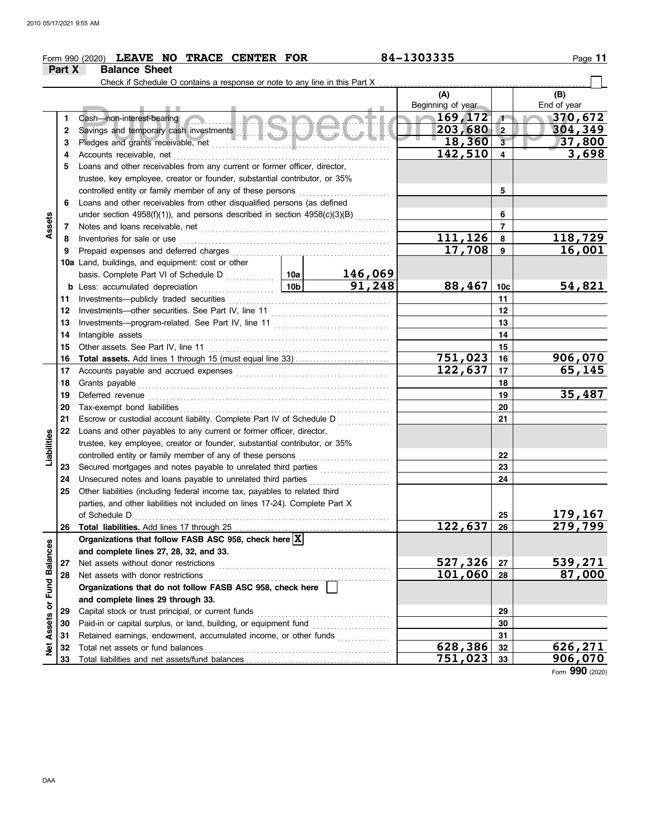|                      |          | Form 990 (2020) LEAVE NO TRACE CENTER FOR                                                       |                 |         | 84-1303335               |                         | Page 11            |
|----------------------|----------|-------------------------------------------------------------------------------------------------|-----------------|---------|--------------------------|-------------------------|--------------------|
|                      | Part X   | <b>Balance Sheet</b>                                                                            |                 |         |                          |                         |                    |
|                      |          |                                                                                                 |                 |         |                          |                         |                    |
|                      |          |                                                                                                 |                 |         | (A)<br>Beginning of year |                         | (B)<br>End of year |
|                      | 1        | <u> Inana</u><br>Cash-non-interest-bearing                                                      |                 |         | $\sqrt{169,172}$         | $\sqrt{1}$              | 370,672            |
|                      | 2        |                                                                                                 |                 |         | $203,680$ 2              |                         | 304,349            |
|                      | 3        |                                                                                                 |                 |         | 18,360                   | $\overline{\mathbf{3}}$ | 37,800             |
|                      | 4        | Accounts receivable, net                                                                        |                 |         | 142,510                  | 4                       | 3,698              |
|                      | 5        | Loans and other receivables from any current or former officer, director,                       |                 |         |                          |                         |                    |
|                      |          | trustee, key employee, creator or founder, substantial contributor, or 35%                      |                 |         |                          |                         |                    |
|                      |          | controlled entity or family member of any of these persons                                      |                 |         |                          | 5                       |                    |
|                      | 6        | Loans and other receivables from other disqualified persons (as defined                         |                 |         |                          |                         |                    |
|                      |          | under section 4958(f)(1)), and persons described in section $4958(c)(3)(B)$                     |                 |         |                          | 6                       |                    |
| Assets               | 7        |                                                                                                 |                 |         |                          | $\overline{7}$          |                    |
|                      | 8        | Inventories for sale or use                                                                     |                 |         | 111,126                  | 8                       | 118,729            |
|                      | 9        | Prepaid expenses and deferred charges                                                           |                 |         | 17,708                   | 9                       | 16,001             |
|                      |          | 10a Land, buildings, and equipment: cost or other                                               |                 |         |                          |                         |                    |
|                      |          |                                                                                                 |                 | 146,069 |                          |                         |                    |
|                      |          | <b>b</b> Less: accumulated depreciation                                                         | 10 <sub>b</sub> | 91,248  | 88,467                   | 10c                     | 54,821             |
|                      | 11       | Investments-publicly traded securities                                                          |                 |         |                          | 11                      |                    |
|                      | 12       | Investments-other securities. See Part IV, line 11                                              |                 | 12      |                          |                         |                    |
|                      | 13       |                                                                                                 |                 | 13      |                          |                         |                    |
|                      | 14       | Intangible assets                                                                               |                 | 14      |                          |                         |                    |
|                      | 15       | Other assets. See Part IV, line 11                                                              |                 | 15      |                          |                         |                    |
|                      | 16       |                                                                                                 |                 |         | <u>751,023</u>           | 16                      | 906,070            |
|                      | 17       |                                                                                                 | 122,637         | 17      | 65, 145                  |                         |                    |
|                      | 18       | Grants payable                                                                                  |                 | 18      |                          |                         |                    |
|                      | 19       | Deferred revenue                                                                                |                 |         |                          | 19                      | 35,487             |
|                      | 20       |                                                                                                 |                 |         |                          | 20                      |                    |
|                      | 21       | Escrow or custodial account liability. Complete Part IV of Schedule D                           |                 |         |                          | 21                      |                    |
|                      | 22       | Loans and other payables to any current or former officer, director,                            |                 |         |                          |                         |                    |
|                      |          | trustee, key employee, creator or founder, substantial contributor, or 35%                      |                 |         |                          |                         |                    |
| Liabilities          |          | controlled entity or family member of any of these persons                                      |                 |         |                          | 22                      |                    |
|                      | 23       |                                                                                                 |                 |         |                          | 23                      |                    |
|                      | 24       | Unsecured notes and loans payable to unrelated third parties                                    |                 | .       |                          | 24                      |                    |
|                      | 25       | Other liabilities (including federal income tax, payables to related third                      |                 |         |                          |                         |                    |
|                      |          | parties, and other liabilities not included on lines 17-24). Complete Part X                    |                 |         |                          |                         |                    |
|                      |          | of Schedule D                                                                                   |                 |         |                          | 25                      | 179,167            |
|                      | 26       |                                                                                                 |                 |         | 122,637                  | 26                      | 279,799            |
|                      |          | Organizations that follow FASB ASC 958, check here X                                            |                 |         |                          |                         |                    |
|                      |          | and complete lines 27, 28, 32, and 33.                                                          |                 |         | 527,326                  |                         | 539,271            |
| <b>Fund Balances</b> | 27<br>28 | Net assets without donor restrictions                                                           |                 |         | 101,060                  | 27<br>28                | 87,000             |
|                      |          | Net assets with donor restrictions<br>Organizations that do not follow FASB ASC 958, check here |                 |         |                          |                         |                    |
|                      |          |                                                                                                 |                 |         |                          |                         |                    |
|                      | 29       | and complete lines 29 through 33.<br>Capital stock or trust principal, or current funds         |                 |         |                          | 29                      |                    |
|                      | 30       | Paid-in or capital surplus, or land, building, or equipment fund                                |                 |         |                          | 30                      |                    |
| Assets or            | 31       | Retained earnings, endowment, accumulated income, or other funds                                |                 |         |                          | 31                      |                    |
| ğ                    | 32       | Total net assets or fund balances                                                               |                 |         | 628,386                  | 32                      | 626,271            |
|                      | 33       |                                                                                                 |                 |         | 751,023                  | 33                      | 906,070            |
|                      |          |                                                                                                 |                 |         |                          |                         |                    |

Form **990** (2020)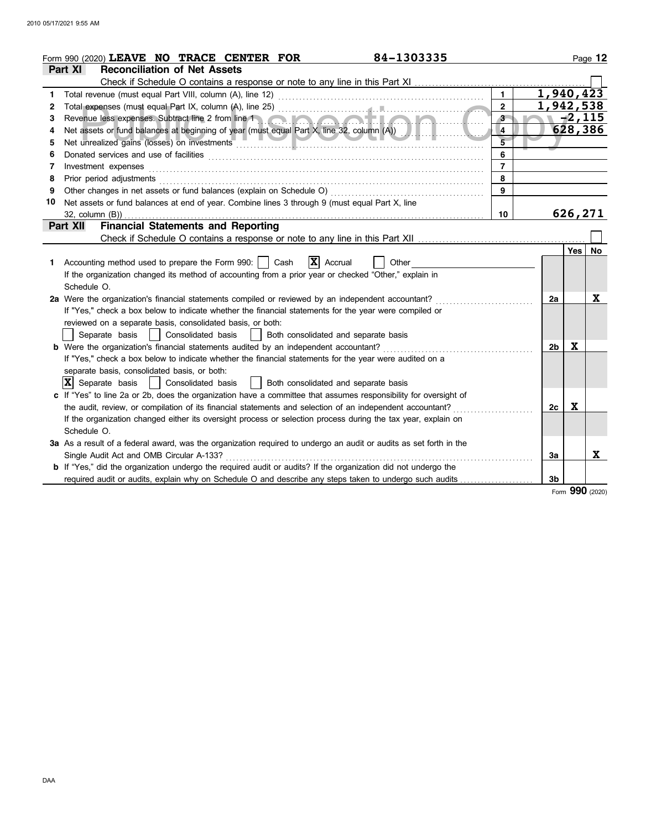|    | 84-1303335<br>Form 990 (2020) LEAVE NO TRACE CENTER FOR                                                                                                                                                                        |                         |                        |          | Page 12   |
|----|--------------------------------------------------------------------------------------------------------------------------------------------------------------------------------------------------------------------------------|-------------------------|------------------------|----------|-----------|
|    | <b>Reconciliation of Net Assets</b><br>Part XI                                                                                                                                                                                 |                         |                        |          |           |
|    | Check if Schedule O contains a response or note to any line in this Part XI                                                                                                                                                    |                         |                        |          |           |
| 1  |                                                                                                                                                                                                                                | $\mathbf{1}$            | $\overline{1,940,423}$ |          |           |
| 2  |                                                                                                                                                                                                                                | $\overline{2}$          | 1,942,538              |          |           |
| 3  | Revenue less expenses. Subtract line 2 from line 1 and 1 and 1 and 1 and 1 and 1 and 1 and 1 and 1 and 1 and 1                                                                                                                 | 3 <sup>2</sup>          |                        | $-2,115$ |           |
| 4  | Net assets or fund balances at beginning of year (must equal Part X, line 32, column (A))                                                                                                                                      | $\overline{\mathbf{4}}$ |                        | 628,386  |           |
| 5  | Net unrealized gains (losses) on investments entertainments and contain the containing of the containing of the                                                                                                                | $\overline{5}$          |                        |          |           |
| 6  | Donated services and use of facilities <b>constructs</b> and the service of the service of the services and use of facilities                                                                                                  | 6                       |                        |          |           |
| 7  | Investment expenses                                                                                                                                                                                                            | $\overline{7}$          |                        |          |           |
| 8  | Prior period adjustments entertainments and a statements of the statement of the statements of the statements of the statements of the statements of the statements of the statements of the statement of the statements of th | 8                       |                        |          |           |
| 9  |                                                                                                                                                                                                                                | $\mathbf{9}$            |                        |          |           |
| 10 | Net assets or fund balances at end of year. Combine lines 3 through 9 (must equal Part X, line                                                                                                                                 |                         |                        |          |           |
|    | $32$ , column $(B)$ )                                                                                                                                                                                                          | 10                      |                        | 626,271  |           |
|    | <b>Financial Statements and Reporting</b><br><b>Part XII</b>                                                                                                                                                                   |                         |                        |          |           |
|    |                                                                                                                                                                                                                                |                         |                        |          |           |
|    |                                                                                                                                                                                                                                |                         |                        | Yes      | <b>No</b> |
| 1. | $\mathbf{X}$ Accrual<br>Accounting method used to prepare the Form 990:     Cash<br>Other                                                                                                                                      |                         |                        |          |           |
|    | If the organization changed its method of accounting from a prior year or checked "Other," explain in                                                                                                                          |                         |                        |          |           |
|    | Schedule O.                                                                                                                                                                                                                    |                         |                        |          |           |
|    | 2a Were the organization's financial statements compiled or reviewed by an independent accountant?                                                                                                                             |                         | 2a                     |          | X         |
|    | If "Yes," check a box below to indicate whether the financial statements for the year were compiled or                                                                                                                         |                         |                        |          |           |
|    | reviewed on a separate basis, consolidated basis, or both:                                                                                                                                                                     |                         |                        |          |           |
|    | Consolidated basis     Both consolidated and separate basis<br>Separate basis                                                                                                                                                  |                         |                        |          |           |
|    | <b>b</b> Were the organization's financial statements audited by an independent accountant?                                                                                                                                    |                         | 2b                     | X        |           |
|    | If "Yes," check a box below to indicate whether the financial statements for the year were audited on a                                                                                                                        |                         |                        |          |           |
|    | separate basis, consolidated basis, or both:                                                                                                                                                                                   |                         |                        |          |           |
|    | $ \mathbf{X} $ Separate basis<br>  Consolidated basis<br>  Both consolidated and separate basis                                                                                                                                |                         |                        |          |           |
|    | c If "Yes" to line 2a or 2b, does the organization have a committee that assumes responsibility for oversight of                                                                                                               |                         |                        |          |           |
|    | the audit, review, or compilation of its financial statements and selection of an independent accountant?                                                                                                                      |                         | 2с                     | X        |           |
|    | If the organization changed either its oversight process or selection process during the tax year, explain on                                                                                                                  |                         |                        |          |           |
|    | Schedule O.                                                                                                                                                                                                                    |                         |                        |          |           |
|    | 3a As a result of a federal award, was the organization required to undergo an audit or audits as set forth in the                                                                                                             |                         |                        |          |           |
|    | Single Audit Act and OMB Circular A-133?                                                                                                                                                                                       |                         | 3a                     |          | X         |
|    | b If "Yes," did the organization undergo the required audit or audits? If the organization did not undergo the                                                                                                                 |                         |                        |          |           |
|    | required audit or audits, explain why on Schedule O and describe any steps taken to undergo such audits                                                                                                                        |                         | 3b                     |          |           |
|    |                                                                                                                                                                                                                                |                         |                        |          |           |

Form **990** (2020)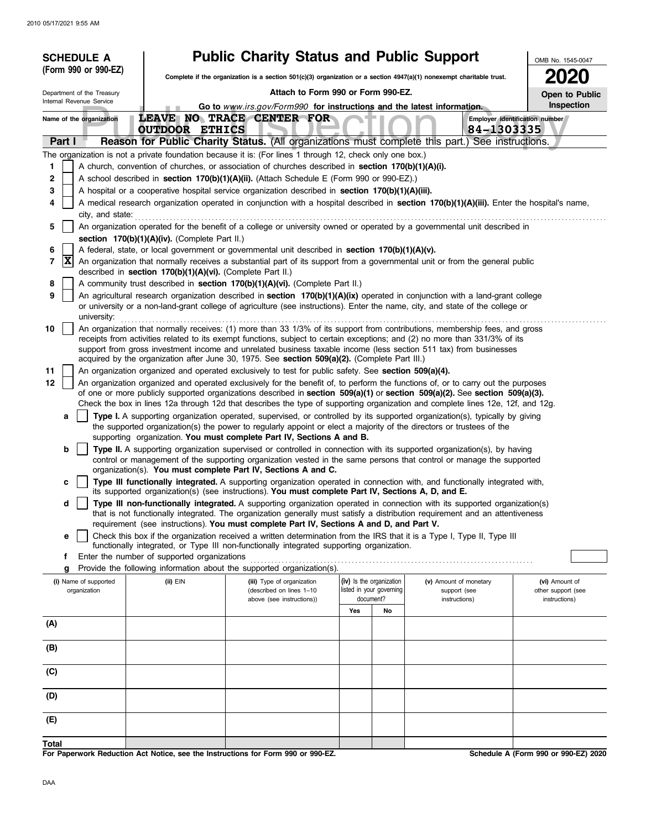| <b>SCHEDULE A</b>                     |                                                            | <b>Public Charity Status and Public Support</b>                                                                                                                                                   |                                                                   |                                                                                                                                                                                                                                                                                                                                                                                 | OMB No. 1545-0047                    |
|---------------------------------------|------------------------------------------------------------|---------------------------------------------------------------------------------------------------------------------------------------------------------------------------------------------------|-------------------------------------------------------------------|---------------------------------------------------------------------------------------------------------------------------------------------------------------------------------------------------------------------------------------------------------------------------------------------------------------------------------------------------------------------------------|--------------------------------------|
| (Form 990 or 990-EZ)                  |                                                            |                                                                                                                                                                                                   |                                                                   | Complete if the organization is a section 501(c)(3) organization or a section $4947(a)(1)$ nonexempt charitable trust.                                                                                                                                                                                                                                                          | <b>2020</b>                          |
| Department of the Treasury            |                                                            | Attach to Form 990 or Form 990-EZ.                                                                                                                                                                |                                                                   |                                                                                                                                                                                                                                                                                                                                                                                 | Open to Public                       |
| Internal Revenue Service              |                                                            | Go to www.irs.gov/Form990 for instructions and the latest information.                                                                                                                            |                                                                   |                                                                                                                                                                                                                                                                                                                                                                                 | Inspection                           |
| Name of the organization              | <b>OUTDOOR ETHICS</b>                                      | LEAVE NO TRACE CENTER FOR                                                                                                                                                                         |                                                                   | 84-1303335                                                                                                                                                                                                                                                                                                                                                                      | Employer identification number       |
| Part I                                |                                                            |                                                                                                                                                                                                   |                                                                   | Reason for Public Charity Status. (All organizations must complete this part.) See instructions.                                                                                                                                                                                                                                                                                |                                      |
|                                       |                                                            | The organization is not a private foundation because it is: (For lines 1 through 12, check only one box.)                                                                                         |                                                                   |                                                                                                                                                                                                                                                                                                                                                                                 |                                      |
| 1                                     |                                                            | A church, convention of churches, or association of churches described in section 170(b)(1)(A)(i).                                                                                                |                                                                   |                                                                                                                                                                                                                                                                                                                                                                                 |                                      |
| 2<br>3                                |                                                            | A school described in section 170(b)(1)(A)(ii). (Attach Schedule E (Form 990 or 990-EZ).)<br>A hospital or a cooperative hospital service organization described in section $170(b)(1)(A)(iii)$ . |                                                                   |                                                                                                                                                                                                                                                                                                                                                                                 |                                      |
| 4                                     |                                                            |                                                                                                                                                                                                   |                                                                   | A medical research organization operated in conjunction with a hospital described in section 170(b)(1)(A)(iii). Enter the hospital's name,                                                                                                                                                                                                                                      |                                      |
| city, and state:                      |                                                            |                                                                                                                                                                                                   |                                                                   |                                                                                                                                                                                                                                                                                                                                                                                 |                                      |
| 5                                     |                                                            |                                                                                                                                                                                                   |                                                                   | An organization operated for the benefit of a college or university owned or operated by a governmental unit described in                                                                                                                                                                                                                                                       |                                      |
| 6                                     | section 170(b)(1)(A)(iv). (Complete Part II.)              | A federal, state, or local government or governmental unit described in section $170(b)(1)(A)(v)$ .                                                                                               |                                                                   |                                                                                                                                                                                                                                                                                                                                                                                 |                                      |
| $ \mathbf{X} $<br>7                   | described in section 170(b)(1)(A)(vi). (Complete Part II.) |                                                                                                                                                                                                   |                                                                   | An organization that normally receives a substantial part of its support from a governmental unit or from the general public                                                                                                                                                                                                                                                    |                                      |
| 8                                     |                                                            | A community trust described in section 170(b)(1)(A)(vi). (Complete Part II.)                                                                                                                      |                                                                   |                                                                                                                                                                                                                                                                                                                                                                                 |                                      |
| 9<br>university:                      |                                                            |                                                                                                                                                                                                   |                                                                   | An agricultural research organization described in section 170(b)(1)(A)(ix) operated in conjunction with a land-grant college<br>or university or a non-land-grant college of agriculture (see instructions). Enter the name, city, and state of the college or                                                                                                                 |                                      |
| 10                                    |                                                            |                                                                                                                                                                                                   |                                                                   | An organization that normally receives: (1) more than 33 1/3% of its support from contributions, membership fees, and gross<br>receipts from activities related to its exempt functions, subject to certain exceptions; and (2) no more than 331/3% of its<br>support from gross investment income and unrelated business taxable income (less section 511 tax) from businesses |                                      |
|                                       |                                                            | acquired by the organization after June 30, 1975. See section 509(a)(2). (Complete Part III.)                                                                                                     |                                                                   |                                                                                                                                                                                                                                                                                                                                                                                 |                                      |
| 11<br>12                              |                                                            | An organization organized and operated exclusively to test for public safety. See section 509(a)(4).                                                                                              |                                                                   | An organization organized and operated exclusively for the benefit of, to perform the functions of, or to carry out the purposes                                                                                                                                                                                                                                                |                                      |
|                                       |                                                            |                                                                                                                                                                                                   |                                                                   | of one or more publicly supported organizations described in section $509(a)(1)$ or section $509(a)(2)$ . See section $509(a)(3)$ .                                                                                                                                                                                                                                             |                                      |
|                                       |                                                            |                                                                                                                                                                                                   |                                                                   | Check the box in lines 12a through 12d that describes the type of supporting organization and complete lines 12e, 12f, and 12g.                                                                                                                                                                                                                                                 |                                      |
| a                                     |                                                            | supporting organization. You must complete Part IV, Sections A and B.                                                                                                                             |                                                                   | Type I. A supporting organization operated, supervised, or controlled by its supported organization(s), typically by giving<br>the supported organization(s) the power to regularly appoint or elect a majority of the directors or trustees of the                                                                                                                             |                                      |
| b                                     |                                                            |                                                                                                                                                                                                   |                                                                   | Type II. A supporting organization supervised or controlled in connection with its supported organization(s), by having                                                                                                                                                                                                                                                         |                                      |
|                                       |                                                            |                                                                                                                                                                                                   |                                                                   | control or management of the supporting organization vested in the same persons that control or manage the supported                                                                                                                                                                                                                                                            |                                      |
| c                                     |                                                            | organization(s). You must complete Part IV, Sections A and C.<br>its supported organization(s) (see instructions). You must complete Part IV, Sections A, D, and E.                               |                                                                   | Type III functionally integrated. A supporting organization operated in connection with, and functionally integrated with,                                                                                                                                                                                                                                                      |                                      |
| d                                     |                                                            |                                                                                                                                                                                                   |                                                                   | Type III non-functionally integrated. A supporting organization operated in connection with its supported organization(s)                                                                                                                                                                                                                                                       |                                      |
|                                       |                                                            | requirement (see instructions). You must complete Part IV, Sections A and D, and Part V.                                                                                                          |                                                                   | that is not functionally integrated. The organization generally must satisfy a distribution requirement and an attentiveness                                                                                                                                                                                                                                                    |                                      |
| е                                     |                                                            |                                                                                                                                                                                                   |                                                                   | Check this box if the organization received a written determination from the IRS that it is a Type I, Type II, Type III                                                                                                                                                                                                                                                         |                                      |
| f                                     | Enter the number of supported organizations                | functionally integrated, or Type III non-functionally integrated supporting organization.                                                                                                         |                                                                   |                                                                                                                                                                                                                                                                                                                                                                                 |                                      |
| g                                     |                                                            | Provide the following information about the supported organization(s).                                                                                                                            |                                                                   |                                                                                                                                                                                                                                                                                                                                                                                 |                                      |
| (i) Name of supported<br>organization | (ii) EIN                                                   | (iii) Type of organization<br>(described on lines 1-10<br>above (see instructions))                                                                                                               | (iv) Is the organization<br>listed in your governing<br>document? | (v) Amount of monetary<br>support (see                                                                                                                                                                                                                                                                                                                                          | (vi) Amount of<br>other support (see |
|                                       |                                                            |                                                                                                                                                                                                   | Yes<br>No                                                         | instructions)                                                                                                                                                                                                                                                                                                                                                                   | instructions)                        |
| (A)                                   |                                                            |                                                                                                                                                                                                   |                                                                   |                                                                                                                                                                                                                                                                                                                                                                                 |                                      |
|                                       |                                                            |                                                                                                                                                                                                   |                                                                   |                                                                                                                                                                                                                                                                                                                                                                                 |                                      |
| (B)                                   |                                                            |                                                                                                                                                                                                   |                                                                   |                                                                                                                                                                                                                                                                                                                                                                                 |                                      |
| (C)                                   |                                                            |                                                                                                                                                                                                   |                                                                   |                                                                                                                                                                                                                                                                                                                                                                                 |                                      |
| (D)                                   |                                                            |                                                                                                                                                                                                   |                                                                   |                                                                                                                                                                                                                                                                                                                                                                                 |                                      |
| (E)                                   |                                                            |                                                                                                                                                                                                   |                                                                   |                                                                                                                                                                                                                                                                                                                                                                                 |                                      |
| Total                                 |                                                            |                                                                                                                                                                                                   |                                                                   |                                                                                                                                                                                                                                                                                                                                                                                 |                                      |

**For Paperwork Reduction Act Notice, see the Instructions for Form 990 or 990-EZ.**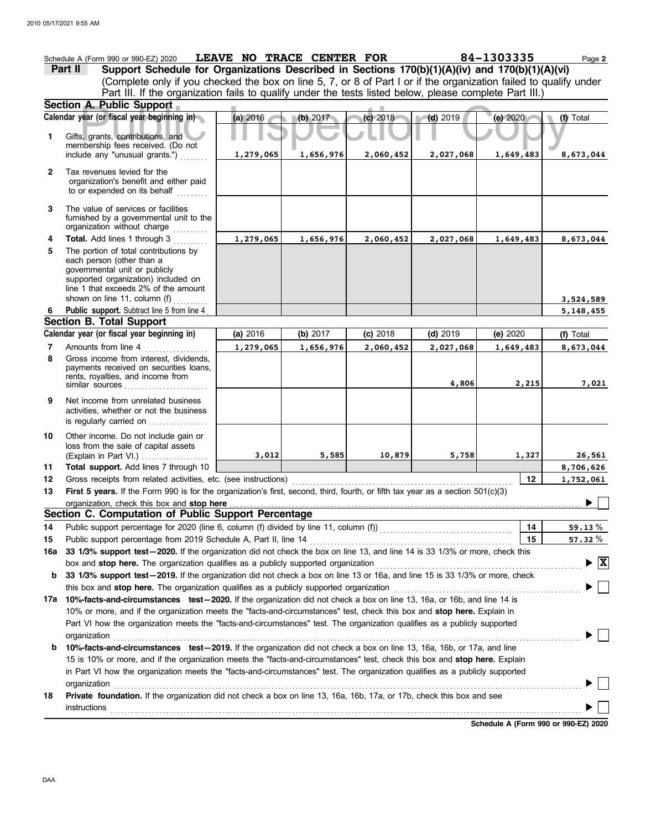|                | Schedule A (Form 990 or 990-EZ) 2020<br>Support Schedule for Organizations Described in Sections 170(b)(1)(A)(iv) and 170(b)(1)(A)(vi)<br>Part II<br>(Complete only if you checked the box on line 5, 7, or 8 of Part I or if the organization failed to qualify under | LEAVE NO TRACE CENTER FOR |           |            |            | 84-1303335                           | Page 2                                   |
|----------------|------------------------------------------------------------------------------------------------------------------------------------------------------------------------------------------------------------------------------------------------------------------------|---------------------------|-----------|------------|------------|--------------------------------------|------------------------------------------|
|                | Part III. If the organization fails to qualify under the tests listed below, please complete Part III.)                                                                                                                                                                |                           |           |            |            |                                      |                                          |
|                | Section A. Public Support                                                                                                                                                                                                                                              |                           |           |            |            |                                      |                                          |
|                | Calendar year (or fiscal year beginning in)                                                                                                                                                                                                                            | (a) 2016                  | (b) 2017  | $(c)$ 2018 | $(d)$ 2019 | (e) 2020                             | (f) Total                                |
| $\mathbf{1}$   | Gifts, grants, contributions, and<br>membership fees received. (Do not                                                                                                                                                                                                 |                           |           |            |            |                                      |                                          |
|                | include any "unusual grants.")                                                                                                                                                                                                                                         | 1,279,065                 | 1,656,976 | 2,060,452  | 2,027,068  | 1,649,483                            | 8,673,044                                |
| $\overline{2}$ | Tax revenues levied for the<br>organization's benefit and either paid<br>to or expended on its behalf                                                                                                                                                                  |                           |           |            |            |                                      |                                          |
| 3              | The value of services or facilities<br>furnished by a governmental unit to the<br>organization without charge                                                                                                                                                          |                           |           |            |            |                                      |                                          |
| 4              | Total. Add lines 1 through 3                                                                                                                                                                                                                                           | 1,279,065                 | 1,656,976 | 2,060,452  | 2,027,068  | 1,649,483                            | 8,673,044                                |
| 5              | The portion of total contributions by<br>each person (other than a<br>governmental unit or publicly<br>supported organization) included on<br>line 1 that exceeds 2% of the amount<br>shown on line 11, column (f)                                                     |                           |           |            |            |                                      | 3,524,589                                |
| 6              | Public support. Subtract line 5 from line 4                                                                                                                                                                                                                            |                           |           |            |            |                                      | 5, 148, 455                              |
|                | <b>Section B. Total Support</b>                                                                                                                                                                                                                                        |                           |           |            |            |                                      |                                          |
|                | Calendar year (or fiscal year beginning in)                                                                                                                                                                                                                            | (a) 2016                  | (b) 2017  | (c) 2018   | $(d)$ 2019 | (e) 2020                             | (f) Total                                |
| 7              | Amounts from line 4                                                                                                                                                                                                                                                    | 1,279,065                 | 1,656,976 | 2,060,452  | 2,027,068  | 1,649,483                            | 8,673,044                                |
| 8              | Gross income from interest, dividends,<br>payments received on securities loans,<br>rents, royalties, and income from<br>similar sources                                                                                                                               |                           |           |            | 4,806      | 2,215                                | 7,021                                    |
| 9              | Net income from unrelated business<br>activities, whether or not the business<br>is regularly carried on                                                                                                                                                               |                           |           |            |            |                                      |                                          |
| 10             | Other income. Do not include gain or<br>loss from the sale of capital assets<br>(Explain in Part VI.)                                                                                                                                                                  | 3,012                     | 5,585     | 10,879     | 5,758      | 1,327                                | 26,561                                   |
| 11             | Total support. Add lines 7 through 10                                                                                                                                                                                                                                  |                           |           |            |            |                                      | 8,706,626                                |
| 12             | Gross receipts from related activities, etc. (see instructions)                                                                                                                                                                                                        |                           |           |            |            | 12                                   | 1,752,061                                |
| 13             | First 5 years. If the Form 990 is for the organization's first, second, third, fourth, or fifth tax year as a section 501(c)(3)                                                                                                                                        |                           |           |            |            |                                      |                                          |
|                | organization, check this box and stop here                                                                                                                                                                                                                             |                           |           |            |            |                                      | $\overline{a}$ $\overline{a}$            |
|                | Section C. Computation of Public Support Percentage                                                                                                                                                                                                                    |                           |           |            |            |                                      |                                          |
| 14             |                                                                                                                                                                                                                                                                        |                           |           |            |            | 14                                   | 59.13%                                   |
| 15             | Public support percentage from 2019 Schedule A, Part II, line 14                                                                                                                                                                                                       |                           |           |            |            | 15                                   | 57.32 $\%$                               |
| 16a            | 33 1/3% support test-2020. If the organization did not check the box on line 13, and line 14 is 33 1/3% or more, check this                                                                                                                                            |                           |           |            |            |                                      |                                          |
|                |                                                                                                                                                                                                                                                                        |                           |           |            |            |                                      | $\blacktriangleright \boxed{\mathbf{X}}$ |
| b              | 33 1/3% support test-2019. If the organization did not check a box on line 13 or 16a, and line 15 is 33 1/3% or more, check                                                                                                                                            |                           |           |            |            |                                      |                                          |
|                | this box and stop here. The organization qualifies as a publicly supported organization                                                                                                                                                                                |                           |           |            |            |                                      |                                          |
|                | 17a 10%-facts-and-circumstances test-2020. If the organization did not check a box on line 13, 16a, or 16b, and line 14 is                                                                                                                                             |                           |           |            |            |                                      |                                          |
|                | 10% or more, and if the organization meets the "facts-and-circumstances" test, check this box and stop here. Explain in<br>Part VI how the organization meets the "facts-and-circumstances" test. The organization qualifies as a publicly supported                   |                           |           |            |            |                                      |                                          |
|                | organization                                                                                                                                                                                                                                                           |                           |           |            |            |                                      |                                          |
| b              | 10%-facts-and-circumstances test-2019. If the organization did not check a box on line 13, 16a, 16b, or 17a, and line                                                                                                                                                  |                           |           |            |            |                                      |                                          |
|                | 15 is 10% or more, and if the organization meets the "facts-and-circumstances" test, check this box and stop here. Explain                                                                                                                                             |                           |           |            |            |                                      |                                          |
|                | in Part VI how the organization meets the "facts-and-circumstances" test. The organization qualifies as a publicly supported                                                                                                                                           |                           |           |            |            |                                      |                                          |
|                | organization                                                                                                                                                                                                                                                           |                           |           |            |            |                                      |                                          |
| 18             | Private foundation. If the organization did not check a box on line 13, 16a, 16b, 17a, or 17b, check this box and see                                                                                                                                                  |                           |           |            |            |                                      |                                          |
|                | <b>instructions</b>                                                                                                                                                                                                                                                    |                           |           |            |            |                                      |                                          |
|                |                                                                                                                                                                                                                                                                        |                           |           |            |            | Cabadule A (Farm 000 ar 000 F7) 2020 |                                          |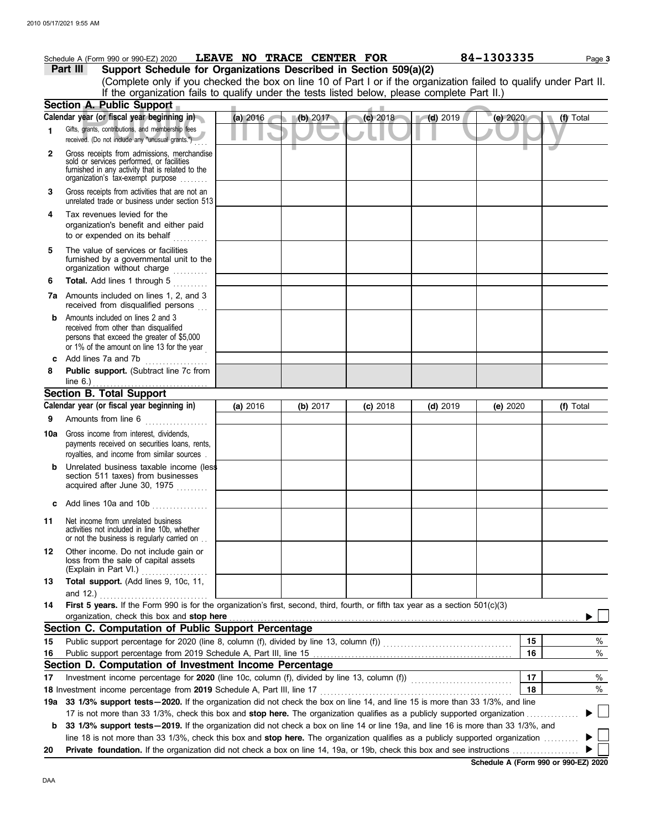## **Part III Support Schedule for Organizations Described in Section 509(a)(2)** Schedule A (Form 990 or 990-EZ) 2020 **LEAVE NO TRACE CENTER FOR** 84-1303335 Page 3

(Complete only if you checked the box on line 10 of Part I or if the organization failed to qualify under Part II. If the organization fails to qualify under the tests listed below, please complete Part II.)

|     | Section A. Public Support                                                                                                                                                         |          |          |            |            |          |           |
|-----|-----------------------------------------------------------------------------------------------------------------------------------------------------------------------------------|----------|----------|------------|------------|----------|-----------|
|     | Calendar year (or fiscal year beginning in)                                                                                                                                       | (a) 2016 | (b) 2017 | (c) 2018   | $(d)$ 2019 | (e) 2020 | (f) Total |
| 1   | Gifts, grants, contributions, and membership fees<br>received. (Do not include any "unusual grants.")                                                                             |          |          |            |            |          |           |
| 2   | Gross receipts from admissions, merchandise<br>sold or services performed, or facilities<br>furnished in any activity that is related to the<br>organization's tax-exempt purpose |          |          |            |            |          |           |
| 3   | Gross receipts from activities that are not an<br>unrelated trade or business under section 513                                                                                   |          |          |            |            |          |           |
| 4   | Tax revenues levied for the<br>organization's benefit and either paid<br>to or expended on its behalf                                                                             |          |          |            |            |          |           |
| 5   | The value of services or facilities<br>furnished by a governmental unit to the<br>organization without charge                                                                     |          |          |            |            |          |           |
| 6   | Total. Add lines 1 through 5                                                                                                                                                      |          |          |            |            |          |           |
|     | <b>7a</b> Amounts included on lines 1, 2, and 3<br>received from disqualified persons                                                                                             |          |          |            |            |          |           |
| b   | Amounts included on lines 2 and 3<br>received from other than disqualified<br>persons that exceed the greater of \$5,000<br>or 1% of the amount on line 13 for the year           |          |          |            |            |          |           |
| c   | Add lines 7a and 7b                                                                                                                                                               |          |          |            |            |          |           |
| 8   | Public support. (Subtract line 7c from                                                                                                                                            |          |          |            |            |          |           |
|     | <b>Section B. Total Support</b>                                                                                                                                                   |          |          |            |            |          |           |
|     | Calendar year (or fiscal year beginning in)                                                                                                                                       | (a) 2016 | (b) 2017 | $(c)$ 2018 | $(d)$ 2019 | (e) 2020 | (f) Total |
| 9   | Amounts from line 6<br><u> 1986 - Andrea Steinberg, m</u>                                                                                                                         |          |          |            |            |          |           |
| 10a | Gross income from interest, dividends,<br>payments received on securities loans, rents,<br>royalties, and income from similar sources                                             |          |          |            |            |          |           |
| b   | Unrelated business taxable income (less<br>section 511 taxes) from businesses<br>acquired after June 30, 1975<br>.                                                                |          |          |            |            |          |           |
|     | c Add lines 10a and 10b $\ldots$                                                                                                                                                  |          |          |            |            |          |           |
| 11  | Net income from unrelated business<br>activities not included in line 10b, whether<br>or not the business is regularly carried on                                                 |          |          |            |            |          |           |
| 12  | Other income. Do not include gain or<br>loss from the sale of capital assets<br>(Explain in Part VI.)                                                                             |          |          |            |            |          |           |
| 13  | Total support. (Add lines 9, 10c, 11,<br>and 12.)                                                                                                                                 |          |          |            |            |          |           |
| 14  | First 5 years. If the Form 990 is for the organization's first, second, third, fourth, or fifth tax year as a section $501(c)(3)$                                                 |          |          |            |            |          |           |
|     | organization, check this box and stop here                                                                                                                                        |          |          |            |            |          |           |
|     | Section C. Computation of Public Support Percentage                                                                                                                               |          |          |            |            |          |           |
| 15  | Public support percentage for 2020 (line 8, column (f), divided by line 13, column (f)) [[[[[[[[[[[[[[[[[[[[[                                                                     |          |          |            |            | 15       | %         |
| 16  |                                                                                                                                                                                   |          |          |            |            | 16       | %         |
|     | Section D. Computation of Investment Income Percentage                                                                                                                            |          |          |            |            |          |           |
| 17  |                                                                                                                                                                                   |          |          |            |            | 17       | %         |
|     | 18 Investment income percentage from 2019 Schedule A, Part III, line 17                                                                                                           |          |          |            |            | 18       | %         |
|     | 19a 33 1/3% support tests-2020. If the organization did not check the box on line 14, and line 15 is more than 33 1/3%, and line                                                  |          |          |            |            |          |           |
|     | 17 is not more than 33 1/3%, check this box and stop here. The organization qualifies as a publicly supported organization.                                                       |          |          |            |            |          |           |
| b   | 33 1/3% support tests-2019. If the organization did not check a box on line 14 or line 19a, and line 16 is more than 33 1/3%, and                                                 |          |          |            |            |          |           |
|     | line 18 is not more than 33 1/3%, check this box and stop here. The organization qualifies as a publicly supported organization                                                   |          |          |            |            |          |           |
| 20  | <b>Private foundation.</b> If the organization did not check a box on line 14, 19a, or 19b, check this box and see instructions <i>manument</i>                                   |          |          |            |            |          |           |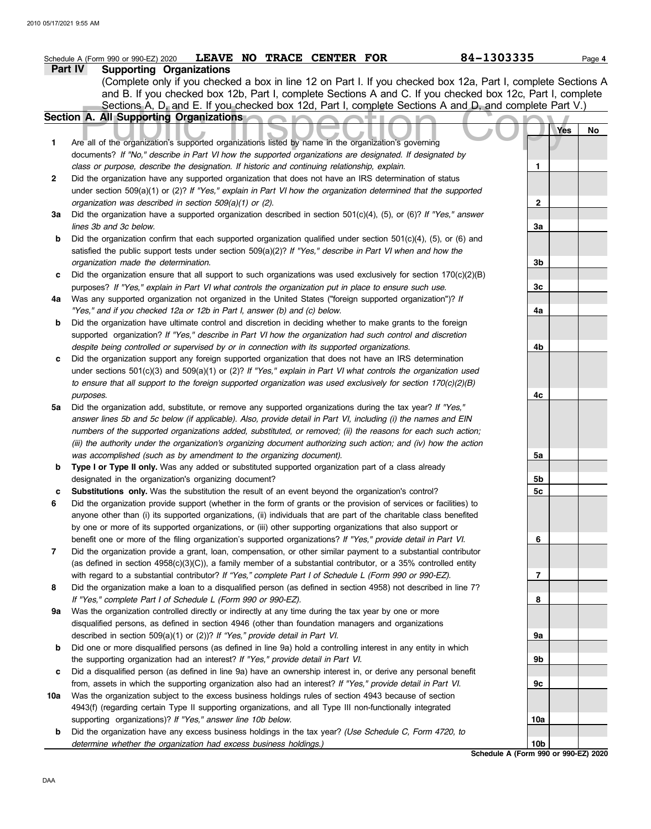|     | 84-1303335<br>LEAVE NO TRACE CENTER FOR<br>Schedule A (Form 990 or 990-EZ) 2020                                                                                                                                            |                                      | Page 4 |
|-----|----------------------------------------------------------------------------------------------------------------------------------------------------------------------------------------------------------------------------|--------------------------------------|--------|
|     | Part IV<br><b>Supporting Organizations</b>                                                                                                                                                                                 |                                      |        |
|     | (Complete only if you checked a box in line 12 on Part I. If you checked box 12a, Part I, complete Sections A                                                                                                              |                                      |        |
|     | and B. If you checked box 12b, Part I, complete Sections A and C. If you checked box 12c, Part I, complete                                                                                                                 |                                      |        |
|     | Sections A, D, and E. If you checked box 12d, Part I, complete Sections A and D, and complete Part V.)                                                                                                                     |                                      |        |
|     | <b>Section A. All Supporting Organizations</b>                                                                                                                                                                             |                                      |        |
|     |                                                                                                                                                                                                                            | Yes                                  | No     |
| 1   | Are all of the organization's supported organizations listed by name in the organization's governing                                                                                                                       |                                      |        |
|     | documents? If "No," describe in Part VI how the supported organizations are designated. If designated by                                                                                                                   |                                      |        |
|     | class or purpose, describe the designation. If historic and continuing relationship, explain.                                                                                                                              | 1                                    |        |
| 2   | Did the organization have any supported organization that does not have an IRS determination of status                                                                                                                     |                                      |        |
|     | under section 509(a)(1) or (2)? If "Yes," explain in Part VI how the organization determined that the supported                                                                                                            |                                      |        |
|     | organization was described in section $509(a)(1)$ or (2).                                                                                                                                                                  | $\mathbf{2}$                         |        |
| За  | Did the organization have a supported organization described in section $501(c)(4)$ , (5), or (6)? If "Yes," answer                                                                                                        |                                      |        |
|     | lines 3b and 3c below.                                                                                                                                                                                                     | 3a                                   |        |
| b   | Did the organization confirm that each supported organization qualified under section 501(c)(4), (5), or (6) and                                                                                                           |                                      |        |
|     | satisfied the public support tests under section 509(a)(2)? If "Yes," describe in Part VI when and how the                                                                                                                 |                                      |        |
|     | organization made the determination.<br>Did the organization ensure that all support to such organizations was used exclusively for section $170(c)(2)(B)$                                                                 | 3b                                   |        |
| c   | purposes? If "Yes," explain in Part VI what controls the organization put in place to ensure such use.                                                                                                                     | 3c                                   |        |
| 4a  | Was any supported organization not organized in the United States ("foreign supported organization")? If                                                                                                                   |                                      |        |
|     | "Yes," and if you checked 12a or 12b in Part I, answer (b) and (c) below.                                                                                                                                                  | 4a                                   |        |
| b   | Did the organization have ultimate control and discretion in deciding whether to make grants to the foreign                                                                                                                |                                      |        |
|     | supported organization? If "Yes," describe in Part VI how the organization had such control and discretion                                                                                                                 |                                      |        |
|     | despite being controlled or supervised by or in connection with its supported organizations.                                                                                                                               | 4b                                   |        |
| c   | Did the organization support any foreign supported organization that does not have an IRS determination                                                                                                                    |                                      |        |
|     | under sections $501(c)(3)$ and $509(a)(1)$ or (2)? If "Yes," explain in Part VI what controls the organization used                                                                                                        |                                      |        |
|     | to ensure that all support to the foreign supported organization was used exclusively for section $170(c)(2)(B)$                                                                                                           |                                      |        |
|     | purposes.                                                                                                                                                                                                                  | 4c                                   |        |
| 5a  | Did the organization add, substitute, or remove any supported organizations during the tax year? If "Yes,"                                                                                                                 |                                      |        |
|     | answer lines 5b and 5c below (if applicable). Also, provide detail in Part VI, including (i) the names and EIN                                                                                                             |                                      |        |
|     | numbers of the supported organizations added, substituted, or removed; (ii) the reasons for each such action;                                                                                                              |                                      |        |
|     | (iii) the authority under the organization's organizing document authorizing such action; and (iv) how the action                                                                                                          |                                      |        |
|     | was accomplished (such as by amendment to the organizing document).                                                                                                                                                        | 5a                                   |        |
| b   | Type I or Type II only. Was any added or substituted supported organization part of a class already                                                                                                                        |                                      |        |
|     | designated in the organization's organizing document?                                                                                                                                                                      | 5b                                   |        |
| c   | Substitutions only. Was the substitution the result of an event beyond the organization's control?                                                                                                                         | 5c                                   |        |
| 6   | Did the organization provide support (whether in the form of grants or the provision of services or facilities) to                                                                                                         |                                      |        |
|     | anyone other than (i) its supported organizations, (ii) individuals that are part of the charitable class benefited                                                                                                        |                                      |        |
|     | by one or more of its supported organizations, or (iii) other supporting organizations that also support or                                                                                                                |                                      |        |
|     | benefit one or more of the filing organization's supported organizations? If "Yes," provide detail in Part VI.                                                                                                             | 6                                    |        |
| 7   | Did the organization provide a grant, loan, compensation, or other similar payment to a substantial contributor                                                                                                            |                                      |        |
|     | (as defined in section 4958(c)(3)(C)), a family member of a substantial contributor, or a 35% controlled entity                                                                                                            |                                      |        |
| 8   | with regard to a substantial contributor? If "Yes," complete Part I of Schedule L (Form 990 or 990-EZ).<br>Did the organization make a loan to a disqualified person (as defined in section 4958) not described in line 7? | 7                                    |        |
|     | If "Yes," complete Part I of Schedule L (Form 990 or 990-EZ).                                                                                                                                                              | 8                                    |        |
| 9а  | Was the organization controlled directly or indirectly at any time during the tax year by one or more                                                                                                                      |                                      |        |
|     | disqualified persons, as defined in section 4946 (other than foundation managers and organizations                                                                                                                         |                                      |        |
|     | described in section 509(a)(1) or (2))? If "Yes," provide detail in Part VI.                                                                                                                                               | 9a                                   |        |
| b   | Did one or more disqualified persons (as defined in line 9a) hold a controlling interest in any entity in which                                                                                                            |                                      |        |
|     | the supporting organization had an interest? If "Yes," provide detail in Part VI.                                                                                                                                          | 9b                                   |        |
| c   | Did a disqualified person (as defined in line 9a) have an ownership interest in, or derive any personal benefit                                                                                                            |                                      |        |
|     | from, assets in which the supporting organization also had an interest? If "Yes," provide detail in Part VI.                                                                                                               | 9c                                   |        |
| 10a | Was the organization subject to the excess business holdings rules of section 4943 because of section                                                                                                                      |                                      |        |
|     | 4943(f) (regarding certain Type II supporting organizations, and all Type III non-functionally integrated                                                                                                                  |                                      |        |
|     | supporting organizations)? If "Yes," answer line 10b below.                                                                                                                                                                | 10a                                  |        |
| b   | Did the organization have any excess business holdings in the tax year? (Use Schedule C, Form 4720, to                                                                                                                     |                                      |        |
|     | determine whether the organization had excess business holdings.)                                                                                                                                                          | 10b                                  |        |
|     |                                                                                                                                                                                                                            | Schedule A (Form 990 or 990-EZ) 2020 |        |

DAA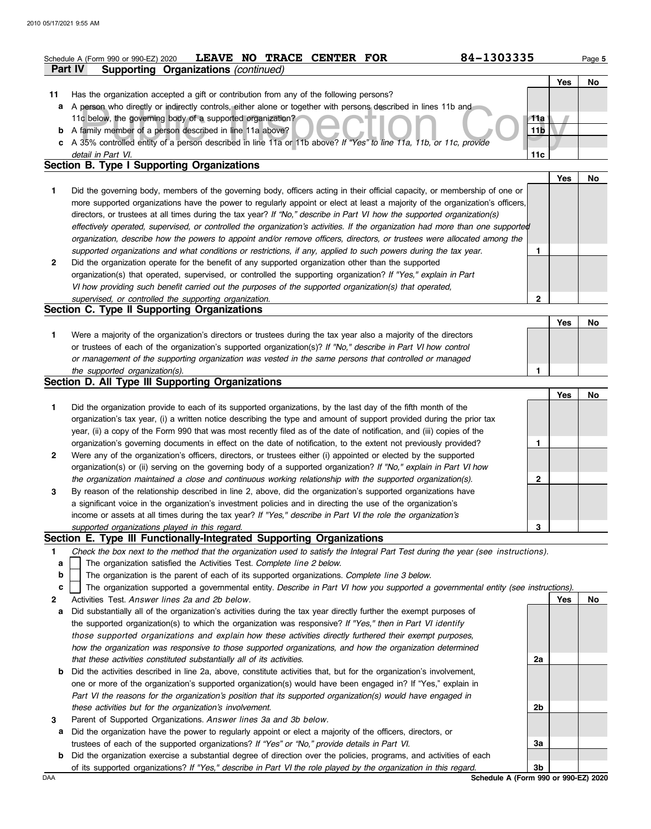|         | 84-1303335<br>NO TRACE CENTER FOR<br><b>LEAVE</b><br>Schedule A (Form 990 or 990-EZ) 2020                                                  |     |     | Page 5    |  |  |  |
|---------|--------------------------------------------------------------------------------------------------------------------------------------------|-----|-----|-----------|--|--|--|
| Part IV | Supporting Organizations (continued)                                                                                                       |     |     |           |  |  |  |
|         |                                                                                                                                            |     | Yes | No        |  |  |  |
| 11      | Has the organization accepted a gift or contribution from any of the following persons?                                                    |     |     |           |  |  |  |
| а       | A person who directly or indirectly controls, either alone or together with persons described in lines 11b and                             |     |     |           |  |  |  |
|         | 11c below, the governing body of a supported organization?                                                                                 | 11a |     |           |  |  |  |
|         | <b>b</b> A family member of a person described in line 11a above?<br>11 <sub>b</sub>                                                       |     |     |           |  |  |  |
|         | c A 35% controlled entity of a person described in line 11a or 11b above? If "Yes" to line 11a, 11b, or 11c, provide<br>detail in Part VI. | 11c |     |           |  |  |  |
|         | <b>Section B. Type I Supporting Organizations</b>                                                                                          |     |     |           |  |  |  |
|         |                                                                                                                                            |     | Yes | No        |  |  |  |
| 1.      | Did the governing body, members of the governing body, officers acting in their official capacity, or membership of one or                 |     |     |           |  |  |  |
|         | more supported organizations have the power to regularly appoint or elect at least a majority of the organization's officers,              |     |     |           |  |  |  |
|         | directors, or trustees at all times during the tax year? If "No," describe in Part VI how the supported organization(s)                    |     |     |           |  |  |  |
|         | effectively operated, supervised, or controlled the organization's activities. If the organization had more than one supported             |     |     |           |  |  |  |
|         | organization, describe how the powers to appoint and/or remove officers, directors, or trustees were allocated among the                   |     |     |           |  |  |  |
|         | supported organizations and what conditions or restrictions, if any, applied to such powers during the tax year.                           | 1.  |     |           |  |  |  |
| 2       | Did the organization operate for the benefit of any supported organization other than the supported                                        |     |     |           |  |  |  |
|         | organization(s) that operated, supervised, or controlled the supporting organization? If "Yes," explain in Part                            |     |     |           |  |  |  |
|         | VI how providing such benefit carried out the purposes of the supported organization(s) that operated,                                     |     |     |           |  |  |  |
|         | supervised, or controlled the supporting organization.                                                                                     | 2   |     |           |  |  |  |
|         | Section C. Type II Supporting Organizations                                                                                                |     |     |           |  |  |  |
|         |                                                                                                                                            |     | Yes | No        |  |  |  |
| 1.      | Were a majority of the organization's directors or trustees during the tax year also a majority of the directors                           |     |     |           |  |  |  |
|         | or trustees of each of the organization's supported organization(s)? If "No," describe in Part VI how control                              |     |     |           |  |  |  |
|         | or management of the supporting organization was vested in the same persons that controlled or managed                                     |     |     |           |  |  |  |
|         | the supported organization(s).                                                                                                             | 1   |     |           |  |  |  |
|         | Section D. All Type III Supporting Organizations                                                                                           |     |     |           |  |  |  |
|         |                                                                                                                                            |     | Yes | <b>No</b> |  |  |  |
| 1       | Did the organization provide to each of its supported organizations, by the last day of the fifth month of the                             |     |     |           |  |  |  |
|         | organization's tax year, (i) a written notice describing the type and amount of support provided during the prior tax                      |     |     |           |  |  |  |
|         | year, (ii) a copy of the Form 990 that was most recently filed as of the date of notification, and (iii) copies of the                     |     |     |           |  |  |  |
|         | organization's governing documents in effect on the date of notification, to the extent not previously provided?                           | 1.  |     |           |  |  |  |
| 2       | Were any of the organization's officers, directors, or trustees either (i) appointed or elected by the supported                           |     |     |           |  |  |  |
|         | organization(s) or (ii) serving on the governing body of a supported organization? If "No," explain in Part VI how                         |     |     |           |  |  |  |
|         | the organization maintained a close and continuous working relationship with the supported organization(s).                                | 2   |     |           |  |  |  |
|         | By reason of the relationship described in line 2, above, did the organization's supported organizations have                              |     |     |           |  |  |  |
|         | a significant voice in the organization's investment policies and in directing the use of the organization's                               |     |     |           |  |  |  |
|         | income or assets at all times during the tax year? If "Yes," describe in Part VI the role the organization's                               |     |     |           |  |  |  |
|         |                                                                                                                                            |     |     |           |  |  |  |
|         | supported organizations played in this regard.                                                                                             | 3   |     |           |  |  |  |
|         | Section E. Type III Functionally-Integrated Supporting Organizations                                                                       |     |     |           |  |  |  |
| 1.      | Check the box next to the method that the organization used to satisfy the Integral Part Test during the year (see instructions).          |     |     |           |  |  |  |
| a       | The organization satisfied the Activities Test. Complete line 2 below.                                                                     |     |     |           |  |  |  |
| b       | The organization is the parent of each of its supported organizations. Complete line 3 below.                                              |     |     |           |  |  |  |
| c       | The organization supported a governmental entity. Describe in Part VI how you supported a governmental entity (see instructions).          |     |     |           |  |  |  |
| 2       | Activities Test. Answer lines 2a and 2b below.                                                                                             |     | Yes | <b>No</b> |  |  |  |
| а       | Did substantially all of the organization's activities during the tax year directly further the exempt purposes of                         |     |     |           |  |  |  |
|         | the supported organization(s) to which the organization was responsive? If "Yes," then in Part VI identify                                 |     |     |           |  |  |  |
|         | those supported organizations and explain how these activities directly furthered their exempt purposes,                                   |     |     |           |  |  |  |
|         | how the organization was responsive to those supported organizations, and how the organization determined                                  |     |     |           |  |  |  |
|         | that these activities constituted substantially all of its activities.                                                                     | 2a  |     |           |  |  |  |
| b       | Did the activities described in line 2a, above, constitute activities that, but for the organization's involvement,                        |     |     |           |  |  |  |
|         | one or more of the organization's supported organization(s) would have been engaged in? If "Yes," explain in                               |     |     |           |  |  |  |
|         | Part VI the reasons for the organization's position that its supported organization(s) would have engaged in                               | 2b  |     |           |  |  |  |
| 3       | these activities but for the organization's involvement.<br>Parent of Supported Organizations. Answer lines 3a and 3b below.               |     |     |           |  |  |  |

- trustees of each of the supported organizations? *If "Yes" or "No," provide details in Part VI.*
- **b** Did the organization exercise a substantial degree of direction over the policies, programs, and activities of each of its supported organizations? *If "Yes," describe in Part VI the role played by the organization in this regard.* **3b**

DAA **Schedule A (Form 990 or 990-EZ) 2020**

**3a**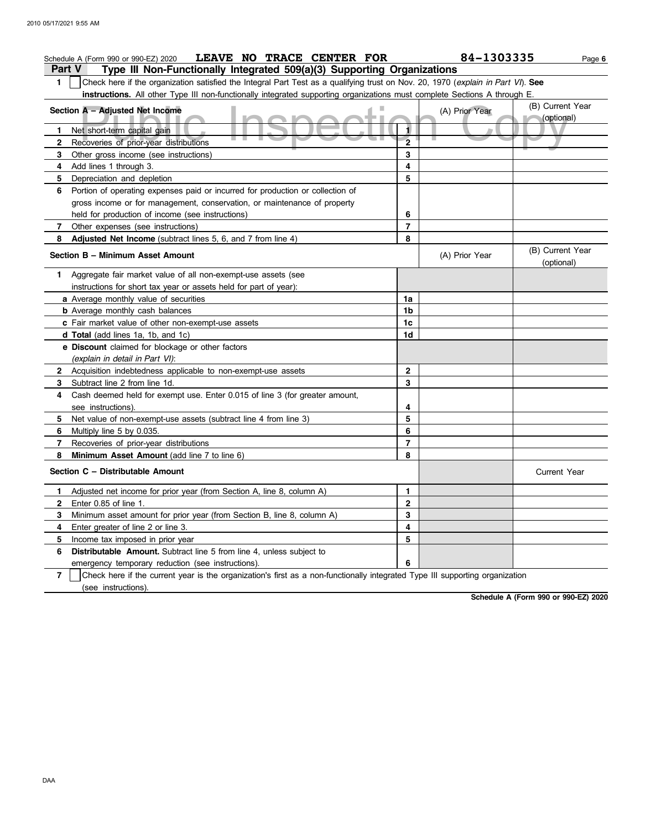|                | LEAVE NO TRACE CENTER FOR<br>Schedule A (Form 990 or 990-EZ) 2020                                                                |                | 84-1303335     | Page 6                         |
|----------------|----------------------------------------------------------------------------------------------------------------------------------|----------------|----------------|--------------------------------|
|                | Type III Non-Functionally Integrated 509(a)(3) Supporting Organizations<br><b>Part V</b>                                         |                |                |                                |
| 1              | Check here if the organization satisfied the Integral Part Test as a qualifying trust on Nov. 20, 1970 (explain in Part VI). See |                |                |                                |
|                | instructions. All other Type III non-functionally integrated supporting organizations must complete Sections A through E.        |                |                |                                |
|                | ш<br>Section A - Adjusted Net Income                                                                                             |                | (A) Prior Year | (B) Current Year<br>(optional) |
| 1.             | Net short-term capital gain                                                                                                      |                |                |                                |
| $\mathbf{2}$   | Recoveries of prior-year distributions                                                                                           | $\overline{2}$ |                |                                |
| 3              | Other gross income (see instructions)                                                                                            | 3              |                |                                |
| 4              | Add lines 1 through 3.                                                                                                           | 4              |                |                                |
| 5              | Depreciation and depletion                                                                                                       | 5              |                |                                |
| 6              | Portion of operating expenses paid or incurred for production or collection of                                                   |                |                |                                |
|                | gross income or for management, conservation, or maintenance of property                                                         |                |                |                                |
|                | held for production of income (see instructions)                                                                                 | 6              |                |                                |
| 7              | Other expenses (see instructions)                                                                                                | $\overline{7}$ |                |                                |
| 8              | Adjusted Net Income (subtract lines 5, 6, and 7 from line 4)                                                                     | 8              |                |                                |
|                | Section B - Minimum Asset Amount                                                                                                 |                | (A) Prior Year | (B) Current Year<br>(optional) |
|                | 1 Aggregate fair market value of all non-exempt-use assets (see                                                                  |                |                |                                |
|                | instructions for short tax year or assets held for part of year):                                                                |                |                |                                |
|                | a Average monthly value of securities                                                                                            | 1a             |                |                                |
|                | <b>b</b> Average monthly cash balances                                                                                           | 1b             |                |                                |
|                | c Fair market value of other non-exempt-use assets                                                                               | 1c             |                |                                |
|                | d Total (add lines 1a, 1b, and 1c)                                                                                               | 1d             |                |                                |
|                | e Discount claimed for blockage or other factors<br>(explain in detail in Part VI):                                              |                |                |                                |
|                | 2 Acquisition indebtedness applicable to non-exempt-use assets                                                                   | $\mathbf{2}$   |                |                                |
| 3              | Subtract line 2 from line 1d.                                                                                                    | 3              |                |                                |
| 4              | Cash deemed held for exempt use. Enter 0.015 of line 3 (for greater amount,                                                      |                |                |                                |
|                | see instructions).                                                                                                               | 4              |                |                                |
| 5.             | Net value of non-exempt-use assets (subtract line 4 from line 3)                                                                 | 5              |                |                                |
| 6              | Multiply line 5 by 0.035.                                                                                                        | 6              |                |                                |
| 7              | Recoveries of prior-year distributions                                                                                           | $\overline{7}$ |                |                                |
| 8              | Minimum Asset Amount (add line 7 to line 6)                                                                                      | 8              |                |                                |
|                | Section C - Distributable Amount                                                                                                 |                |                | Current Year                   |
| 1.             | Adjusted net income for prior year (from Section A, line 8, column A)                                                            | 1              |                |                                |
| 2              | Enter 0.85 of line 1.                                                                                                            | $\mathbf 2$    |                |                                |
| 3              | Minimum asset amount for prior year (from Section B, line 8, column A)                                                           | 3              |                |                                |
| 4              | Enter greater of line 2 or line 3.                                                                                               | 4              |                |                                |
| 5              | Income tax imposed in prior year                                                                                                 | 5              |                |                                |
| 6              | Distributable Amount. Subtract line 5 from line 4, unless subject to                                                             |                |                |                                |
|                | emergency temporary reduction (see instructions).                                                                                | 6              |                |                                |
| $\overline{7}$ | Check here if the current year is the organization's first as a non-functionally integrated Type III supporting organization     |                |                |                                |
|                | (see instructions).                                                                                                              |                |                |                                |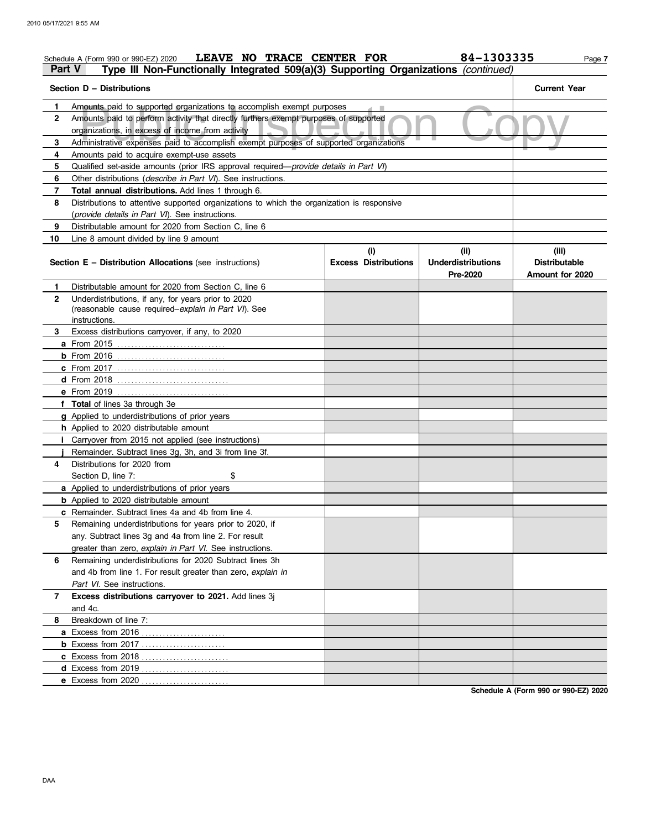| LEAVE NO TRACE CENTER FOR<br>Schedule A (Form 990 or 990-EZ) 2020<br>Part V<br>Type III Non-Functionally Integrated 509(a)(3) Supporting Organizations (continued) |                                    | 84-1303335                                    | Page 7                                           |  |  |  |
|--------------------------------------------------------------------------------------------------------------------------------------------------------------------|------------------------------------|-----------------------------------------------|--------------------------------------------------|--|--|--|
| Section D - Distributions                                                                                                                                          |                                    |                                               | <b>Current Year</b>                              |  |  |  |
| Amounts paid to supported organizations to accomplish exempt purposes<br>1.                                                                                        |                                    |                                               |                                                  |  |  |  |
| $\overline{2}$<br>Amounts paid to perform activity that directly furthers exempt purposes of supported<br>organizations, in excess of income from activity         |                                    |                                               |                                                  |  |  |  |
| Administrative expenses paid to accomplish exempt purposes of supported organizations<br>3                                                                         |                                    |                                               |                                                  |  |  |  |
| 4<br>Amounts paid to acquire exempt-use assets                                                                                                                     |                                    |                                               |                                                  |  |  |  |
| Qualified set-aside amounts (prior IRS approval required-provide details in Part VI)<br>5                                                                          |                                    |                                               |                                                  |  |  |  |
| Other distributions (describe in Part VI). See instructions.<br>6                                                                                                  |                                    |                                               |                                                  |  |  |  |
| 7<br>Total annual distributions. Add lines 1 through 6.                                                                                                            |                                    |                                               |                                                  |  |  |  |
| 8<br>Distributions to attentive supported organizations to which the organization is responsive                                                                    |                                    |                                               |                                                  |  |  |  |
| (provide details in Part VI). See instructions.                                                                                                                    |                                    |                                               |                                                  |  |  |  |
| Distributable amount for 2020 from Section C, line 6<br>9                                                                                                          |                                    |                                               |                                                  |  |  |  |
| 10<br>Line 8 amount divided by line 9 amount                                                                                                                       |                                    |                                               |                                                  |  |  |  |
| <b>Section E - Distribution Allocations (see instructions)</b>                                                                                                     | (i)<br><b>Excess Distributions</b> | (ii)<br><b>Underdistributions</b><br>Pre-2020 | (iii)<br><b>Distributable</b><br>Amount for 2020 |  |  |  |
| Distributable amount for 2020 from Section C, line 6<br>1.                                                                                                         |                                    |                                               |                                                  |  |  |  |
| $\mathbf{2}$<br>Underdistributions, if any, for years prior to 2020                                                                                                |                                    |                                               |                                                  |  |  |  |
| (reasonable cause required-explain in Part VI). See                                                                                                                |                                    |                                               |                                                  |  |  |  |
| instructions.                                                                                                                                                      |                                    |                                               |                                                  |  |  |  |
| Excess distributions carryover, if any, to 2020<br>3                                                                                                               |                                    |                                               |                                                  |  |  |  |
|                                                                                                                                                                    |                                    |                                               |                                                  |  |  |  |
|                                                                                                                                                                    |                                    |                                               |                                                  |  |  |  |
|                                                                                                                                                                    |                                    |                                               |                                                  |  |  |  |
|                                                                                                                                                                    |                                    |                                               |                                                  |  |  |  |
| e From 2019<br>. <u>.</u>                                                                                                                                          |                                    |                                               |                                                  |  |  |  |
| f Total of lines 3a through 3e                                                                                                                                     |                                    |                                               |                                                  |  |  |  |
| g Applied to underdistributions of prior years                                                                                                                     |                                    |                                               |                                                  |  |  |  |
| h Applied to 2020 distributable amount                                                                                                                             |                                    |                                               |                                                  |  |  |  |
| Carryover from 2015 not applied (see instructions)                                                                                                                 |                                    |                                               |                                                  |  |  |  |
| Remainder. Subtract lines 3g, 3h, and 3i from line 3f.                                                                                                             |                                    |                                               |                                                  |  |  |  |
| Distributions for 2020 from<br>4                                                                                                                                   |                                    |                                               |                                                  |  |  |  |
| Section D. line 7:<br>\$                                                                                                                                           |                                    |                                               |                                                  |  |  |  |
| a Applied to underdistributions of prior years                                                                                                                     |                                    |                                               |                                                  |  |  |  |
| <b>b</b> Applied to 2020 distributable amount                                                                                                                      |                                    |                                               |                                                  |  |  |  |
| <b>c</b> Remainder. Subtract lines 4a and 4b from line 4.                                                                                                          |                                    |                                               |                                                  |  |  |  |
| Remaining underdistributions for years prior to 2020, if<br>5                                                                                                      |                                    |                                               |                                                  |  |  |  |
| any. Subtract lines 3g and 4a from line 2. For result                                                                                                              |                                    |                                               |                                                  |  |  |  |
| greater than zero, explain in Part VI. See instructions.                                                                                                           |                                    |                                               |                                                  |  |  |  |
| Remaining underdistributions for 2020 Subtract lines 3h<br>6                                                                                                       |                                    |                                               |                                                  |  |  |  |
| and 4b from line 1. For result greater than zero, explain in                                                                                                       |                                    |                                               |                                                  |  |  |  |
| Part VI. See instructions.                                                                                                                                         |                                    |                                               |                                                  |  |  |  |
| Excess distributions carryover to 2021. Add lines 3j<br>7<br>and 4c.                                                                                               |                                    |                                               |                                                  |  |  |  |
| Breakdown of line 7:                                                                                                                                               |                                    |                                               |                                                  |  |  |  |
| 8                                                                                                                                                                  |                                    |                                               |                                                  |  |  |  |
| <b>b</b> Excess from 2017                                                                                                                                          |                                    |                                               |                                                  |  |  |  |
|                                                                                                                                                                    |                                    |                                               |                                                  |  |  |  |
| d Excess from 2019                                                                                                                                                 |                                    |                                               |                                                  |  |  |  |
| e Excess from 2020                                                                                                                                                 |                                    |                                               |                                                  |  |  |  |
|                                                                                                                                                                    |                                    |                                               |                                                  |  |  |  |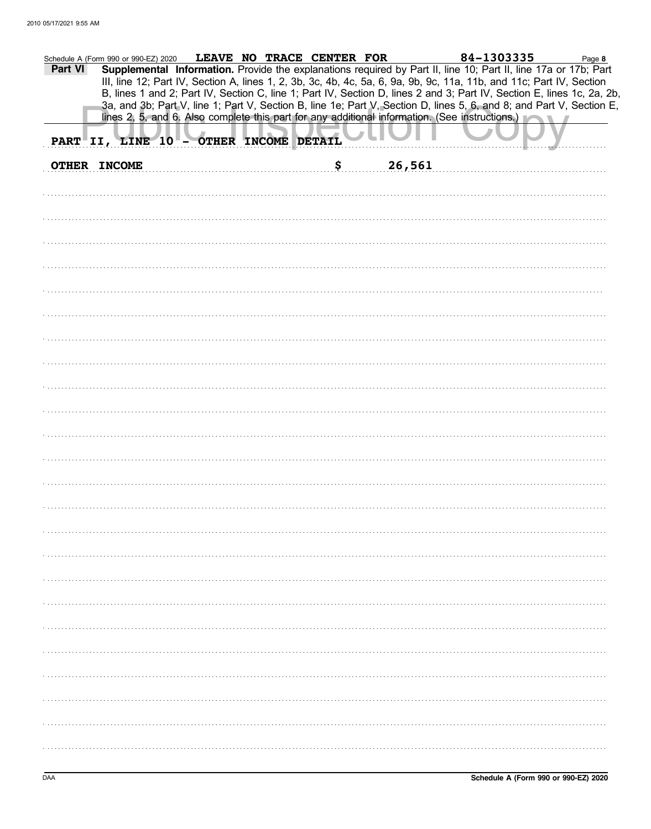| Part VI | Schedule A (Form 990 or 990-EZ) 2020   | LEAVE NO TRACE CENTER FOR |              | 84-1303335<br>Supplemental Information. Provide the explanations required by Part II, line 10; Part II, line 17a or 17b; Part<br>III, line 12; Part IV, Section A, lines 1, 2, 3b, 3c, 4b, 4c, 5a, 6, 9a, 9b, 9c, 11a, 11b, and 11c; Part IV, Section<br>B, lines 1 and 2; Part IV, Section C, line 1; Part IV, Section D, lines 2 and 3; Part IV, Section E, lines 1c, 2a, 2b,<br>3a, and 3b; Part V, line 1; Part V, Section B, line 1e; Part V, Section D, lines 5, 6, and 8; and Part V, Section E,<br>lines 2, 5, and 6. Also complete this part for any additional information. (See instructions.) | Page 8 |
|---------|----------------------------------------|---------------------------|--------------|-----------------------------------------------------------------------------------------------------------------------------------------------------------------------------------------------------------------------------------------------------------------------------------------------------------------------------------------------------------------------------------------------------------------------------------------------------------------------------------------------------------------------------------------------------------------------------------------------------------|--------|
|         | PART II, LINE 10 - OTHER INCOME DETAIL |                           |              |                                                                                                                                                                                                                                                                                                                                                                                                                                                                                                                                                                                                           |        |
|         | <b>OTHER INCOME</b>                    |                           | \$<br>26,561 |                                                                                                                                                                                                                                                                                                                                                                                                                                                                                                                                                                                                           |        |
|         |                                        |                           |              |                                                                                                                                                                                                                                                                                                                                                                                                                                                                                                                                                                                                           |        |
|         |                                        |                           |              |                                                                                                                                                                                                                                                                                                                                                                                                                                                                                                                                                                                                           |        |
|         |                                        |                           |              |                                                                                                                                                                                                                                                                                                                                                                                                                                                                                                                                                                                                           |        |
|         |                                        |                           |              |                                                                                                                                                                                                                                                                                                                                                                                                                                                                                                                                                                                                           |        |
|         |                                        |                           |              |                                                                                                                                                                                                                                                                                                                                                                                                                                                                                                                                                                                                           |        |
|         |                                        |                           |              |                                                                                                                                                                                                                                                                                                                                                                                                                                                                                                                                                                                                           |        |
|         |                                        |                           |              |                                                                                                                                                                                                                                                                                                                                                                                                                                                                                                                                                                                                           |        |
|         |                                        |                           |              |                                                                                                                                                                                                                                                                                                                                                                                                                                                                                                                                                                                                           |        |
|         |                                        |                           |              |                                                                                                                                                                                                                                                                                                                                                                                                                                                                                                                                                                                                           |        |
|         |                                        |                           |              |                                                                                                                                                                                                                                                                                                                                                                                                                                                                                                                                                                                                           |        |
|         |                                        |                           |              |                                                                                                                                                                                                                                                                                                                                                                                                                                                                                                                                                                                                           |        |
|         |                                        |                           |              |                                                                                                                                                                                                                                                                                                                                                                                                                                                                                                                                                                                                           |        |
|         |                                        |                           |              |                                                                                                                                                                                                                                                                                                                                                                                                                                                                                                                                                                                                           |        |
|         |                                        |                           |              |                                                                                                                                                                                                                                                                                                                                                                                                                                                                                                                                                                                                           |        |
|         |                                        |                           |              |                                                                                                                                                                                                                                                                                                                                                                                                                                                                                                                                                                                                           |        |
|         |                                        |                           |              |                                                                                                                                                                                                                                                                                                                                                                                                                                                                                                                                                                                                           |        |
|         |                                        |                           |              |                                                                                                                                                                                                                                                                                                                                                                                                                                                                                                                                                                                                           |        |
|         |                                        |                           |              |                                                                                                                                                                                                                                                                                                                                                                                                                                                                                                                                                                                                           |        |
|         |                                        |                           |              |                                                                                                                                                                                                                                                                                                                                                                                                                                                                                                                                                                                                           |        |
|         |                                        |                           |              |                                                                                                                                                                                                                                                                                                                                                                                                                                                                                                                                                                                                           |        |
|         |                                        |                           |              |                                                                                                                                                                                                                                                                                                                                                                                                                                                                                                                                                                                                           |        |
|         |                                        |                           |              |                                                                                                                                                                                                                                                                                                                                                                                                                                                                                                                                                                                                           |        |
|         |                                        |                           |              |                                                                                                                                                                                                                                                                                                                                                                                                                                                                                                                                                                                                           |        |
|         |                                        |                           |              |                                                                                                                                                                                                                                                                                                                                                                                                                                                                                                                                                                                                           |        |
|         |                                        |                           |              |                                                                                                                                                                                                                                                                                                                                                                                                                                                                                                                                                                                                           |        |
|         |                                        |                           |              |                                                                                                                                                                                                                                                                                                                                                                                                                                                                                                                                                                                                           |        |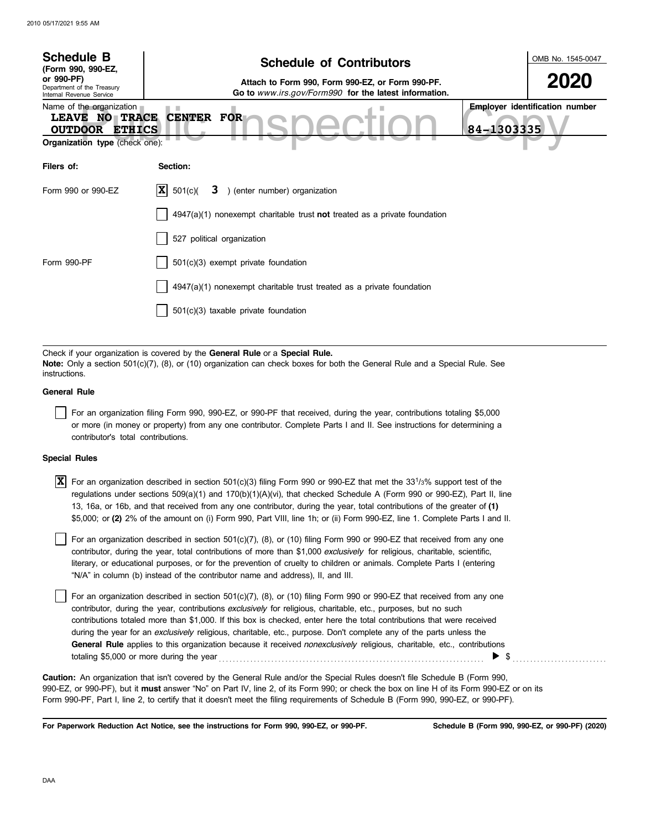| <b>Schedule B</b><br>(Form 990, 990-EZ,                                                                                       | <b>Schedule of Contributors</b>                                                                                                                                                                             | OMB No. 1545-0047              |
|-------------------------------------------------------------------------------------------------------------------------------|-------------------------------------------------------------------------------------------------------------------------------------------------------------------------------------------------------------|--------------------------------|
| or 990-PF)<br>Department of the Treasury<br>Internal Revenue Service                                                          | 2020                                                                                                                                                                                                        |                                |
| Name of the organization<br><b>LEAVE NO TRACE</b><br><b>OUTDOOR</b><br><b>ETHICS</b><br><b>Organization type (check one):</b> | <b>CENTER FOR</b><br>84-1303335                                                                                                                                                                             | Employer identification number |
| Filers of:                                                                                                                    | Section:                                                                                                                                                                                                    |                                |
| Form 990 or 990-EZ                                                                                                            | X <br>) (enter number) organization<br>501(c)<br>3                                                                                                                                                          |                                |
|                                                                                                                               | $4947(a)(1)$ nonexempt charitable trust <b>not</b> treated as a private foundation                                                                                                                          |                                |
|                                                                                                                               | 527 political organization                                                                                                                                                                                  |                                |
| Form 990-PF                                                                                                                   | 501(c)(3) exempt private foundation                                                                                                                                                                         |                                |
|                                                                                                                               | $4947(a)(1)$ nonexempt charitable trust treated as a private foundation                                                                                                                                     |                                |
|                                                                                                                               | 501(c)(3) taxable private foundation                                                                                                                                                                        |                                |
|                                                                                                                               |                                                                                                                                                                                                             |                                |
| instructions.                                                                                                                 | Check if your organization is covered by the General Rule or a Special Rule.<br>Note: Only a section 501(c)(7), (8), or (10) organization can check boxes for both the General Rule and a Special Rule. See |                                |
| <b>General Rule</b>                                                                                                           |                                                                                                                                                                                                             |                                |
|                                                                                                                               | For an organization filing Form 990, 990-EZ, or 990-PF that received, during the year, contributions totaling \$5,000                                                                                       |                                |

or more (in money or property) from any one contributor. Complete Parts I and II. See instructions for determining a contributor's total contributions.

## **Special Rules**

 $\overline{X}$  For an organization described in section 501(c)(3) filing Form 990 or 990-EZ that met the 33<sup>1</sup>/3% support test of the regulations under sections 509(a)(1) and 170(b)(1)(A)(vi), that checked Schedule A (Form 990 or 990-EZ), Part II, line 13, 16a, or 16b, and that received from any one contributor, during the year, total contributions of the greater of **(1)** \$5,000; or **(2)** 2% of the amount on (i) Form 990, Part VIII, line 1h; or (ii) Form 990-EZ, line 1. Complete Parts I and II.

literary, or educational purposes, or for the prevention of cruelty to children or animals. Complete Parts I (entering For an organization described in section  $501(c)(7)$ , (8), or (10) filing Form 990 or 990-EZ that received from any one contributor, during the year, total contributions of more than \$1,000 *exclusively* for religious, charitable, scientific, "N/A" in column (b) instead of the contributor name and address), II, and III.

For an organization described in section 501(c)(7), (8), or (10) filing Form 990 or 990-EZ that received from any one contributor, during the year, contributions *exclusively* for religious, charitable, etc., purposes, but no such contributions totaled more than \$1,000. If this box is checked, enter here the total contributions that were received during the year for an *exclusively* religious, charitable, etc., purpose. Don't complete any of the parts unless the **General Rule** applies to this organization because it received *nonexclusively* religious, charitable, etc., contributions totaling \$5,000 or more during the year . . . . . . . . . . . . . . . . . . . . . . . . . . . . . . . . . . . . . . . . . . . . . . . . . . . . . . . . . . . . . . . . . . . . . . . . . . . . \$ . . . . . . . . . . . . . . . . . . . . . . . . . . .

990-EZ, or 990-PF), but it **must** answer "No" on Part IV, line 2, of its Form 990; or check the box on line H of its Form 990-EZ or on its Form 990-PF, Part I, line 2, to certify that it doesn't meet the filing requirements of Schedule B (Form 990, 990-EZ, or 990-PF). **Caution:** An organization that isn't covered by the General Rule and/or the Special Rules doesn't file Schedule B (Form 990,

**For Paperwork Reduction Act Notice, see the instructions for Form 990, 990-EZ, or 990-PF.**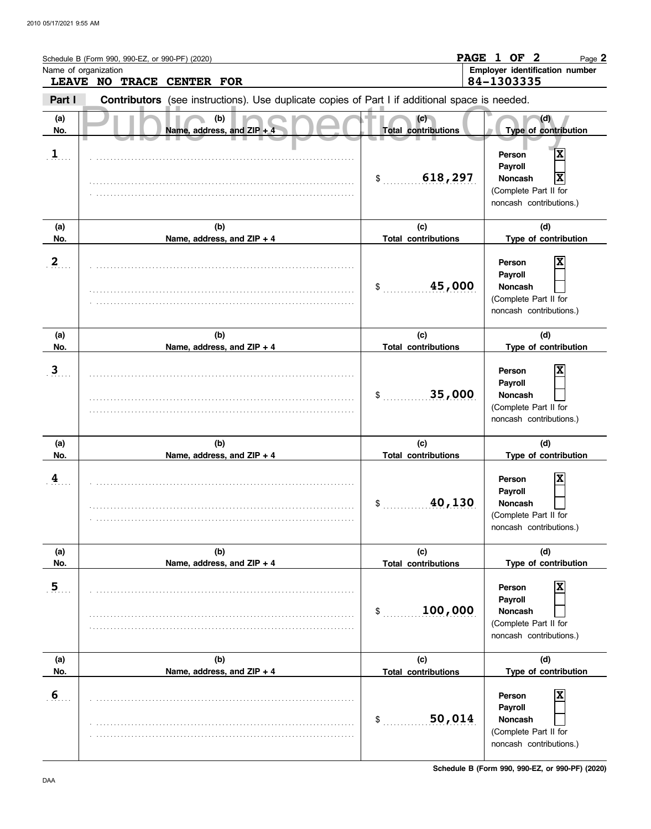|                         | Schedule B (Form 990, 990-EZ, or 990-PF) (2020) |                                                                                                |                                   | PAGE 1 OF 2<br>Page 2                                                                                                   |
|-------------------------|-------------------------------------------------|------------------------------------------------------------------------------------------------|-----------------------------------|-------------------------------------------------------------------------------------------------------------------------|
| Name of organization    | LEAVE NO TRACE CENTER FOR                       |                                                                                                |                                   | Employer identification number<br>84-1303335                                                                            |
| Part I                  |                                                 | Contributors (see instructions). Use duplicate copies of Part I if additional space is needed. |                                   |                                                                                                                         |
| (a)<br>No.              |                                                 | (b)<br>Name, address, and ZIP +                                                                | (c)<br><b>Total contributions</b> | (d)<br>Type of contribution                                                                                             |
| $\mathbf{1}$            |                                                 |                                                                                                | 618,297<br>\$                     | $\overline{\mathbf{x}}$<br>Person<br>Payroll<br>X<br><b>Noncash</b><br>(Complete Part II for<br>noncash contributions.) |
| (a)<br>No.              |                                                 | (b)<br>Name, address, and ZIP + 4                                                              | (c)<br><b>Total contributions</b> | (d)<br>Type of contribution                                                                                             |
| $\mathbf{2}$            |                                                 |                                                                                                | 45,000<br>\$                      | X<br>Person<br>Payroll<br><b>Noncash</b><br>(Complete Part II for<br>noncash contributions.)                            |
| (a)<br>No.              |                                                 | (b)                                                                                            | (c)<br><b>Total contributions</b> | (d)<br>Type of contribution                                                                                             |
| $\overline{\mathbf{3}}$ |                                                 | Name, address, and ZIP + 4                                                                     | 35,000<br>\$                      | X<br>Person<br>Payroll<br><b>Noncash</b><br>(Complete Part II for<br>noncash contributions.)                            |
| (a)<br>No.              |                                                 | (b)<br>Name, address, and ZIP + 4                                                              | (c)<br><b>Total contributions</b> | (d)<br>Type of contribution                                                                                             |
| $\overline{\mathbf{4}}$ |                                                 |                                                                                                | 40,130<br>\$                      | X<br>Person<br>Payroll<br>Noncash<br>(Complete Part II for<br>noncash contributions.)                                   |
| (a)<br>No.              |                                                 | (b)<br>Name, address, and ZIP + 4                                                              | (c)<br><b>Total contributions</b> | (d)<br>Type of contribution                                                                                             |
| $\overline{5}$          |                                                 |                                                                                                | 100,000<br>$\mathsf{S}$           | X<br>Person<br>Payroll<br>Noncash<br>(Complete Part II for<br>noncash contributions.)                                   |
| (a)<br>No.              |                                                 | (b)<br>Name, address, and ZIP + 4                                                              | (c)<br><b>Total contributions</b> | (d)<br>Type of contribution                                                                                             |
| $6 \overline{6}$        |                                                 |                                                                                                | 50,014<br>\$                      | X<br>Person<br>Payroll<br><b>Noncash</b><br>(Complete Part II for<br>noncash contributions.)                            |

**Schedule B (Form 990, 990-EZ, or 990-PF) (2020)**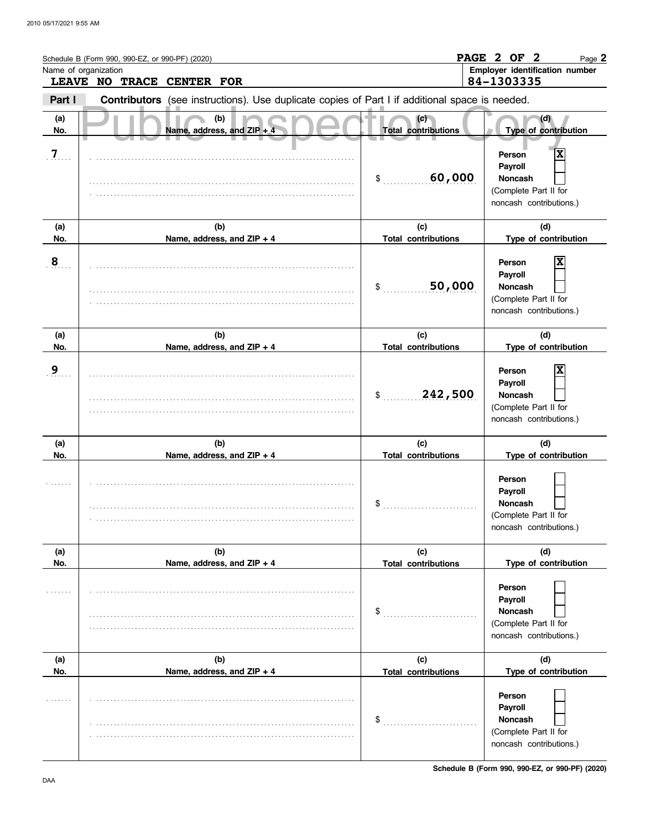|                      | Schedule B (Form 990, 990-EZ, or 990-PF) (2020) |                                                                                                |                                   | PAGE 2 OF 2<br>Page 2                                                                                                  |
|----------------------|-------------------------------------------------|------------------------------------------------------------------------------------------------|-----------------------------------|------------------------------------------------------------------------------------------------------------------------|
| Name of organization | LEAVE NO TRACE CENTER FOR                       |                                                                                                |                                   | Employer identification number<br>84-1303335                                                                           |
| Part I               |                                                 | Contributors (see instructions). Use duplicate copies of Part I if additional space is needed. |                                   |                                                                                                                        |
| (a)<br>No.           |                                                 | (b)<br>Name, address, and ZIP +                                                                | (c)<br><b>Total contributions</b> | (d)<br>Type of contribution                                                                                            |
| $\overline{7}$       |                                                 |                                                                                                | 60,000<br>\$                      | $\overline{\mathbf{x}}$<br>Person<br>Payroll<br><b>Noncash</b><br>(Complete Part II for<br>noncash contributions.)     |
| (a)<br>No.           |                                                 | (b)<br>Name, address, and ZIP + 4                                                              | (c)<br><b>Total contributions</b> | (d)<br>Type of contribution                                                                                            |
| 8                    |                                                 |                                                                                                | 50,000<br>\$                      | X<br>Person<br>Payroll<br><b>Noncash</b><br>(Complete Part II for<br>noncash contributions.)                           |
| (a)                  |                                                 | (b)                                                                                            | (c)                               | (d)                                                                                                                    |
| No.                  |                                                 | Name, address, and ZIP + 4                                                                     | <b>Total contributions</b>        | Type of contribution                                                                                                   |
| 9                    |                                                 |                                                                                                | 242,500<br>\$                     | X<br>Person<br>Payroll<br><b>Noncash</b><br>(Complete Part II for<br>noncash contributions.)                           |
| (a)                  |                                                 | (b)                                                                                            | (c)                               | (d)                                                                                                                    |
| No.                  |                                                 | Name, address, and ZIP + 4                                                                     | <b>Total contributions</b>        | Type of contribution                                                                                                   |
|                      |                                                 |                                                                                                | \$                                | Person<br>Payroll<br>Noncash<br>(Complete Part II for<br>noncash contributions.)                                       |
| (a)                  |                                                 | (b)                                                                                            | (c)                               | (d)                                                                                                                    |
| No.                  |                                                 | Name, address, and ZIP + 4                                                                     | <b>Total contributions</b>        | Type of contribution                                                                                                   |
|                      |                                                 |                                                                                                | \$                                | Person<br>Payroll<br>Noncash<br>(Complete Part II for<br>noncash contributions.)                                       |
| (a)                  |                                                 | (b)                                                                                            | (c)                               | (d)                                                                                                                    |
| No.                  |                                                 | Name, address, and ZIP + 4                                                                     | <b>Total contributions</b><br>\$  | Type of contribution<br><b>Person</b><br>Payroll<br><b>Noncash</b><br>(Complete Part II for<br>noncash contributions.) |

**Schedule B (Form 990, 990-EZ, or 990-PF) (2020)**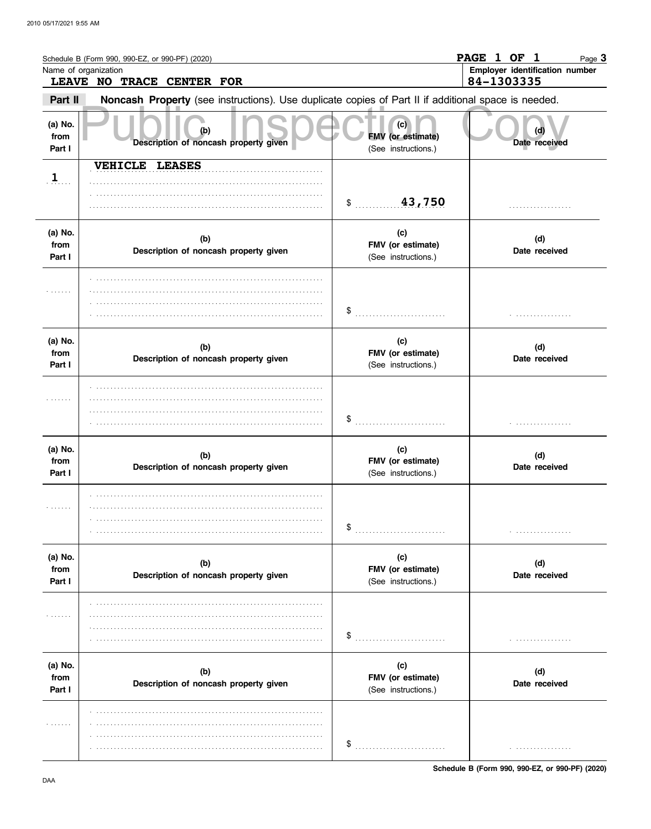|                           | Schedule B (Form 990, 990-EZ, or 990-PF) (2020)                                                     |                                                 | PAGE 1 OF 1<br>Page 3                        |
|---------------------------|-----------------------------------------------------------------------------------------------------|-------------------------------------------------|----------------------------------------------|
|                           | Name of organization<br>LEAVE NO TRACE CENTER FOR                                                   |                                                 | Employer identification number<br>84-1303335 |
| Part II                   | Noncash Property (see instructions). Use duplicate copies of Part II if additional space is needed. |                                                 |                                              |
| (a) No.<br>from<br>Part I | Description of noncash property given                                                               | (c)<br>FMV (or estimate)<br>(See instructions.) | (d)<br>Date received                         |
| $\frac{1}{2}$             | <b>VEHICLE LEASES</b>                                                                               | 43,750<br>$\ddot{\textbf{S}}$                   | .                                            |
| (a) No.<br>from<br>Part I | (b)<br>Description of noncash property given                                                        | (c)<br>FMV (or estimate)<br>(See instructions.) | (d)<br>Date received                         |
| .                         |                                                                                                     | \$                                              |                                              |
| (a) No.<br>from<br>Part I | (b)<br>Description of noncash property given                                                        | (c)<br>FMV (or estimate)<br>(See instructions.) | (d)<br>Date received                         |
| .                         |                                                                                                     | \$                                              |                                              |
| (a) No.<br>from<br>Part I | (b)<br>Description of noncash property given                                                        | (c)<br>FMV (or estimate)<br>(See instructions.) | (d)<br>Date received                         |
| .                         |                                                                                                     | \$<br>.                                         |                                              |
| (a) No.<br>from<br>Part I | (b)<br>Description of noncash property given                                                        | (c)<br>FMV (or estimate)<br>(See instructions.) | (d)<br>Date received                         |
| .                         |                                                                                                     | \$                                              |                                              |
| (a) No.<br>from<br>Part I | (b)<br>Description of noncash property given                                                        | (c)<br>FMV (or estimate)<br>(See instructions.) | (d)<br>Date received                         |
| .                         |                                                                                                     | \$                                              |                                              |

Schedule B (Form 990, 990-EZ, or 990-PF) (2020)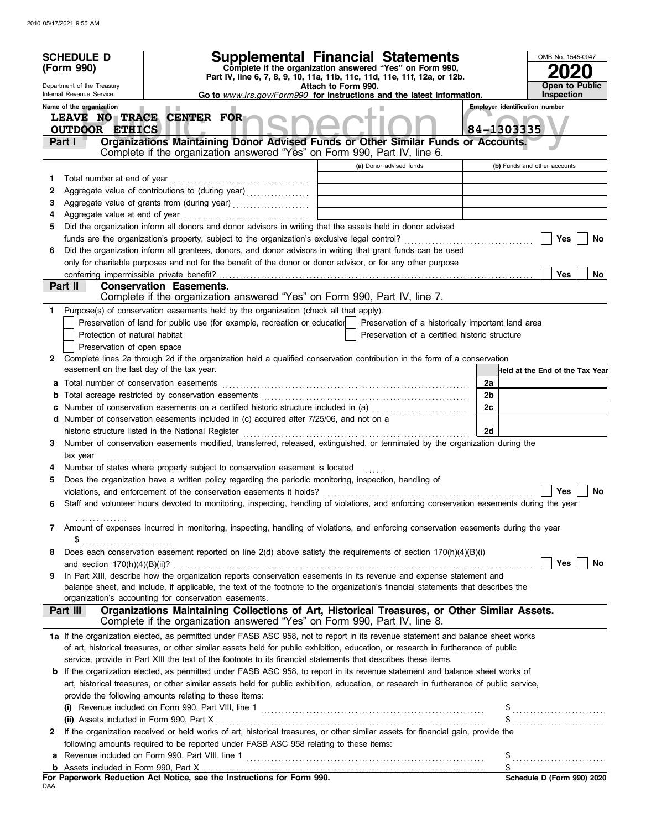|    | <b>Supplemental Financial Statements</b><br><b>SCHEDULE D</b><br>Complete if the organization answered "Yes" on Form 990,<br>(Form 990)<br>Part IV, line 6, 7, 8, 9, 10, 11a, 11b, 11c, 11d, 11e, 11f, 12a, or 12b.<br>Department of the Treasury<br>Attach to Form 990.<br>Internal Revenue Service<br>Go to www.irs.gov/Form990 for instructions and the latest information.<br>Name of the organization<br><b>The Contract</b><br>LEAVE NO TRACE CENTER FOR |                                                                                                                                                                                                                  |  |  |                                                  | OMB No. 1545-0047<br><b>Open to Public</b><br>Inspection<br><b>Employer identification number</b> |                                                                  |
|----|----------------------------------------------------------------------------------------------------------------------------------------------------------------------------------------------------------------------------------------------------------------------------------------------------------------------------------------------------------------------------------------------------------------------------------------------------------------|------------------------------------------------------------------------------------------------------------------------------------------------------------------------------------------------------------------|--|--|--------------------------------------------------|---------------------------------------------------------------------------------------------------|------------------------------------------------------------------|
|    | <b>OUTDOOR ETHICS</b><br>Part I                                                                                                                                                                                                                                                                                                                                                                                                                                | Organizations Maintaining Donor Advised Funds or Other Similar Funds or Accounts.                                                                                                                                |  |  |                                                  |                                                                                                   | 84-1303335                                                       |
|    |                                                                                                                                                                                                                                                                                                                                                                                                                                                                | Complete if the organization answered "Yes" on Form 990, Part IV, line 6.                                                                                                                                        |  |  |                                                  |                                                                                                   |                                                                  |
|    |                                                                                                                                                                                                                                                                                                                                                                                                                                                                |                                                                                                                                                                                                                  |  |  | (a) Donor advised funds                          |                                                                                                   | (b) Funds and other accounts                                     |
| 1. | Total number at end of year                                                                                                                                                                                                                                                                                                                                                                                                                                    |                                                                                                                                                                                                                  |  |  |                                                  |                                                                                                   |                                                                  |
| 2  |                                                                                                                                                                                                                                                                                                                                                                                                                                                                | Aggregate value of contributions to (during year)                                                                                                                                                                |  |  |                                                  |                                                                                                   |                                                                  |
| З  |                                                                                                                                                                                                                                                                                                                                                                                                                                                                |                                                                                                                                                                                                                  |  |  | the control of the control of the control of the |                                                                                                   |                                                                  |
| 5  |                                                                                                                                                                                                                                                                                                                                                                                                                                                                | Did the organization inform all donors and donor advisors in writing that the assets held in donor advised                                                                                                       |  |  |                                                  |                                                                                                   |                                                                  |
|    |                                                                                                                                                                                                                                                                                                                                                                                                                                                                |                                                                                                                                                                                                                  |  |  |                                                  |                                                                                                   | Yes<br>No                                                        |
| 6  |                                                                                                                                                                                                                                                                                                                                                                                                                                                                | Did the organization inform all grantees, donors, and donor advisors in writing that grant funds can be used                                                                                                     |  |  |                                                  |                                                                                                   |                                                                  |
|    |                                                                                                                                                                                                                                                                                                                                                                                                                                                                | only for charitable purposes and not for the benefit of the donor or donor advisor, or for any other purpose                                                                                                     |  |  |                                                  |                                                                                                   |                                                                  |
|    | conferring impermissible private benefit?                                                                                                                                                                                                                                                                                                                                                                                                                      |                                                                                                                                                                                                                  |  |  |                                                  |                                                                                                   | <b>Yes</b><br>No                                                 |
|    | Part II                                                                                                                                                                                                                                                                                                                                                                                                                                                        | <b>Conservation Easements.</b>                                                                                                                                                                                   |  |  |                                                  |                                                                                                   |                                                                  |
|    |                                                                                                                                                                                                                                                                                                                                                                                                                                                                | Complete if the organization answered "Yes" on Form 990, Part IV, line 7.                                                                                                                                        |  |  |                                                  |                                                                                                   |                                                                  |
| 1. |                                                                                                                                                                                                                                                                                                                                                                                                                                                                | Purpose(s) of conservation easements held by the organization (check all that apply).                                                                                                                            |  |  |                                                  |                                                                                                   |                                                                  |
|    |                                                                                                                                                                                                                                                                                                                                                                                                                                                                | Preservation of land for public use (for example, recreation or education   Preservation of a historically important land area                                                                                   |  |  |                                                  |                                                                                                   |                                                                  |
|    | Protection of natural habitat                                                                                                                                                                                                                                                                                                                                                                                                                                  |                                                                                                                                                                                                                  |  |  | Preservation of a certified historic structure   |                                                                                                   |                                                                  |
| 2  | Preservation of open space                                                                                                                                                                                                                                                                                                                                                                                                                                     | Complete lines 2a through 2d if the organization held a qualified conservation contribution in the form of a conservation                                                                                        |  |  |                                                  |                                                                                                   |                                                                  |
|    | easement on the last day of the tax year.                                                                                                                                                                                                                                                                                                                                                                                                                      |                                                                                                                                                                                                                  |  |  |                                                  |                                                                                                   | Held at the End of the Tax Year                                  |
|    | a Total number of conservation easements                                                                                                                                                                                                                                                                                                                                                                                                                       |                                                                                                                                                                                                                  |  |  |                                                  | 2a                                                                                                |                                                                  |
| b  |                                                                                                                                                                                                                                                                                                                                                                                                                                                                |                                                                                                                                                                                                                  |  |  |                                                  | 2b                                                                                                |                                                                  |
| c  |                                                                                                                                                                                                                                                                                                                                                                                                                                                                | Number of conservation easements on a certified historic structure included in (a) [11] Number of conservation easements on a certified historic structure included in (a)                                       |  |  |                                                  | 2c                                                                                                |                                                                  |
|    |                                                                                                                                                                                                                                                                                                                                                                                                                                                                | d Number of conservation easements included in (c) acquired after 7/25/06, and not on a                                                                                                                          |  |  |                                                  |                                                                                                   |                                                                  |
|    |                                                                                                                                                                                                                                                                                                                                                                                                                                                                |                                                                                                                                                                                                                  |  |  |                                                  | 2d                                                                                                |                                                                  |
| 3  |                                                                                                                                                                                                                                                                                                                                                                                                                                                                | Number of conservation easements modified, transferred, released, extinguished, or terminated by the organization during the                                                                                     |  |  |                                                  |                                                                                                   |                                                                  |
|    | tax year                                                                                                                                                                                                                                                                                                                                                                                                                                                       |                                                                                                                                                                                                                  |  |  |                                                  |                                                                                                   |                                                                  |
|    |                                                                                                                                                                                                                                                                                                                                                                                                                                                                | Number of states where property subject to conservation easement is located                                                                                                                                      |  |  |                                                  |                                                                                                   |                                                                  |
| 5  |                                                                                                                                                                                                                                                                                                                                                                                                                                                                | Does the organization have a written policy regarding the periodic monitoring, inspection, handling of                                                                                                           |  |  |                                                  |                                                                                                   |                                                                  |
|    |                                                                                                                                                                                                                                                                                                                                                                                                                                                                | violations, and enforcement of the conservation easements it holds?<br>Staff and volunteer hours devoted to monitoring, inspecting, handling of violations, and enforcing conservation easements during the year |  |  |                                                  |                                                                                                   | Yes<br>No.                                                       |
| 6  |                                                                                                                                                                                                                                                                                                                                                                                                                                                                |                                                                                                                                                                                                                  |  |  |                                                  |                                                                                                   |                                                                  |
|    |                                                                                                                                                                                                                                                                                                                                                                                                                                                                | 7 Amount of expenses incurred in monitoring, inspecting, handling of violations, and enforcing conservation easements during the year                                                                            |  |  |                                                  |                                                                                                   |                                                                  |
|    | \$                                                                                                                                                                                                                                                                                                                                                                                                                                                             |                                                                                                                                                                                                                  |  |  |                                                  |                                                                                                   |                                                                  |
| 8  |                                                                                                                                                                                                                                                                                                                                                                                                                                                                | Does each conservation easement reported on line $2(d)$ above satisfy the requirements of section $170(h)(4)(B)(i)$                                                                                              |  |  |                                                  |                                                                                                   |                                                                  |
|    |                                                                                                                                                                                                                                                                                                                                                                                                                                                                |                                                                                                                                                                                                                  |  |  |                                                  |                                                                                                   | Yes    <br>No                                                    |
| 9  |                                                                                                                                                                                                                                                                                                                                                                                                                                                                | In Part XIII, describe how the organization reports conservation easements in its revenue and expense statement and                                                                                              |  |  |                                                  |                                                                                                   |                                                                  |
|    |                                                                                                                                                                                                                                                                                                                                                                                                                                                                | balance sheet, and include, if applicable, the text of the footnote to the organization's financial statements that describes the<br>organization's accounting for conservation easements.                       |  |  |                                                  |                                                                                                   |                                                                  |
|    | Part III                                                                                                                                                                                                                                                                                                                                                                                                                                                       | Organizations Maintaining Collections of Art, Historical Treasures, or Other Similar Assets.                                                                                                                     |  |  |                                                  |                                                                                                   |                                                                  |
|    |                                                                                                                                                                                                                                                                                                                                                                                                                                                                | Complete if the organization answered "Yes" on Form 990, Part IV, line 8.                                                                                                                                        |  |  |                                                  |                                                                                                   |                                                                  |
|    |                                                                                                                                                                                                                                                                                                                                                                                                                                                                | 1a If the organization elected, as permitted under FASB ASC 958, not to report in its revenue statement and balance sheet works                                                                                  |  |  |                                                  |                                                                                                   |                                                                  |
|    |                                                                                                                                                                                                                                                                                                                                                                                                                                                                | of art, historical treasures, or other similar assets held for public exhibition, education, or research in furtherance of public                                                                                |  |  |                                                  |                                                                                                   |                                                                  |
|    |                                                                                                                                                                                                                                                                                                                                                                                                                                                                | service, provide in Part XIII the text of the footnote to its financial statements that describes these items.                                                                                                   |  |  |                                                  |                                                                                                   |                                                                  |
|    |                                                                                                                                                                                                                                                                                                                                                                                                                                                                | <b>b</b> If the organization elected, as permitted under FASB ASC 958, to report in its revenue statement and balance sheet works of                                                                             |  |  |                                                  |                                                                                                   |                                                                  |
|    |                                                                                                                                                                                                                                                                                                                                                                                                                                                                | art, historical treasures, or other similar assets held for public exhibition, education, or research in furtherance of public service,                                                                          |  |  |                                                  |                                                                                                   |                                                                  |
|    |                                                                                                                                                                                                                                                                                                                                                                                                                                                                | provide the following amounts relating to these items:                                                                                                                                                           |  |  |                                                  |                                                                                                   |                                                                  |
|    |                                                                                                                                                                                                                                                                                                                                                                                                                                                                |                                                                                                                                                                                                                  |  |  |                                                  |                                                                                                   |                                                                  |
|    | (ii) Assets included in Form 990, Part X                                                                                                                                                                                                                                                                                                                                                                                                                       | If the organization received or held works of art, historical treasures, or other similar assets for financial gain, provide the                                                                                 |  |  |                                                  |                                                                                                   |                                                                  |
| 2  |                                                                                                                                                                                                                                                                                                                                                                                                                                                                | following amounts required to be reported under FASB ASC 958 relating to these items:                                                                                                                            |  |  |                                                  |                                                                                                   |                                                                  |
| а  |                                                                                                                                                                                                                                                                                                                                                                                                                                                                |                                                                                                                                                                                                                  |  |  |                                                  |                                                                                                   |                                                                  |
| b  |                                                                                                                                                                                                                                                                                                                                                                                                                                                                |                                                                                                                                                                                                                  |  |  |                                                  |                                                                                                   | $\$\ldots\ldots\ldots\ldots\ldots\ldots\ldots\ldots\ldots\ldots$ |
|    |                                                                                                                                                                                                                                                                                                                                                                                                                                                                | For Paperwork Reduction Act Notice, see the Instructions for Form 990.                                                                                                                                           |  |  |                                                  |                                                                                                   | Schedule D (Form 990) 2020                                       |

DAA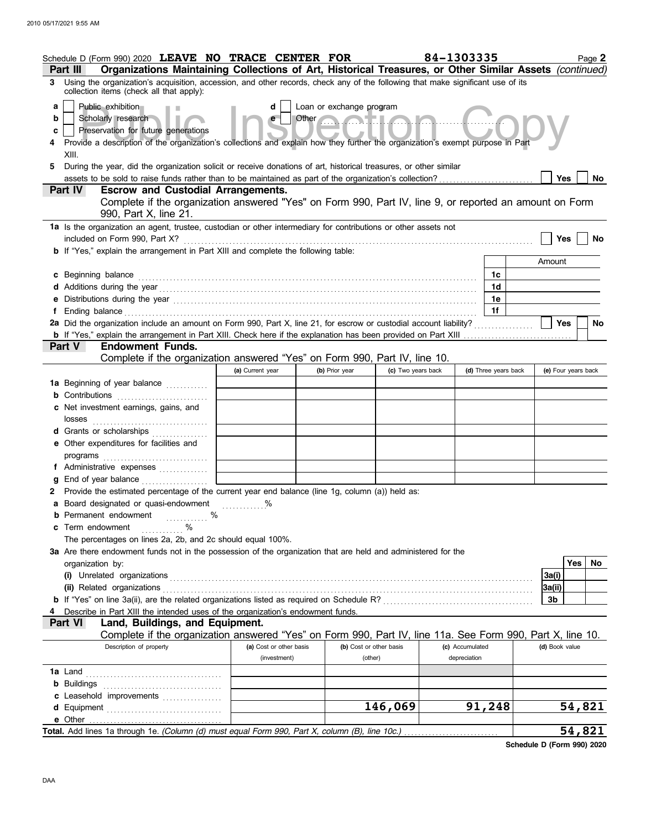|          | Schedule D (Form 990) 2020 LEAVE NO TRACE CENTER FOR                                                                                                                                                                                                                                                                                                 |                         |                             |                         | 84-1303335      |                      |                     | Page 2    |
|----------|------------------------------------------------------------------------------------------------------------------------------------------------------------------------------------------------------------------------------------------------------------------------------------------------------------------------------------------------------|-------------------------|-----------------------------|-------------------------|-----------------|----------------------|---------------------|-----------|
| Part III | Organizations Maintaining Collections of Art, Historical Treasures, or Other Similar Assets (continued)                                                                                                                                                                                                                                              |                         |                             |                         |                 |                      |                     |           |
|          | 3 Using the organization's acquisition, accession, and other records, check any of the following that make significant use of its<br>collection items (check all that apply):                                                                                                                                                                        |                         |                             |                         |                 |                      |                     |           |
| a        | Public exhibition                                                                                                                                                                                                                                                                                                                                    | d                       | Loan or exchange program    |                         |                 |                      |                     |           |
| b        | Scholarly research                                                                                                                                                                                                                                                                                                                                   |                         | Other <b>Contract Lines</b> |                         |                 |                      |                     |           |
| c        | Preservation for future generations                                                                                                                                                                                                                                                                                                                  |                         |                             |                         |                 |                      |                     |           |
|          | Provide a description of the organization's collections and explain how they further the organization's exempt purpose in Part<br>XIII.                                                                                                                                                                                                              |                         |                             |                         |                 |                      |                     |           |
| 5        | During the year, did the organization solicit or receive donations of art, historical treasures, or other similar                                                                                                                                                                                                                                    |                         |                             |                         |                 |                      |                     |           |
|          |                                                                                                                                                                                                                                                                                                                                                      |                         |                             |                         |                 |                      | Yes                 | No.       |
|          | <b>Escrow and Custodial Arrangements.</b><br><b>Part IV</b>                                                                                                                                                                                                                                                                                          |                         |                             |                         |                 |                      |                     |           |
|          | Complete if the organization answered "Yes" on Form 990, Part IV, line 9, or reported an amount on Form                                                                                                                                                                                                                                              |                         |                             |                         |                 |                      |                     |           |
|          | 990, Part X, line 21.                                                                                                                                                                                                                                                                                                                                |                         |                             |                         |                 |                      |                     |           |
|          | 1a Is the organization an agent, trustee, custodian or other intermediary for contributions or other assets not                                                                                                                                                                                                                                      |                         |                             |                         |                 |                      |                     |           |
|          | included on Form 990, Part X?                                                                                                                                                                                                                                                                                                                        |                         |                             |                         |                 |                      | Yes                 | No        |
|          | b If "Yes," explain the arrangement in Part XIII and complete the following table:                                                                                                                                                                                                                                                                   |                         |                             |                         |                 |                      |                     |           |
|          |                                                                                                                                                                                                                                                                                                                                                      |                         |                             |                         |                 |                      | Amount              |           |
|          | c Beginning balance                                                                                                                                                                                                                                                                                                                                  |                         |                             |                         |                 | 1c                   |                     |           |
|          |                                                                                                                                                                                                                                                                                                                                                      |                         |                             |                         |                 | 1d<br>1e             |                     |           |
|          | e Distributions during the year manufactured contains and the year manufactured with the set of the set of the set of the set of the set of the set of the set of the set of the set of the set of the set of the set of the s                                                                                                                       |                         |                             |                         |                 | 1f                   |                     |           |
|          | f Ending balance encourance and a series of the contract of the state of the state of the state of the state of the state of the state of the state of the state of the state of the state of the state of the state of the st<br>2a Did the organization include an amount on Form 990, Part X, line 21, for escrow or custodial account liability? |                         |                             |                         |                 |                      | Yes                 | <b>No</b> |
|          |                                                                                                                                                                                                                                                                                                                                                      |                         |                             |                         |                 |                      |                     |           |
|          | Part V<br><b>Endowment Funds.</b>                                                                                                                                                                                                                                                                                                                    |                         |                             |                         |                 |                      |                     |           |
|          | Complete if the organization answered "Yes" on Form 990, Part IV, line 10.                                                                                                                                                                                                                                                                           |                         |                             |                         |                 |                      |                     |           |
|          |                                                                                                                                                                                                                                                                                                                                                      | (a) Current year        | (b) Prior year              | (c) Two years back      |                 | (d) Three years back | (e) Four years back |           |
|          | 1a Beginning of year balance                                                                                                                                                                                                                                                                                                                         |                         |                             |                         |                 |                      |                     |           |
|          | <b>b</b> Contributions <b>contributions</b>                                                                                                                                                                                                                                                                                                          |                         |                             |                         |                 |                      |                     |           |
|          | c Net investment earnings, gains, and                                                                                                                                                                                                                                                                                                                |                         |                             |                         |                 |                      |                     |           |
|          | losses                                                                                                                                                                                                                                                                                                                                               |                         |                             |                         |                 |                      |                     |           |
|          | d Grants or scholarships                                                                                                                                                                                                                                                                                                                             |                         |                             |                         |                 |                      |                     |           |
|          | e Other expenditures for facilities and                                                                                                                                                                                                                                                                                                              |                         |                             |                         |                 |                      |                     |           |
|          | f Administrative expenses                                                                                                                                                                                                                                                                                                                            |                         |                             |                         |                 |                      |                     |           |
|          | g End of year balance                                                                                                                                                                                                                                                                                                                                |                         |                             |                         |                 |                      |                     |           |
|          | 2 Provide the estimated percentage of the current year end balance (line 1g, column (a)) held as:                                                                                                                                                                                                                                                    |                         |                             |                         |                 |                      |                     |           |
|          | a Board designated or quasi-endowment                                                                                                                                                                                                                                                                                                                |                         |                             |                         |                 |                      |                     |           |
|          | <b>b</b> Permanent endowment<br>. %                                                                                                                                                                                                                                                                                                                  |                         |                             |                         |                 |                      |                     |           |
|          | c Term endowment<br>$\%$<br>.                                                                                                                                                                                                                                                                                                                        |                         |                             |                         |                 |                      |                     |           |
|          | The percentages on lines 2a, 2b, and 2c should equal 100%.                                                                                                                                                                                                                                                                                           |                         |                             |                         |                 |                      |                     |           |
|          | 3a Are there endowment funds not in the possession of the organization that are held and administered for the                                                                                                                                                                                                                                        |                         |                             |                         |                 |                      |                     |           |
|          | organization by:                                                                                                                                                                                                                                                                                                                                     |                         |                             |                         |                 |                      |                     | Yes<br>No |
|          | (i) Unrelated organizations entertainment and a contract or contract or contract or contract or contract or contract or contract or contract or contract or contract or contract or contract or contract or contract or contra                                                                                                                       |                         |                             |                         |                 |                      | 3a(i)<br>3a(ii)     |           |
|          | (ii) Related organizations <b>contained a set of the contained a set of the contained a set of the contained a set of the contact of the contact of the contact of the contact of the contact of the contact of the contact of t</b>                                                                                                                 |                         |                             |                         |                 |                      | 3b                  |           |
|          | Describe in Part XIII the intended uses of the organization's endowment funds.                                                                                                                                                                                                                                                                       |                         |                             |                         |                 |                      |                     |           |
|          | Land, Buildings, and Equipment.<br><b>Part VI</b>                                                                                                                                                                                                                                                                                                    |                         |                             |                         |                 |                      |                     |           |
|          | Complete if the organization answered "Yes" on Form 990, Part IV, line 11a. See Form 990, Part X, line 10.                                                                                                                                                                                                                                           |                         |                             |                         |                 |                      |                     |           |
|          | Description of property                                                                                                                                                                                                                                                                                                                              | (a) Cost or other basis |                             | (b) Cost or other basis | (c) Accumulated |                      | (d) Book value      |           |
|          |                                                                                                                                                                                                                                                                                                                                                      | (investment)            |                             | (other)                 | depreciation    |                      |                     |           |
|          |                                                                                                                                                                                                                                                                                                                                                      |                         |                             |                         |                 |                      |                     |           |
|          |                                                                                                                                                                                                                                                                                                                                                      |                         |                             |                         |                 |                      |                     |           |
|          | c Leasehold improvements                                                                                                                                                                                                                                                                                                                             |                         |                             | 146,069                 | 91,248          |                      |                     | 54,821    |
|          | e Other                                                                                                                                                                                                                                                                                                                                              |                         |                             |                         |                 |                      |                     |           |
|          | Total. Add lines 1a through 1e. (Column (d) must equal Form 990, Part X, column (B), line 10c.)                                                                                                                                                                                                                                                      |                         |                             |                         |                 |                      |                     | 54,821    |

**Schedule D (Form 990) 2020**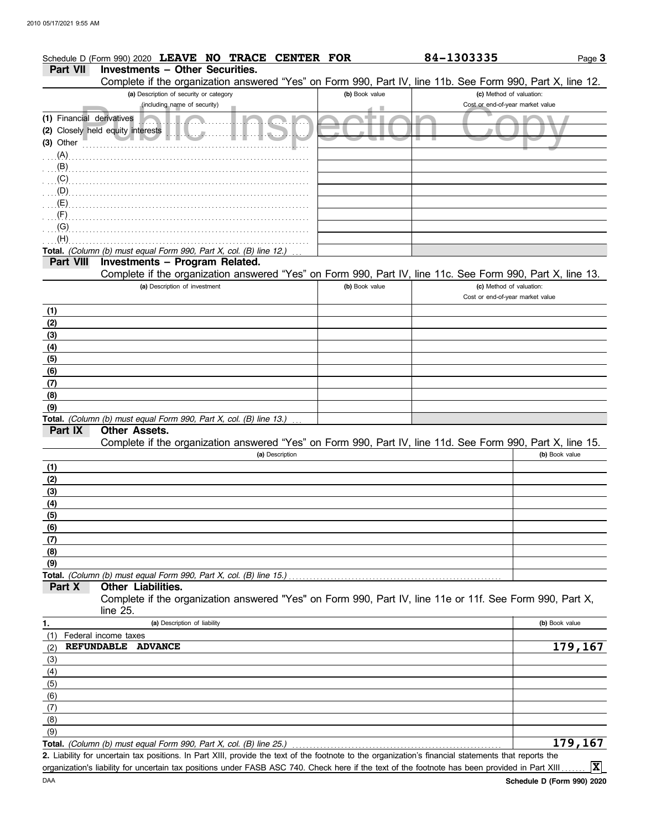### Page **3 Part VII Investments – Other Securities.** Schedule D (Form 990) 2020 **LEAVE NO TRACE CENTER FOR 84-1303335**

Complete if the organization answered "Yes" on Form 990, Part IV, line 11b. See Form 990, Part X, line 12.

| (including name of security)<br>Cost or end-of-year market value<br>(1) Financial derivatives<br>all.a<br>(2) Closely held equity interests<br>value 20<br>$\ldots$ (A)<br>(B)<br>(C)<br>(D)<br>(E)<br>(F)<br>(G)<br>(H)<br>Total. (Column (b) must equal Form 990, Part X, col. (B) line 12.)<br>Investments - Program Related.<br>Part VIII<br>Complete if the organization answered "Yes" on Form 990, Part IV, line 11c. See Form 990, Part X, line 13.<br>(a) Description of investment<br>(b) Book value<br>(c) Method of valuation:<br>Cost or end-of-year market value<br>(1)<br>(2)<br>(3)<br>(4)<br>(5)<br>(6)<br>(7)<br>(8)<br>(9)<br>Total. (Column (b) must equal Form 990, Part X, col. (B) line 13.)<br>Part IX<br><b>Other Assets.</b><br>Complete if the organization answered "Yes" on Form 990, Part IV, line 11d. See Form 990, Part X, line 15.<br>(a) Description<br>(b) Book value<br>(1)<br>(2)<br>(3)<br>(4)<br>(5)<br>(6)<br>(7)<br>(8)<br>(9)<br>Total. (Column (b) must equal Form 990, Part X, col. (B) line 15.)<br>Part X<br><b>Other Liabilities.</b><br>Complete if the organization answered "Yes" on Form 990, Part IV, line 11e or 11f. See Form 990, Part X,<br>line 25.<br>(a) Description of liability<br>1.<br>(b) Book value<br>Federal income taxes<br>(1)<br>179,167<br><b>REFUNDABLE</b><br><b>ADVANCE</b><br>(2)<br>(3)<br>(4)<br>(5)<br>(6)<br>(7)<br>(8)<br>(9)<br>$\overline{179}$ , 167<br>Total. (Column (b) must equal Form 990, Part X, col. (B) line 25.)<br>2. Liability for uncertain tax positions. In Part XIII, provide the text of the footnote to the organization's financial statements that reports the<br>$ \mathbf{x} $<br>organization's liability for uncertain tax positions under FASB ASC 740. Check here if the text of the footnote has been provided in Part XIII |             | Complete if the organization answered "Yes" on Form 990, Part IV, line 11b. See Form 990, Part X, line 12. |                |                          |  |
|--------------------------------------------------------------------------------------------------------------------------------------------------------------------------------------------------------------------------------------------------------------------------------------------------------------------------------------------------------------------------------------------------------------------------------------------------------------------------------------------------------------------------------------------------------------------------------------------------------------------------------------------------------------------------------------------------------------------------------------------------------------------------------------------------------------------------------------------------------------------------------------------------------------------------------------------------------------------------------------------------------------------------------------------------------------------------------------------------------------------------------------------------------------------------------------------------------------------------------------------------------------------------------------------------------------------------------------------------------------------------------------------------------------------------------------------------------------------------------------------------------------------------------------------------------------------------------------------------------------------------------------------------------------------------------------------------------------------------------------------------------------------------------------------------------------------------------------------|-------------|------------------------------------------------------------------------------------------------------------|----------------|--------------------------|--|
|                                                                                                                                                                                                                                                                                                                                                                                                                                                                                                                                                                                                                                                                                                                                                                                                                                                                                                                                                                                                                                                                                                                                                                                                                                                                                                                                                                                                                                                                                                                                                                                                                                                                                                                                                                                                                                            |             | (a) Description of security or category                                                                    | (b) Book value | (c) Method of valuation: |  |
|                                                                                                                                                                                                                                                                                                                                                                                                                                                                                                                                                                                                                                                                                                                                                                                                                                                                                                                                                                                                                                                                                                                                                                                                                                                                                                                                                                                                                                                                                                                                                                                                                                                                                                                                                                                                                                            |             |                                                                                                            |                |                          |  |
|                                                                                                                                                                                                                                                                                                                                                                                                                                                                                                                                                                                                                                                                                                                                                                                                                                                                                                                                                                                                                                                                                                                                                                                                                                                                                                                                                                                                                                                                                                                                                                                                                                                                                                                                                                                                                                            | $(3)$ Other |                                                                                                            |                |                          |  |
|                                                                                                                                                                                                                                                                                                                                                                                                                                                                                                                                                                                                                                                                                                                                                                                                                                                                                                                                                                                                                                                                                                                                                                                                                                                                                                                                                                                                                                                                                                                                                                                                                                                                                                                                                                                                                                            |             |                                                                                                            |                |                          |  |
|                                                                                                                                                                                                                                                                                                                                                                                                                                                                                                                                                                                                                                                                                                                                                                                                                                                                                                                                                                                                                                                                                                                                                                                                                                                                                                                                                                                                                                                                                                                                                                                                                                                                                                                                                                                                                                            |             |                                                                                                            |                |                          |  |
|                                                                                                                                                                                                                                                                                                                                                                                                                                                                                                                                                                                                                                                                                                                                                                                                                                                                                                                                                                                                                                                                                                                                                                                                                                                                                                                                                                                                                                                                                                                                                                                                                                                                                                                                                                                                                                            |             |                                                                                                            |                |                          |  |
|                                                                                                                                                                                                                                                                                                                                                                                                                                                                                                                                                                                                                                                                                                                                                                                                                                                                                                                                                                                                                                                                                                                                                                                                                                                                                                                                                                                                                                                                                                                                                                                                                                                                                                                                                                                                                                            |             |                                                                                                            |                |                          |  |
|                                                                                                                                                                                                                                                                                                                                                                                                                                                                                                                                                                                                                                                                                                                                                                                                                                                                                                                                                                                                                                                                                                                                                                                                                                                                                                                                                                                                                                                                                                                                                                                                                                                                                                                                                                                                                                            |             |                                                                                                            |                |                          |  |
|                                                                                                                                                                                                                                                                                                                                                                                                                                                                                                                                                                                                                                                                                                                                                                                                                                                                                                                                                                                                                                                                                                                                                                                                                                                                                                                                                                                                                                                                                                                                                                                                                                                                                                                                                                                                                                            |             |                                                                                                            |                |                          |  |
|                                                                                                                                                                                                                                                                                                                                                                                                                                                                                                                                                                                                                                                                                                                                                                                                                                                                                                                                                                                                                                                                                                                                                                                                                                                                                                                                                                                                                                                                                                                                                                                                                                                                                                                                                                                                                                            |             |                                                                                                            |                |                          |  |
|                                                                                                                                                                                                                                                                                                                                                                                                                                                                                                                                                                                                                                                                                                                                                                                                                                                                                                                                                                                                                                                                                                                                                                                                                                                                                                                                                                                                                                                                                                                                                                                                                                                                                                                                                                                                                                            |             |                                                                                                            |                |                          |  |
|                                                                                                                                                                                                                                                                                                                                                                                                                                                                                                                                                                                                                                                                                                                                                                                                                                                                                                                                                                                                                                                                                                                                                                                                                                                                                                                                                                                                                                                                                                                                                                                                                                                                                                                                                                                                                                            |             |                                                                                                            |                |                          |  |
|                                                                                                                                                                                                                                                                                                                                                                                                                                                                                                                                                                                                                                                                                                                                                                                                                                                                                                                                                                                                                                                                                                                                                                                                                                                                                                                                                                                                                                                                                                                                                                                                                                                                                                                                                                                                                                            |             |                                                                                                            |                |                          |  |
|                                                                                                                                                                                                                                                                                                                                                                                                                                                                                                                                                                                                                                                                                                                                                                                                                                                                                                                                                                                                                                                                                                                                                                                                                                                                                                                                                                                                                                                                                                                                                                                                                                                                                                                                                                                                                                            |             |                                                                                                            |                |                          |  |
|                                                                                                                                                                                                                                                                                                                                                                                                                                                                                                                                                                                                                                                                                                                                                                                                                                                                                                                                                                                                                                                                                                                                                                                                                                                                                                                                                                                                                                                                                                                                                                                                                                                                                                                                                                                                                                            |             |                                                                                                            |                |                          |  |
|                                                                                                                                                                                                                                                                                                                                                                                                                                                                                                                                                                                                                                                                                                                                                                                                                                                                                                                                                                                                                                                                                                                                                                                                                                                                                                                                                                                                                                                                                                                                                                                                                                                                                                                                                                                                                                            |             |                                                                                                            |                |                          |  |
|                                                                                                                                                                                                                                                                                                                                                                                                                                                                                                                                                                                                                                                                                                                                                                                                                                                                                                                                                                                                                                                                                                                                                                                                                                                                                                                                                                                                                                                                                                                                                                                                                                                                                                                                                                                                                                            |             |                                                                                                            |                |                          |  |
|                                                                                                                                                                                                                                                                                                                                                                                                                                                                                                                                                                                                                                                                                                                                                                                                                                                                                                                                                                                                                                                                                                                                                                                                                                                                                                                                                                                                                                                                                                                                                                                                                                                                                                                                                                                                                                            |             |                                                                                                            |                |                          |  |
|                                                                                                                                                                                                                                                                                                                                                                                                                                                                                                                                                                                                                                                                                                                                                                                                                                                                                                                                                                                                                                                                                                                                                                                                                                                                                                                                                                                                                                                                                                                                                                                                                                                                                                                                                                                                                                            |             |                                                                                                            |                |                          |  |
|                                                                                                                                                                                                                                                                                                                                                                                                                                                                                                                                                                                                                                                                                                                                                                                                                                                                                                                                                                                                                                                                                                                                                                                                                                                                                                                                                                                                                                                                                                                                                                                                                                                                                                                                                                                                                                            |             |                                                                                                            |                |                          |  |
|                                                                                                                                                                                                                                                                                                                                                                                                                                                                                                                                                                                                                                                                                                                                                                                                                                                                                                                                                                                                                                                                                                                                                                                                                                                                                                                                                                                                                                                                                                                                                                                                                                                                                                                                                                                                                                            |             |                                                                                                            |                |                          |  |
|                                                                                                                                                                                                                                                                                                                                                                                                                                                                                                                                                                                                                                                                                                                                                                                                                                                                                                                                                                                                                                                                                                                                                                                                                                                                                                                                                                                                                                                                                                                                                                                                                                                                                                                                                                                                                                            |             |                                                                                                            |                |                          |  |
|                                                                                                                                                                                                                                                                                                                                                                                                                                                                                                                                                                                                                                                                                                                                                                                                                                                                                                                                                                                                                                                                                                                                                                                                                                                                                                                                                                                                                                                                                                                                                                                                                                                                                                                                                                                                                                            |             |                                                                                                            |                |                          |  |
|                                                                                                                                                                                                                                                                                                                                                                                                                                                                                                                                                                                                                                                                                                                                                                                                                                                                                                                                                                                                                                                                                                                                                                                                                                                                                                                                                                                                                                                                                                                                                                                                                                                                                                                                                                                                                                            |             |                                                                                                            |                |                          |  |
|                                                                                                                                                                                                                                                                                                                                                                                                                                                                                                                                                                                                                                                                                                                                                                                                                                                                                                                                                                                                                                                                                                                                                                                                                                                                                                                                                                                                                                                                                                                                                                                                                                                                                                                                                                                                                                            |             |                                                                                                            |                |                          |  |
|                                                                                                                                                                                                                                                                                                                                                                                                                                                                                                                                                                                                                                                                                                                                                                                                                                                                                                                                                                                                                                                                                                                                                                                                                                                                                                                                                                                                                                                                                                                                                                                                                                                                                                                                                                                                                                            |             |                                                                                                            |                |                          |  |
|                                                                                                                                                                                                                                                                                                                                                                                                                                                                                                                                                                                                                                                                                                                                                                                                                                                                                                                                                                                                                                                                                                                                                                                                                                                                                                                                                                                                                                                                                                                                                                                                                                                                                                                                                                                                                                            |             |                                                                                                            |                |                          |  |
|                                                                                                                                                                                                                                                                                                                                                                                                                                                                                                                                                                                                                                                                                                                                                                                                                                                                                                                                                                                                                                                                                                                                                                                                                                                                                                                                                                                                                                                                                                                                                                                                                                                                                                                                                                                                                                            |             |                                                                                                            |                |                          |  |
|                                                                                                                                                                                                                                                                                                                                                                                                                                                                                                                                                                                                                                                                                                                                                                                                                                                                                                                                                                                                                                                                                                                                                                                                                                                                                                                                                                                                                                                                                                                                                                                                                                                                                                                                                                                                                                            |             |                                                                                                            |                |                          |  |
|                                                                                                                                                                                                                                                                                                                                                                                                                                                                                                                                                                                                                                                                                                                                                                                                                                                                                                                                                                                                                                                                                                                                                                                                                                                                                                                                                                                                                                                                                                                                                                                                                                                                                                                                                                                                                                            |             |                                                                                                            |                |                          |  |
|                                                                                                                                                                                                                                                                                                                                                                                                                                                                                                                                                                                                                                                                                                                                                                                                                                                                                                                                                                                                                                                                                                                                                                                                                                                                                                                                                                                                                                                                                                                                                                                                                                                                                                                                                                                                                                            |             |                                                                                                            |                |                          |  |
|                                                                                                                                                                                                                                                                                                                                                                                                                                                                                                                                                                                                                                                                                                                                                                                                                                                                                                                                                                                                                                                                                                                                                                                                                                                                                                                                                                                                                                                                                                                                                                                                                                                                                                                                                                                                                                            |             |                                                                                                            |                |                          |  |
|                                                                                                                                                                                                                                                                                                                                                                                                                                                                                                                                                                                                                                                                                                                                                                                                                                                                                                                                                                                                                                                                                                                                                                                                                                                                                                                                                                                                                                                                                                                                                                                                                                                                                                                                                                                                                                            |             |                                                                                                            |                |                          |  |
|                                                                                                                                                                                                                                                                                                                                                                                                                                                                                                                                                                                                                                                                                                                                                                                                                                                                                                                                                                                                                                                                                                                                                                                                                                                                                                                                                                                                                                                                                                                                                                                                                                                                                                                                                                                                                                            |             |                                                                                                            |                |                          |  |
|                                                                                                                                                                                                                                                                                                                                                                                                                                                                                                                                                                                                                                                                                                                                                                                                                                                                                                                                                                                                                                                                                                                                                                                                                                                                                                                                                                                                                                                                                                                                                                                                                                                                                                                                                                                                                                            |             |                                                                                                            |                |                          |  |
|                                                                                                                                                                                                                                                                                                                                                                                                                                                                                                                                                                                                                                                                                                                                                                                                                                                                                                                                                                                                                                                                                                                                                                                                                                                                                                                                                                                                                                                                                                                                                                                                                                                                                                                                                                                                                                            |             |                                                                                                            |                |                          |  |
|                                                                                                                                                                                                                                                                                                                                                                                                                                                                                                                                                                                                                                                                                                                                                                                                                                                                                                                                                                                                                                                                                                                                                                                                                                                                                                                                                                                                                                                                                                                                                                                                                                                                                                                                                                                                                                            |             |                                                                                                            |                |                          |  |
|                                                                                                                                                                                                                                                                                                                                                                                                                                                                                                                                                                                                                                                                                                                                                                                                                                                                                                                                                                                                                                                                                                                                                                                                                                                                                                                                                                                                                                                                                                                                                                                                                                                                                                                                                                                                                                            |             |                                                                                                            |                |                          |  |
|                                                                                                                                                                                                                                                                                                                                                                                                                                                                                                                                                                                                                                                                                                                                                                                                                                                                                                                                                                                                                                                                                                                                                                                                                                                                                                                                                                                                                                                                                                                                                                                                                                                                                                                                                                                                                                            |             |                                                                                                            |                |                          |  |
|                                                                                                                                                                                                                                                                                                                                                                                                                                                                                                                                                                                                                                                                                                                                                                                                                                                                                                                                                                                                                                                                                                                                                                                                                                                                                                                                                                                                                                                                                                                                                                                                                                                                                                                                                                                                                                            |             |                                                                                                            |                |                          |  |
|                                                                                                                                                                                                                                                                                                                                                                                                                                                                                                                                                                                                                                                                                                                                                                                                                                                                                                                                                                                                                                                                                                                                                                                                                                                                                                                                                                                                                                                                                                                                                                                                                                                                                                                                                                                                                                            |             |                                                                                                            |                |                          |  |
|                                                                                                                                                                                                                                                                                                                                                                                                                                                                                                                                                                                                                                                                                                                                                                                                                                                                                                                                                                                                                                                                                                                                                                                                                                                                                                                                                                                                                                                                                                                                                                                                                                                                                                                                                                                                                                            |             |                                                                                                            |                |                          |  |
|                                                                                                                                                                                                                                                                                                                                                                                                                                                                                                                                                                                                                                                                                                                                                                                                                                                                                                                                                                                                                                                                                                                                                                                                                                                                                                                                                                                                                                                                                                                                                                                                                                                                                                                                                                                                                                            |             |                                                                                                            |                |                          |  |
|                                                                                                                                                                                                                                                                                                                                                                                                                                                                                                                                                                                                                                                                                                                                                                                                                                                                                                                                                                                                                                                                                                                                                                                                                                                                                                                                                                                                                                                                                                                                                                                                                                                                                                                                                                                                                                            |             |                                                                                                            |                |                          |  |
|                                                                                                                                                                                                                                                                                                                                                                                                                                                                                                                                                                                                                                                                                                                                                                                                                                                                                                                                                                                                                                                                                                                                                                                                                                                                                                                                                                                                                                                                                                                                                                                                                                                                                                                                                                                                                                            |             |                                                                                                            |                |                          |  |
|                                                                                                                                                                                                                                                                                                                                                                                                                                                                                                                                                                                                                                                                                                                                                                                                                                                                                                                                                                                                                                                                                                                                                                                                                                                                                                                                                                                                                                                                                                                                                                                                                                                                                                                                                                                                                                            |             |                                                                                                            |                |                          |  |
|                                                                                                                                                                                                                                                                                                                                                                                                                                                                                                                                                                                                                                                                                                                                                                                                                                                                                                                                                                                                                                                                                                                                                                                                                                                                                                                                                                                                                                                                                                                                                                                                                                                                                                                                                                                                                                            |             |                                                                                                            |                |                          |  |
|                                                                                                                                                                                                                                                                                                                                                                                                                                                                                                                                                                                                                                                                                                                                                                                                                                                                                                                                                                                                                                                                                                                                                                                                                                                                                                                                                                                                                                                                                                                                                                                                                                                                                                                                                                                                                                            |             |                                                                                                            |                |                          |  |
|                                                                                                                                                                                                                                                                                                                                                                                                                                                                                                                                                                                                                                                                                                                                                                                                                                                                                                                                                                                                                                                                                                                                                                                                                                                                                                                                                                                                                                                                                                                                                                                                                                                                                                                                                                                                                                            |             |                                                                                                            |                |                          |  |
|                                                                                                                                                                                                                                                                                                                                                                                                                                                                                                                                                                                                                                                                                                                                                                                                                                                                                                                                                                                                                                                                                                                                                                                                                                                                                                                                                                                                                                                                                                                                                                                                                                                                                                                                                                                                                                            |             |                                                                                                            |                |                          |  |
|                                                                                                                                                                                                                                                                                                                                                                                                                                                                                                                                                                                                                                                                                                                                                                                                                                                                                                                                                                                                                                                                                                                                                                                                                                                                                                                                                                                                                                                                                                                                                                                                                                                                                                                                                                                                                                            |             |                                                                                                            |                |                          |  |
|                                                                                                                                                                                                                                                                                                                                                                                                                                                                                                                                                                                                                                                                                                                                                                                                                                                                                                                                                                                                                                                                                                                                                                                                                                                                                                                                                                                                                                                                                                                                                                                                                                                                                                                                                                                                                                            |             |                                                                                                            |                |                          |  |

organization's liability for uncertain tax positions under FASB ASC 740. Check here if the text of the footnote has been provided in Part XIII ....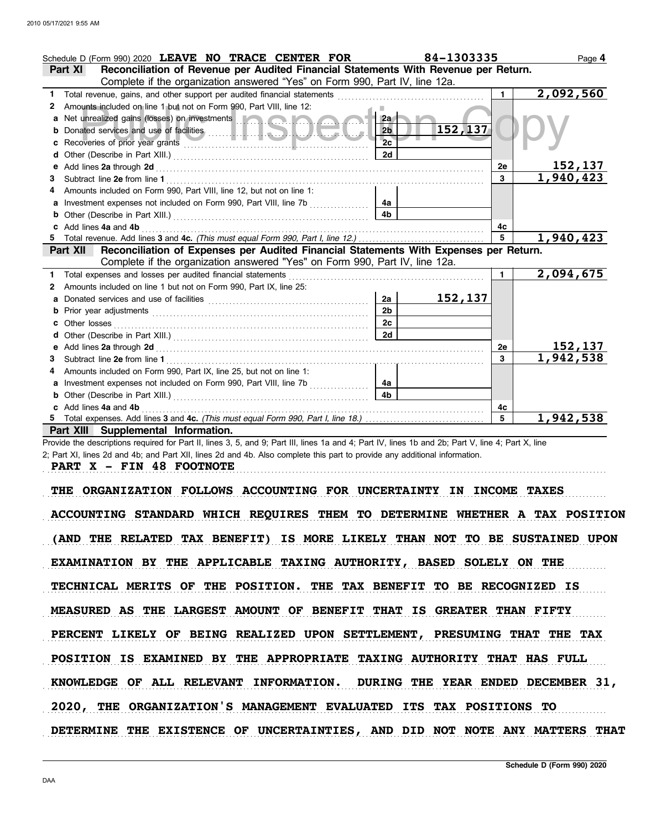|    | Schedule D (Form 990) 2020 LEAVE NO TRACE CENTER FOR                                                                                                                                                                                 |                | 84-1303335 |                | Page 4                 |
|----|--------------------------------------------------------------------------------------------------------------------------------------------------------------------------------------------------------------------------------------|----------------|------------|----------------|------------------------|
|    | Reconciliation of Revenue per Audited Financial Statements With Revenue per Return.<br><b>Part XI</b>                                                                                                                                |                |            |                |                        |
|    | Complete if the organization answered "Yes" on Form 990, Part IV, line 12a.                                                                                                                                                          |                |            |                |                        |
| 1. | Total revenue, gains, and other support per audited financial statements                                                                                                                                                             |                |            | 1.             | $\overline{2,092,560}$ |
| 2  | Amounts included on line 1 but not on Form 990, Part VIII, line 12:                                                                                                                                                                  |                |            |                |                        |
|    | a Net unrealized gains (losses) on investments <b>and a state of the state of the state of the state of the state of the state of the state of the state of the state of the state of the state of the state of the state of the</b> | 2a             |            |                |                        |
| b  |                                                                                                                                                                                                                                      | 2 <sub>b</sub> | 152, 137   |                |                        |
| c  |                                                                                                                                                                                                                                      | 2 <sub>c</sub> |            |                |                        |
|    |                                                                                                                                                                                                                                      | 2d             |            |                |                        |
| е  |                                                                                                                                                                                                                                      |                |            | 2e             | 152,137                |
| з  |                                                                                                                                                                                                                                      |                |            | 3              | $\overline{1,940,423}$ |
|    | Amounts included on Form 990, Part VIII, line 12, but not on line 1:                                                                                                                                                                 |                |            |                |                        |
| a  | Investment expenses not included on Form 990, Part VIII, line 7b                                                                                                                                                                     | 4a             |            |                |                        |
| b  |                                                                                                                                                                                                                                      | 4 <sub>b</sub> |            |                |                        |
|    | Add lines 4a and 4b                                                                                                                                                                                                                  |                |            | 4c             |                        |
| 5. |                                                                                                                                                                                                                                      |                |            | $\overline{5}$ | 1,940,423              |
|    | Reconciliation of Expenses per Audited Financial Statements With Expenses per Return.<br>Part XII                                                                                                                                    |                |            |                |                        |
|    | Complete if the organization answered "Yes" on Form 990, Part IV, line 12a.                                                                                                                                                          |                |            |                |                        |
| 1. | Total expenses and losses per audited financial statements                                                                                                                                                                           |                |            |                | 2,094,675              |
| 2  | Amounts included on line 1 but not on Form 990, Part IX, line 25:                                                                                                                                                                    |                |            |                |                        |
| a  |                                                                                                                                                                                                                                      | 2a             | 152, 137   |                |                        |
| b  |                                                                                                                                                                                                                                      | 2 <sub>b</sub> |            |                |                        |
|    | Other losses                                                                                                                                                                                                                         | 2c             |            |                |                        |
|    |                                                                                                                                                                                                                                      | 2d             |            |                |                        |
| е  |                                                                                                                                                                                                                                      |                |            | <b>2e</b>      | 152,137                |
| 3. |                                                                                                                                                                                                                                      |                |            | $\mathbf{3}$   | 1,942,538              |
|    | Amounts included on Form 990, Part IX, line 25, but not on line 1:                                                                                                                                                                   |                |            |                |                        |
| a  | Investment expenses not included on Form 990, Part VIII, line 7b                                                                                                                                                                     | 4a             |            |                |                        |
|    |                                                                                                                                                                                                                                      | 4b.            |            |                |                        |
|    | Add lines 4a and 4b                                                                                                                                                                                                                  |                |            | 4c             |                        |
|    |                                                                                                                                                                                                                                      |                |            | 5              | 1,942,538              |
|    | Part XIII Supplemental Information.                                                                                                                                                                                                  |                |            |                |                        |

Provide the descriptions required for Part II, lines 3, 5, and 9; Part III, lines 1a and 4; Part IV, lines 1b and 2b; Part V, line 4; Part X, line 2; Part XI, lines 2d and 4b; and Part XII, lines 2d and 4b. Also complete this part to provide any additional information.

**PART X - FIN 48 FOOTNOTE**

THE ORGANIZATION FOLLOWS ACCOUNTING FOR UNCERTAINTY IN INCOME TAXES

. . . . . . . . . . . . . . . . . . . . . . . . . . . . . . . . . . . . . . . . . . . . . . . . . . . . . . . . . . . . . . . . . . . . . . . . . . . . . . . . . . . . . . . . . . . . . . . . . . . . . . . . . . . . . . . . . . . . . . . . . . . . . . . . . . . . . . . . . . . . . . . . . . . . . . . . . . . . . . . . .

ACCOUNTING STANDARD WHICH REQUIRES THEM TO DETERMINE WHETHER A TAX POSITION (AND THE RELATED TAX BENEFIT) IS MORE LIKELY THAN NOT TO BE SUSTAINED UPON EXAMINATION BY THE APPLICABLE TAXING AUTHORITY, BASED SOLELY ON THE TECHNICAL MERITS OF THE POSITION. THE TAX BENEFIT TO BE RECOGNIZED IS MEASURED AS THE LARGEST AMOUNT OF BENEFIT THAT IS GREATER THAN FIFTY KNOWLEDGE OF ALL RELEVANT INFORMATION. DURING THE YEAR ENDED DECEMBER 31, PERCENT LIKELY OF BEING REALIZED UPON SETTLEMENT, PRESUMING THAT THE TAX POSITION IS EXAMINED BY THE APPROPRIATE TAXING AUTHORITY THAT HAS FULL 2020, THE ORGANIZATION'S MANAGEMENT EVALUATED ITS TAX POSITIONS TO DETERMINE THE EXISTENCE OF UNCERTAINTIES, AND DID NOT NOTE ANY MATTERS THAT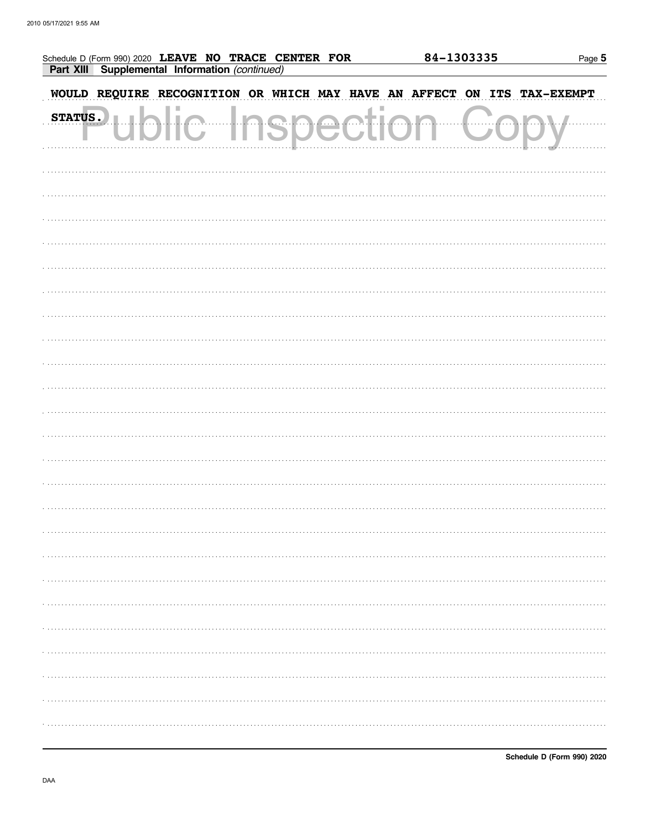| Schedule D (Form 990) 2020 LEAVE NO TRACE CENTER FOR  |                   | 84-1303335 | Page 5            |
|-------------------------------------------------------|-------------------|------------|-------------------|
| Part XIII Supplemental Information (continued)        |                   |            |                   |
| WOULD REQUIRE RECOGNITION OR WHICH MAY HAVE AN AFFECT |                   |            | ON ITS TAX-EXEMPT |
| <b>STATUS.</b><br>$\overline{\phantom{a}}$            | <b>Inspectiol</b> |            |                   |
|                                                       |                   |            |                   |
|                                                       |                   |            |                   |
|                                                       |                   |            |                   |
|                                                       |                   |            |                   |
|                                                       |                   |            |                   |
|                                                       |                   |            |                   |
|                                                       |                   |            |                   |
|                                                       |                   |            |                   |
|                                                       |                   |            |                   |
|                                                       |                   |            |                   |
|                                                       |                   |            |                   |
|                                                       |                   |            |                   |
|                                                       |                   |            |                   |
|                                                       |                   |            |                   |
|                                                       |                   |            |                   |
|                                                       |                   |            |                   |
|                                                       |                   |            |                   |
|                                                       |                   |            |                   |
|                                                       |                   |            |                   |
|                                                       |                   |            |                   |
|                                                       |                   |            |                   |
|                                                       |                   |            |                   |
|                                                       |                   |            |                   |
|                                                       |                   |            |                   |
|                                                       |                   |            |                   |
|                                                       |                   |            |                   |
|                                                       |                   |            |                   |
|                                                       |                   |            |                   |
|                                                       |                   |            |                   |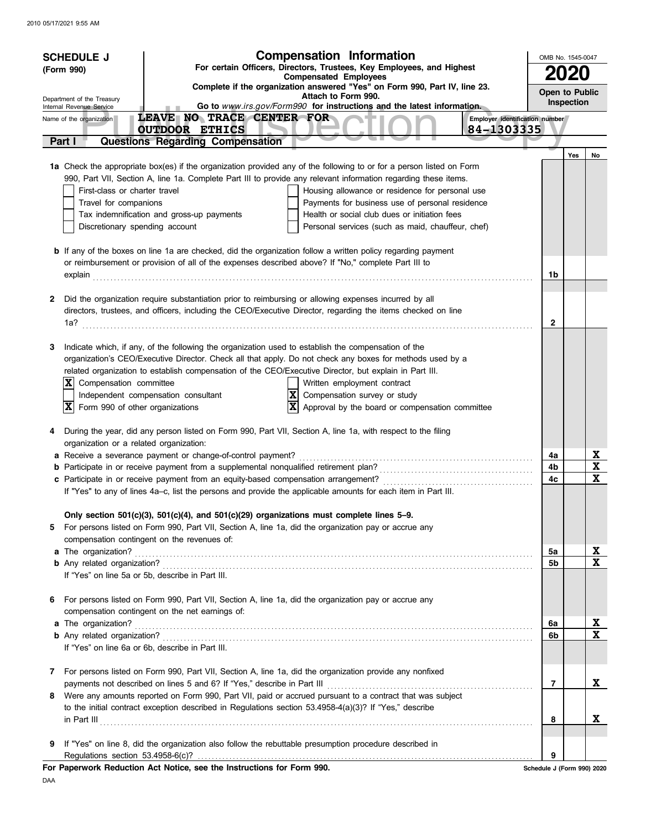|        | <b>Compensation Information</b><br><b>SCHEDULE J</b><br>For certain Officers, Directors, Trustees, Key Employees, and Highest<br>(Form 990)                                       |                                |     |                         |  |  |
|--------|-----------------------------------------------------------------------------------------------------------------------------------------------------------------------------------|--------------------------------|-----|-------------------------|--|--|
|        | <b>Compensated Employees</b><br>Complete if the organization answered "Yes" on Form 990, Part IV, line 23.                                                                        |                                |     |                         |  |  |
|        | Attach to Form 990.<br>Department of the Treasury<br>Go to www.irs.gov/Form990 for instructions and the latest information.<br>Internal Revenue Service                           |                                |     |                         |  |  |
|        | LEAVE NO TRACE CENTER FOR<br>Name of the organization                                                                                                                             | Employer identification number |     |                         |  |  |
|        | 84-1303335<br><b>OUTDOOR ETHICS</b>                                                                                                                                               |                                |     |                         |  |  |
| Part I | <b>Questions Regarding Compensation</b>                                                                                                                                           |                                | Yes | No                      |  |  |
|        | 1a Check the appropriate box(es) if the organization provided any of the following to or for a person listed on Form                                                              |                                |     |                         |  |  |
|        | 990, Part VII, Section A, line 1a. Complete Part III to provide any relevant information regarding these items.                                                                   |                                |     |                         |  |  |
|        | Housing allowance or residence for personal use<br>First-class or charter travel                                                                                                  |                                |     |                         |  |  |
|        | Payments for business use of personal residence<br>Travel for companions                                                                                                          |                                |     |                         |  |  |
|        | Tax indemnification and gross-up payments<br>Health or social club dues or initiation fees<br>Discretionary spending account<br>Personal services (such as maid, chauffeur, chef) |                                |     |                         |  |  |
|        |                                                                                                                                                                                   |                                |     |                         |  |  |
|        | <b>b</b> If any of the boxes on line 1a are checked, did the organization follow a written policy regarding payment                                                               |                                |     |                         |  |  |
|        | or reimbursement or provision of all of the expenses described above? If "No," complete Part III to                                                                               |                                |     |                         |  |  |
|        |                                                                                                                                                                                   | 1b                             |     |                         |  |  |
| 2      | Did the organization require substantiation prior to reimbursing or allowing expenses incurred by all                                                                             |                                |     |                         |  |  |
|        | directors, trustees, and officers, including the CEO/Executive Director, regarding the items checked on line                                                                      |                                |     |                         |  |  |
|        | 1a?                                                                                                                                                                               | $\mathbf{2}$                   |     |                         |  |  |
|        |                                                                                                                                                                                   |                                |     |                         |  |  |
| 3      | Indicate which, if any, of the following the organization used to establish the compensation of the                                                                               |                                |     |                         |  |  |
|        | organization's CEO/Executive Director. Check all that apply. Do not check any boxes for methods used by a                                                                         |                                |     |                         |  |  |
|        | related organization to establish compensation of the CEO/Executive Director, but explain in Part III.<br>$ \mathbf{X} $<br>Compensation committee<br>Written employment contract |                                |     |                         |  |  |
|        | $\overline{\mathbf{x}}$<br>Independent compensation consultant<br>Compensation survey or study                                                                                    |                                |     |                         |  |  |
|        | $\mathbf{x}$<br>Approval by the board or compensation committee<br> X<br>Form 990 of other organizations                                                                          |                                |     |                         |  |  |
|        |                                                                                                                                                                                   |                                |     |                         |  |  |
| 4      | During the year, did any person listed on Form 990, Part VII, Section A, line 1a, with respect to the filing                                                                      |                                |     |                         |  |  |
|        | organization or a related organization:<br>a Receive a severance payment or change-of-control payment?                                                                            | 4a                             |     | $\overline{\mathbf{X}}$ |  |  |
|        |                                                                                                                                                                                   | 4b                             |     | $\mathbf x$             |  |  |
|        |                                                                                                                                                                                   | 4c                             |     | $\mathbf x$             |  |  |
|        | If "Yes" to any of lines 4a-c, list the persons and provide the applicable amounts for each item in Part III.                                                                     |                                |     |                         |  |  |
|        | Only section 501(c)(3), 501(c)(4), and 501(c)(29) organizations must complete lines 5-9.                                                                                          |                                |     |                         |  |  |
| 5.     | For persons listed on Form 990, Part VII, Section A, line 1a, did the organization pay or accrue any                                                                              |                                |     |                         |  |  |
|        | compensation contingent on the revenues of:                                                                                                                                       |                                |     |                         |  |  |
|        | a The organization?                                                                                                                                                               | 5a                             |     | X                       |  |  |
|        |                                                                                                                                                                                   | 5b                             |     | $\mathbf x$             |  |  |
|        | If "Yes" on line 5a or 5b, describe in Part III.                                                                                                                                  |                                |     |                         |  |  |
| 6      | For persons listed on Form 990, Part VII, Section A, line 1a, did the organization pay or accrue any                                                                              |                                |     |                         |  |  |
|        | compensation contingent on the net earnings of:                                                                                                                                   |                                |     |                         |  |  |
|        | a The organization?                                                                                                                                                               | 6a                             |     | X                       |  |  |
|        |                                                                                                                                                                                   | 6b                             |     | $\mathbf x$             |  |  |
|        | If "Yes" on line 6a or 6b, describe in Part III.                                                                                                                                  |                                |     |                         |  |  |
| 7      | For persons listed on Form 990, Part VII, Section A, line 1a, did the organization provide any nonfixed                                                                           |                                |     |                         |  |  |
|        |                                                                                                                                                                                   | $\overline{7}$                 |     | X                       |  |  |
| 8      | Were any amounts reported on Form 990, Part VII, paid or accrued pursuant to a contract that was subject                                                                          |                                |     |                         |  |  |
|        | to the initial contract exception described in Regulations section 53.4958-4(a)(3)? If "Yes," describe                                                                            |                                |     |                         |  |  |
|        |                                                                                                                                                                                   | 8                              |     | X                       |  |  |
| 9      | If "Yes" on line 8, did the organization also follow the rebuttable presumption procedure described in                                                                            |                                |     |                         |  |  |
|        | Regulations section 53.4958-6(c)?                                                                                                                                                 | 9                              |     |                         |  |  |
|        | For Paperwork Reduction Act Notice, see the Instructions for Form 990.                                                                                                            | Schedule J (Form 990) 2020     |     |                         |  |  |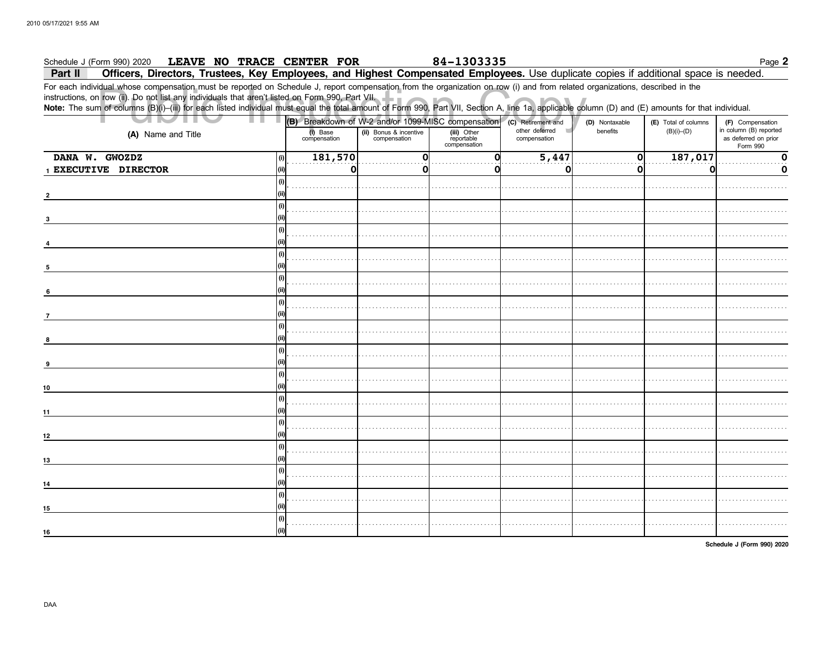#### 84-1303335 Schedule J (Form 990) 2020 LEAVE NO TRACE CENTER FOR Page 2 Officers, Directors, Trustees, Key Employees, and Highest Compensated Employees. Use duplicate copies if additional space is needed. Part II

For each individual whose compensation must be reported on Schedule J, report compensation from the organization on row (i) and from related organizations, described in the instructions, on row (ii). Do not list any individuals that aren't listed on Form 990, Part VII.

Note: The sum of columns (B)(i)-(iii) for each listed individual must equal the total amount of Form 990, Part VII, Section A, line 1a, applicable column (D) and (E) amounts for that individual.

| ш<br>ш<br>٠                    | (B) Breakdown of W-2 and/or 1099-MISC compensation (c) Retirement and |                                        |                                           |                                     | (D) Nontaxable | (E) Total of columns | (F) Compensation                                           |
|--------------------------------|-----------------------------------------------------------------------|----------------------------------------|-------------------------------------------|-------------------------------------|----------------|----------------------|------------------------------------------------------------|
| (A) Name and Title             | (i) Base<br>compensation                                              | (ii) Bonus & incentive<br>compensation | (iii) Other<br>reportable<br>compensation | other deferred<br>×<br>compensation | benefits       | $(B)(i)$ – $(D)$     | in column (B) reported<br>as deferred on prior<br>Form 990 |
| DANA W. GWOZDZ<br>(i)          | 181,570                                                               | $\Omega$                               | ი                                         | 5,447                               | 0              | 187,017              | 0                                                          |
| 1 EXECUTIVE DIRECTOR<br>l (ii) | 0                                                                     | O                                      | o                                         | O                                   | $\mathbf{0}$   | 0                    | 0                                                          |
|                                | (i)                                                                   |                                        |                                           |                                     |                |                      |                                                            |
|                                | (i)<br>(iii)                                                          |                                        |                                           |                                     |                |                      |                                                            |
|                                | (i)                                                                   |                                        |                                           |                                     |                |                      |                                                            |
|                                | (i)                                                                   |                                        |                                           |                                     |                |                      |                                                            |
|                                | (i)                                                                   |                                        |                                           |                                     |                |                      |                                                            |
| $\overline{7}$                 | (i)                                                                   |                                        |                                           |                                     |                |                      |                                                            |
| 8                              | $\vert$ (i) $\vert$                                                   |                                        |                                           |                                     |                |                      |                                                            |
| 9                              | (i)                                                                   |                                        |                                           |                                     |                |                      |                                                            |
| 10                             | (i)                                                                   |                                        |                                           |                                     |                |                      |                                                            |
| 11                             | (i)<br>(iii)                                                          |                                        |                                           |                                     |                |                      |                                                            |
| 12                             | (i)<br>(iii)                                                          |                                        |                                           |                                     |                |                      |                                                            |
| 13                             | (i)                                                                   |                                        |                                           |                                     |                |                      |                                                            |
| 14                             | (i)                                                                   |                                        |                                           |                                     |                |                      |                                                            |
| l (ii)<br>15                   | (i)                                                                   |                                        |                                           |                                     |                |                      |                                                            |
| 16                             | (i)                                                                   |                                        |                                           |                                     |                |                      |                                                            |

Schedule J (Form 990) 2020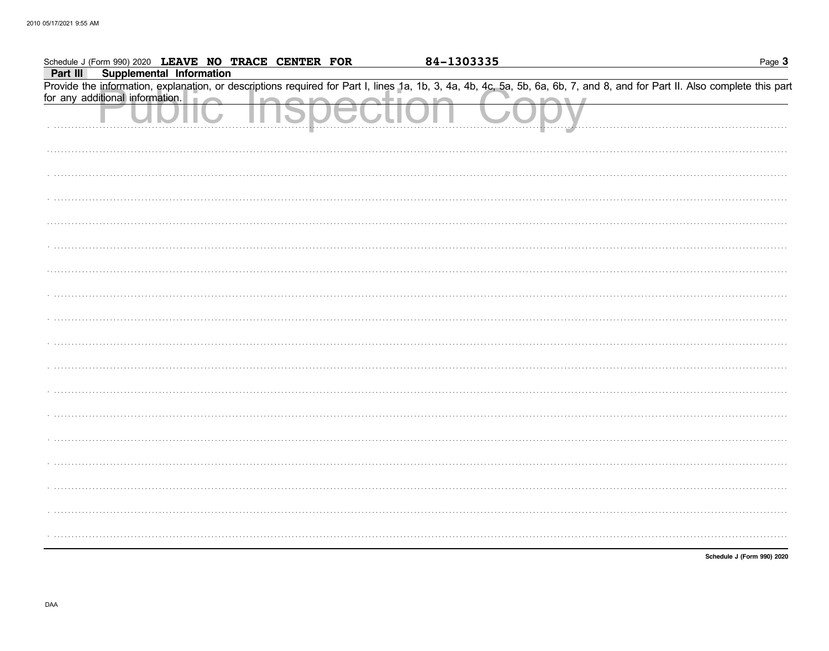| Schedule J (Form 990) 2020 LEAVE NO TRACE CENTER FOR                                                                                                                       | 84-1303335 | Page 3                     |
|----------------------------------------------------------------------------------------------------------------------------------------------------------------------------|------------|----------------------------|
| <b>Supplemental Information</b><br>Part III                                                                                                                                |            |                            |
| Provide the information, explanation, or descriptions required for Part I, lines 1a, 1b, 3, 4a, 4b, 4c, 5a, 5b, 6a, 6b, 7, and 8, and for Part II. Also complete this part |            |                            |
| for any additional information.                                                                                                                                            |            |                            |
|                                                                                                                                                                            |            |                            |
|                                                                                                                                                                            |            |                            |
|                                                                                                                                                                            |            |                            |
|                                                                                                                                                                            |            |                            |
|                                                                                                                                                                            |            |                            |
|                                                                                                                                                                            |            |                            |
|                                                                                                                                                                            |            |                            |
|                                                                                                                                                                            |            |                            |
|                                                                                                                                                                            |            |                            |
|                                                                                                                                                                            |            |                            |
|                                                                                                                                                                            |            |                            |
|                                                                                                                                                                            |            |                            |
|                                                                                                                                                                            |            |                            |
|                                                                                                                                                                            |            |                            |
|                                                                                                                                                                            |            |                            |
|                                                                                                                                                                            |            |                            |
|                                                                                                                                                                            |            |                            |
|                                                                                                                                                                            |            |                            |
|                                                                                                                                                                            |            |                            |
|                                                                                                                                                                            |            |                            |
|                                                                                                                                                                            |            |                            |
|                                                                                                                                                                            |            |                            |
|                                                                                                                                                                            |            |                            |
|                                                                                                                                                                            |            |                            |
|                                                                                                                                                                            |            |                            |
|                                                                                                                                                                            |            |                            |
|                                                                                                                                                                            |            |                            |
|                                                                                                                                                                            |            |                            |
|                                                                                                                                                                            |            |                            |
|                                                                                                                                                                            |            |                            |
|                                                                                                                                                                            |            |                            |
|                                                                                                                                                                            |            |                            |
|                                                                                                                                                                            |            | Schedule J (Form 990) 2020 |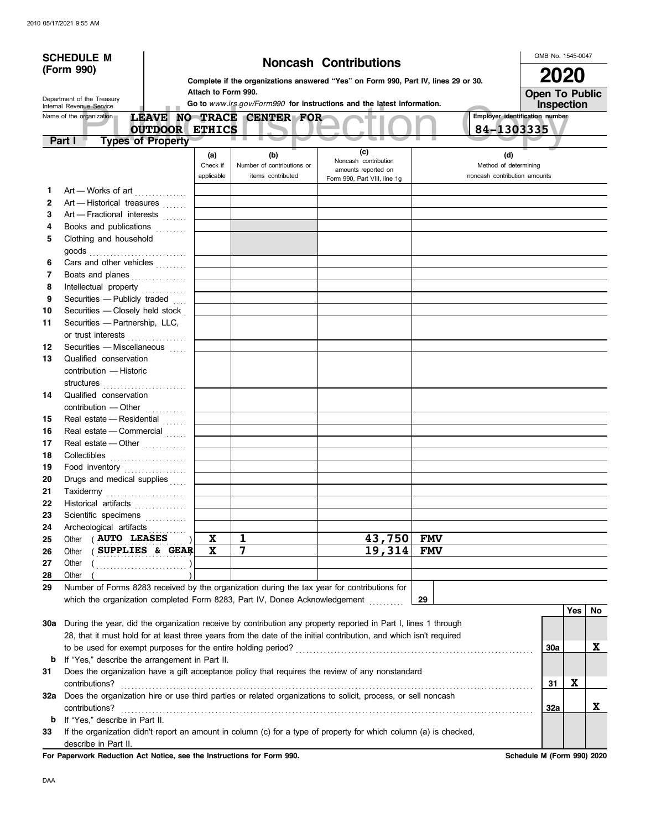|                                                        | <b>SCHEDULE M</b>                                                                                                  |                                                                        |                                                                                    |                                                 |                                                                                                                   |            | OMB No. 1545-0047                                     |            |    |  |
|--------------------------------------------------------|--------------------------------------------------------------------------------------------------------------------|------------------------------------------------------------------------|------------------------------------------------------------------------------------|-------------------------------------------------|-------------------------------------------------------------------------------------------------------------------|------------|-------------------------------------------------------|------------|----|--|
| (Form 990)                                             |                                                                                                                    | <b>Noncash Contributions</b>                                           |                                                                                    |                                                 |                                                                                                                   |            |                                                       | 2020       |    |  |
|                                                        |                                                                                                                    |                                                                        | Complete if the organizations answered "Yes" on Form 990, Part IV, lines 29 or 30. |                                                 |                                                                                                                   |            |                                                       |            |    |  |
|                                                        |                                                                                                                    |                                                                        | Attach to Form 990.                                                                |                                                 |                                                                                                                   |            | <b>Open To Public</b>                                 |            |    |  |
| Department of the Treasury<br>Internal Revenue Service |                                                                                                                    | Go to www.irs.gov/Form990 for instructions and the latest information. |                                                                                    |                                                 |                                                                                                                   |            |                                                       | Inspection |    |  |
|                                                        | Name of the organization                                                                                           |                                                                        |                                                                                    | LEAVE NO TRACE CENTER FOR                       |                                                                                                                   |            | Employer identification number                        |            |    |  |
|                                                        |                                                                                                                    | <b>OUTDOOR ETHICS</b>                                                  |                                                                                    |                                                 |                                                                                                                   |            | 84-1303335                                            |            |    |  |
|                                                        | <b>Types of Property</b><br>Part I                                                                                 |                                                                        |                                                                                    |                                                 |                                                                                                                   |            |                                                       |            |    |  |
|                                                        |                                                                                                                    |                                                                        | (a)                                                                                | (b)                                             | (c)<br>Noncash contribution                                                                                       |            | (d)                                                   |            |    |  |
|                                                        |                                                                                                                    |                                                                        | Check if<br>applicable                                                             | Number of contributions or<br>items contributed | amounts reported on                                                                                               |            | Method of determining<br>noncash contribution amounts |            |    |  |
|                                                        |                                                                                                                    |                                                                        |                                                                                    |                                                 | Form 990, Part VIII, line 1g                                                                                      |            |                                                       |            |    |  |
| 1.<br>$\mathbf{2}$                                     | Art - Works of art                                                                                                 |                                                                        |                                                                                    |                                                 |                                                                                                                   |            |                                                       |            |    |  |
| 3                                                      | Art - Historical treasures<br>Art - Fractional interests                                                           |                                                                        |                                                                                    |                                                 |                                                                                                                   |            |                                                       |            |    |  |
| 4                                                      | Books and publications                                                                                             |                                                                        |                                                                                    |                                                 |                                                                                                                   |            |                                                       |            |    |  |
| 5                                                      | Clothing and household                                                                                             |                                                                        |                                                                                    |                                                 |                                                                                                                   |            |                                                       |            |    |  |
|                                                        |                                                                                                                    |                                                                        |                                                                                    |                                                 |                                                                                                                   |            |                                                       |            |    |  |
| 6                                                      | Cars and other vehicles                                                                                            |                                                                        |                                                                                    |                                                 |                                                                                                                   |            |                                                       |            |    |  |
| 7                                                      | Boats and planes                                                                                                   |                                                                        |                                                                                    |                                                 |                                                                                                                   |            |                                                       |            |    |  |
| 8                                                      | Intellectual property                                                                                              |                                                                        |                                                                                    |                                                 |                                                                                                                   |            |                                                       |            |    |  |
| 9                                                      | Securities - Publicly traded                                                                                       |                                                                        |                                                                                    |                                                 |                                                                                                                   |            |                                                       |            |    |  |
| 10                                                     | Securities - Closely held stock                                                                                    |                                                                        |                                                                                    |                                                 |                                                                                                                   |            |                                                       |            |    |  |
| 11                                                     | Securities - Partnership, LLC,                                                                                     |                                                                        |                                                                                    |                                                 |                                                                                                                   |            |                                                       |            |    |  |
|                                                        | or trust interests                                                                                                 |                                                                        |                                                                                    |                                                 |                                                                                                                   |            |                                                       |            |    |  |
| 12                                                     | Securities - Miscellaneous                                                                                         |                                                                        |                                                                                    |                                                 |                                                                                                                   |            |                                                       |            |    |  |
| 13                                                     | Qualified conservation                                                                                             |                                                                        |                                                                                    |                                                 |                                                                                                                   |            |                                                       |            |    |  |
|                                                        | contribution - Historic                                                                                            |                                                                        |                                                                                    |                                                 |                                                                                                                   |            |                                                       |            |    |  |
|                                                        |                                                                                                                    |                                                                        |                                                                                    |                                                 |                                                                                                                   |            |                                                       |            |    |  |
| 14                                                     | Qualified conservation                                                                                             |                                                                        |                                                                                    |                                                 |                                                                                                                   |            |                                                       |            |    |  |
|                                                        | contribution - Other                                                                                               |                                                                        |                                                                                    |                                                 |                                                                                                                   |            |                                                       |            |    |  |
| 15                                                     | Real estate - Residential                                                                                          |                                                                        |                                                                                    |                                                 |                                                                                                                   |            |                                                       |            |    |  |
| 16                                                     | Real estate - Commercial                                                                                           |                                                                        |                                                                                    |                                                 |                                                                                                                   |            |                                                       |            |    |  |
| 17                                                     | Real estate - Other                                                                                                |                                                                        |                                                                                    |                                                 |                                                                                                                   |            |                                                       |            |    |  |
| 18                                                     | Collectibles <b>Collectibles</b>                                                                                   |                                                                        |                                                                                    |                                                 |                                                                                                                   |            |                                                       |            |    |  |
| 19                                                     | Food inventory                                                                                                     |                                                                        |                                                                                    |                                                 |                                                                                                                   |            |                                                       |            |    |  |
| 20                                                     | Drugs and medical supplies                                                                                         |                                                                        |                                                                                    |                                                 |                                                                                                                   |            |                                                       |            |    |  |
| 21                                                     | Taxidermy                                                                                                          |                                                                        |                                                                                    |                                                 |                                                                                                                   |            |                                                       |            |    |  |
| 22                                                     | Historical artifacts                                                                                               |                                                                        |                                                                                    |                                                 |                                                                                                                   |            |                                                       |            |    |  |
| 23<br>24                                               | Scientific specimens<br>Archeological artifacts                                                                    |                                                                        |                                                                                    |                                                 |                                                                                                                   |            |                                                       |            |    |  |
| 25                                                     | Other ( AUTO LEASES                                                                                                |                                                                        | X                                                                                  | $\mathbf{1}$                                    | 43,750                                                                                                            | <b>FMV</b> |                                                       |            |    |  |
| 26                                                     | SUPPLIES & GEAR<br>Other                                                                                           |                                                                        | $\mathbf x$                                                                        | $\overline{7}$                                  | 19,314                                                                                                            | <b>FMV</b> |                                                       |            |    |  |
| 27                                                     | Other                                                                                                              |                                                                        |                                                                                    |                                                 |                                                                                                                   |            |                                                       |            |    |  |
| 28                                                     | Other                                                                                                              |                                                                        |                                                                                    |                                                 |                                                                                                                   |            |                                                       |            |    |  |
| 29                                                     | Number of Forms 8283 received by the organization during the tax year for contributions for                        |                                                                        |                                                                                    |                                                 |                                                                                                                   |            |                                                       |            |    |  |
|                                                        | which the organization completed Form 8283, Part IV, Donee Acknowledgement                                         |                                                                        |                                                                                    |                                                 |                                                                                                                   | 29         |                                                       |            |    |  |
|                                                        |                                                                                                                    |                                                                        |                                                                                    |                                                 |                                                                                                                   |            |                                                       | Yes        | No |  |
| 30a                                                    |                                                                                                                    |                                                                        |                                                                                    |                                                 | During the year, did the organization receive by contribution any property reported in Part I, lines 1 through    |            |                                                       |            |    |  |
|                                                        | 28, that it must hold for at least three years from the date of the initial contribution, and which isn't required |                                                                        |                                                                                    |                                                 |                                                                                                                   |            |                                                       |            |    |  |
|                                                        |                                                                                                                    |                                                                        |                                                                                    |                                                 |                                                                                                                   |            | 30a                                                   |            | X  |  |
| b                                                      | If "Yes," describe the arrangement in Part II.                                                                     |                                                                        |                                                                                    |                                                 |                                                                                                                   |            |                                                       |            |    |  |
| 31                                                     |                                                                                                                    |                                                                        |                                                                                    |                                                 | Does the organization have a gift acceptance policy that requires the review of any nonstandard                   |            |                                                       |            |    |  |
|                                                        | contributions?                                                                                                     |                                                                        |                                                                                    |                                                 |                                                                                                                   |            | 31                                                    | X          |    |  |
|                                                        |                                                                                                                    |                                                                        |                                                                                    |                                                 | 32a Does the organization hire or use third parties or related organizations to solicit, process, or sell noncash |            |                                                       |            |    |  |
|                                                        | contributions?                                                                                                     |                                                                        |                                                                                    |                                                 |                                                                                                                   |            | 32a                                                   |            | X  |  |
| b                                                      | If "Yes," describe in Part II.                                                                                     |                                                                        |                                                                                    |                                                 |                                                                                                                   |            |                                                       |            |    |  |
| 33                                                     |                                                                                                                    |                                                                        |                                                                                    |                                                 | If the organization didn't report an amount in column (c) for a type of property for which column (a) is checked, |            |                                                       |            |    |  |
|                                                        | describe in Part II.                                                                                               |                                                                        |                                                                                    |                                                 |                                                                                                                   |            |                                                       |            |    |  |

For Paperwork Reduction Act Notice, see the Instructions for Form 990. Schedule M (Form 990) 2020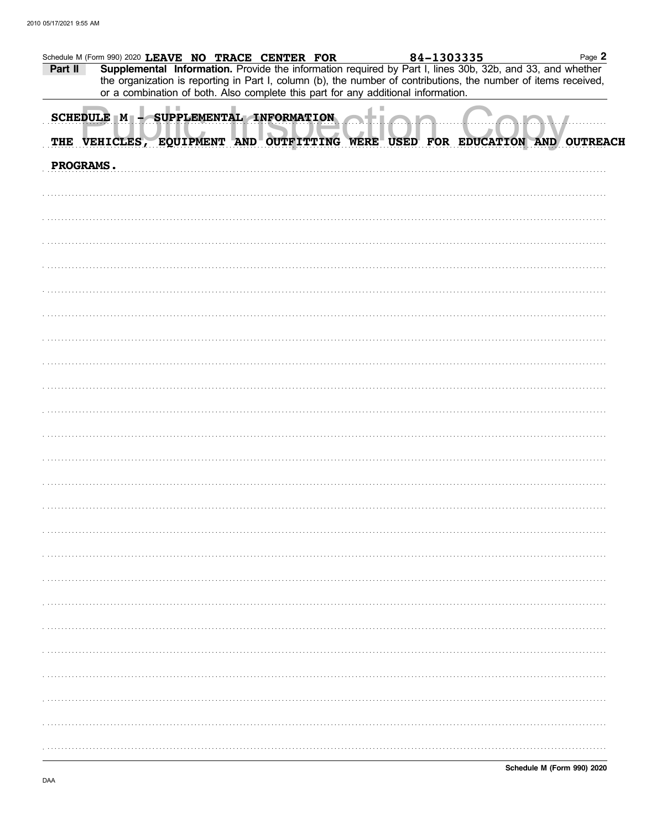| Part II   | Schedule M (Form 990) 2020 LEAVE NO TRACE CENTER FOR<br>Supplemental Information. Provide the information required by Part I, lines 30b, 32b, and 33, and whether                                    |  | 84-1303335 | Page 2 |  |
|-----------|------------------------------------------------------------------------------------------------------------------------------------------------------------------------------------------------------|--|------------|--------|--|
|           | the organization is reporting in Part I, column (b), the number of contributions, the number of items received,<br>or a combination of both. Also complete this part for any additional information. |  |            |        |  |
|           | SCHEDULE M - SUPPLEMENTAL INFORMATION                                                                                                                                                                |  |            |        |  |
|           | THE VEHICLES, EQUIPMENT AND OUTFITTING WERE USED FOR EDUCATION AND OUTREACH                                                                                                                          |  |            |        |  |
| PROGRAMS. |                                                                                                                                                                                                      |  |            |        |  |
|           |                                                                                                                                                                                                      |  |            |        |  |
|           |                                                                                                                                                                                                      |  |            |        |  |
|           |                                                                                                                                                                                                      |  |            |        |  |
|           |                                                                                                                                                                                                      |  |            |        |  |
|           |                                                                                                                                                                                                      |  |            |        |  |
|           |                                                                                                                                                                                                      |  |            |        |  |
|           |                                                                                                                                                                                                      |  |            |        |  |
|           |                                                                                                                                                                                                      |  |            |        |  |
|           |                                                                                                                                                                                                      |  |            |        |  |
|           |                                                                                                                                                                                                      |  |            |        |  |
|           |                                                                                                                                                                                                      |  |            |        |  |
|           |                                                                                                                                                                                                      |  |            |        |  |
|           |                                                                                                                                                                                                      |  |            |        |  |
|           |                                                                                                                                                                                                      |  |            |        |  |
|           |                                                                                                                                                                                                      |  |            |        |  |
|           |                                                                                                                                                                                                      |  |            |        |  |
|           |                                                                                                                                                                                                      |  |            |        |  |
|           |                                                                                                                                                                                                      |  |            |        |  |
|           |                                                                                                                                                                                                      |  |            |        |  |
|           |                                                                                                                                                                                                      |  |            |        |  |
|           |                                                                                                                                                                                                      |  |            |        |  |
|           |                                                                                                                                                                                                      |  |            |        |  |
|           |                                                                                                                                                                                                      |  |            |        |  |
|           |                                                                                                                                                                                                      |  |            |        |  |
|           |                                                                                                                                                                                                      |  |            |        |  |
|           |                                                                                                                                                                                                      |  |            |        |  |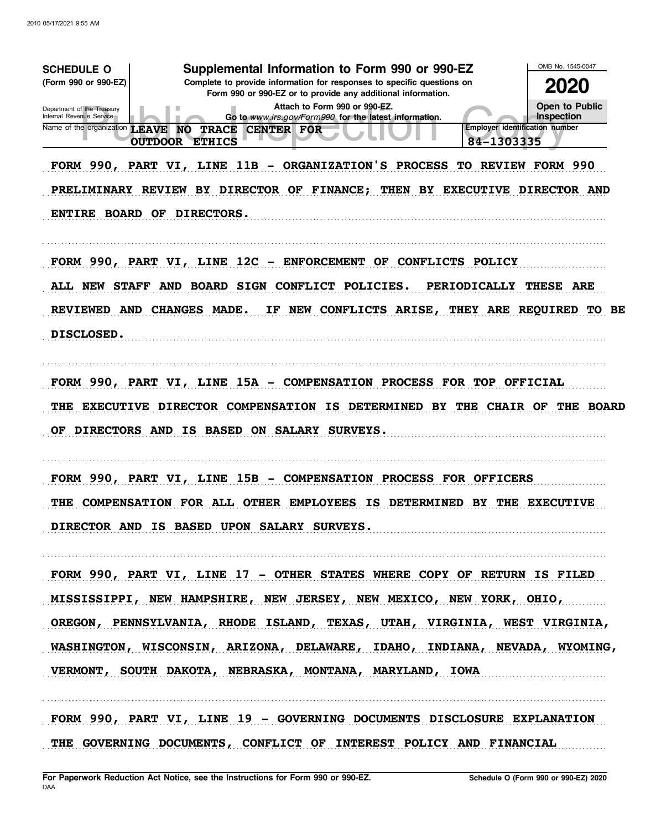